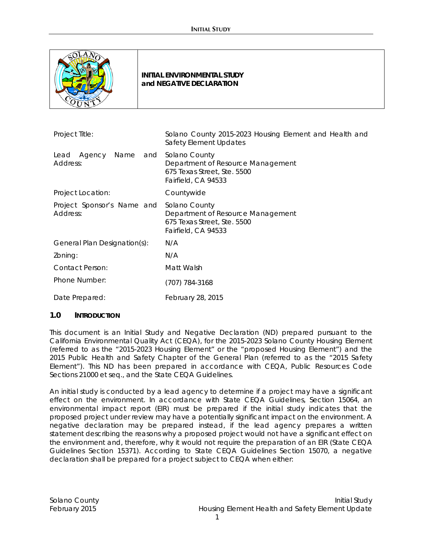

## **INITIAL ENVIRONMENTAL STUDY and NEGATIVE DECLARATION**

| Project Title:                            | Solano County 2015-2023 Housing Element and Health and<br>Safety Element Updates                         |  |  |  |  |
|-------------------------------------------|----------------------------------------------------------------------------------------------------------|--|--|--|--|
| Name<br>Agency<br>Lead<br>and<br>Address: | Solano County<br>Department of Resource Management<br>675 Texas Street, Ste. 5500<br>Fairfield, CA 94533 |  |  |  |  |
| Project Location:<br>Countywide           |                                                                                                          |  |  |  |  |
| Project Sponsor's Name and<br>Address:    | Solano County<br>Department of Resource Management<br>675 Texas Street, Ste. 5500<br>Fairfield, CA 94533 |  |  |  |  |
| General Plan Designation(s):              | N/A                                                                                                      |  |  |  |  |
| Zoning:                                   | N/A                                                                                                      |  |  |  |  |
| <b>Contact Person:</b>                    | Matt Walsh                                                                                               |  |  |  |  |
| Phone Number:<br>(707) 784-3168           |                                                                                                          |  |  |  |  |
| February 28, 2015<br>Date Prepared:       |                                                                                                          |  |  |  |  |

## **1.0 INTRODUCTION**

This document is an Initial Study and Negative Declaration (ND) prepared pursuant to the California Environmental Quality Act (CEQA), for the 2015-2023 Solano County Housing Element (referred to as the "2015-2023 Housing Element" or the "proposed Housing Element") and the 2015 Public Health and Safety Chapter of the General Plan (referred to as the "2015 Safety Element"). This ND has been prepared in accordance with CEQA, Public Resources Code Sections 21000 et seq., and the State CEQA Guidelines.

An initial study is conducted by a lead agency to determine if a project may have a significant effect on the environment. In accordance with State CEQA Guidelines, Section 15064, an environmental impact report (EIR) must be prepared if the initial study indicates that the proposed project under review may have a potentially significant impact on the environment. A negative declaration may be prepared instead, if the lead agency prepares a written statement describing the reasons why a proposed project would not have a significant effect on the environment and, therefore, why it would not require the preparation of an EIR (State CEQA Guidelines Section 15371). According to State CEQA Guidelines Section 15070, a negative declaration shall be prepared for a project subject to CEQA when either: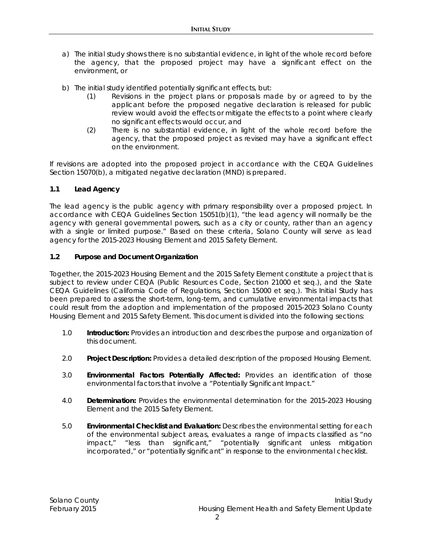- a) The initial study shows there is no substantial evidence, in light of the whole record before the agency, that the proposed project may have a significant effect on the environment, or
- b) The initial study identified potentially significant effects, but:
	- (1) Revisions in the project plans or proposals made by or agreed to by the applicant before the proposed negative declaration is released for public review would avoid the effects or mitigate the effects to a point where clearly no significant effects would occur, and
	- (2) There is no substantial evidence, in light of the whole record before the agency, that the proposed project as revised may have a significant effect on the environment.

If revisions are adopted into the proposed project in accordance with the CEQA Guidelines Section 15070(b), a mitigated negative declaration (MND) is prepared.

## **1.1 Lead Agency**

The lead agency is the public agency with primary responsibility over a proposed project. In accordance with CEQA Guidelines Section 15051(b)(1), "the lead agency will normally be the agency with general governmental powers, such as a city or county, rather than an agency with a single or limited purpose." Based on these criteria, Solano County will serve as lead agency for the 2015-2023 Housing Element and 2015 Safety Element.

## **1.2 Purpose and Document Organization**

Together, the 2015-2023 Housing Element and the 2015 Safety Element constitute a *project* that is subject to review under CEQA (Public Resources Code, Section 21000 et seq.), and the State CEQA Guidelines (California Code of Regulations, Section 15000 et seq.). This Initial Study has been prepared to assess the short-term, long-term, and cumulative environmental impacts that could result from the adoption and implementation of the proposed 2015-2023 Solano County Housing Element and 2015 Safety Element. This document is divided into the following sections:

- 1.0 **Introduction:** Provides an introduction and describes the purpose and organization of this document.
- 2.0 **Project Description:** Provides a detailed description of the proposed Housing Element.
- 3.0 **Environmental Factors Potentially Affected:** Provides an identification of those environmental factors that involve a "Potentially Significant Impact."
- 4.0 **Determination:** Provides the environmental determination for the 2015-2023 Housing Element and the 2015 Safety Element.
- 5.0 **Environmental Checklist and Evaluation:** Describes the environmental setting for each of the environmental subject areas, evaluates a range of impacts classified as "no impact," "less than significant," "potentially significant unless mitigation incorporated," or "potentially significant" in response to the environmental checklist.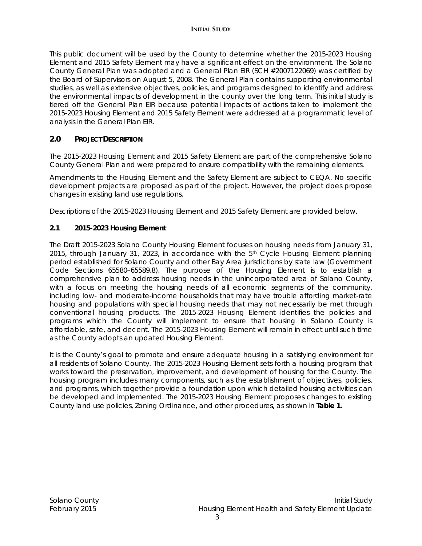This public document will be used by the County to determine whether the 2015-2023 Housing Element and 2015 Safety Element may have a significant effect on the environment. The Solano County General Plan was adopted and a General Plan EIR (SCH #2007122069) was certified by the Board of Supervisors on August 5, 2008. The General Plan contains supporting environmental studies, as well as extensive objectives, policies, and programs designed to identify and address the environmental impacts of development in the county over the long term. This initial study is tiered off the General Plan EIR because potential impacts of actions taken to implement the 2015-2023 Housing Element and 2015 Safety Element were addressed at a programmatic level of analysis in the General Plan EIR.

# **2.0 PROJECT DESCRIPTION**

The 2015-2023 Housing Element and 2015 Safety Element are part of the comprehensive Solano County General Plan and were prepared to ensure compatibility with the remaining elements.

Amendments to the Housing Element and the Safety Element are subject to CEQA. No specific development projects are proposed as part of the project. However, the project does propose changes in existing land use regulations.

Descriptions of the 2015-2023 Housing Element and 2015 Safety Element are provided below.

## **2.1 2015-2023 Housing Element**

The Draft 2015-2023 Solano County Housing Element focuses on housing needs from January 31, 2015, through January 31, 2023, in accordance with the 5<sup>th</sup> Cycle Housing Element planning period established for Solano County and other Bay Area jurisdictions by state law (Government Code Sections 65580–65589.8). The purpose of the Housing Element is to establish a comprehensive plan to address housing needs in the unincorporated area of Solano County, with a focus on meeting the housing needs of all economic segments of the community, including low- and moderate-income households that may have trouble affording market-rate housing and populations with special housing needs that may not necessarily be met through conventional housing products. The 2015-2023 Housing Element identifies the policies and programs which the County will implement to ensure that housing in Solano County is affordable, safe, and decent. The 2015-2023 Housing Element will remain in effect until such time as the County adopts an updated Housing Element.

It is the County's goal to promote and ensure adequate housing in a satisfying environment for all residents of Solano County. The 2015-2023 Housing Element sets forth a housing program that works toward the preservation, improvement, and development of housing for the County. The housing program includes many components, such as the establishment of objectives, policies, and programs, which together provide a foundation upon which detailed housing activities can be developed and implemented. The 2015-2023 Housing Element proposes changes to existing County land use policies, Zoning Ordinance, and other procedures, as shown in **Table 1.**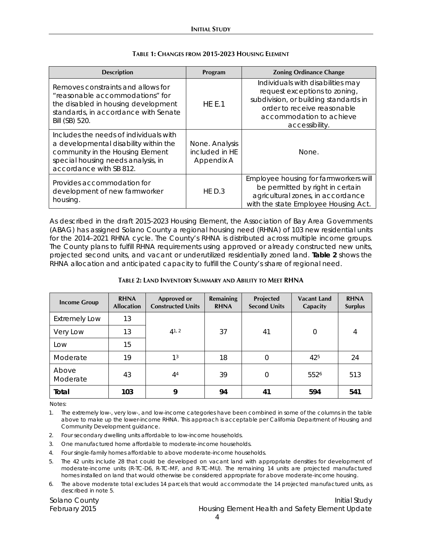| <b>Description</b>                                                                                                                                                                   | Program                                        | <b>Zoning Ordinance Change</b>                                                                                                                                                           |
|--------------------------------------------------------------------------------------------------------------------------------------------------------------------------------------|------------------------------------------------|------------------------------------------------------------------------------------------------------------------------------------------------------------------------------------------|
| Removes constraints and allows for<br>"reasonable accommodations" for<br>the disabled in housing development<br>standards, in accordance with Senate<br>Bill (SB) 520.               | HEE.1                                          | Individuals with disabilities may<br>request exceptions to zoning,<br>subdivision, or building standards in<br>order to receive reasonable<br>accommodation to achieve<br>accessibility. |
| Includes the needs of individuals with<br>a developmental disability within the<br>community in the Housing Element<br>special housing needs analysis, in<br>accordance with SB 812. | None. Analysis<br>included in HE<br>Appendix A | None.                                                                                                                                                                                    |
| Provides accommodation for<br>development of new farmworker<br>housing.                                                                                                              | HE D.3                                         | Employee housing for farmworkers will<br>be permitted by right in certain<br>agricultural zones, in accordance<br>with the state Employee Housing Act.                                   |

#### **TABLE 1: CHANGES FROM 2015-2023 HOUSING ELEMENT**

As described in the draft 2015-2023 Housing Element, the Association of Bay Area Governments (ABAG) has assigned Solano County a regional housing need (RHNA) of 103 new residential units for the 2014–2021 RHNA cycle. The County's RHNA is distributed across multiple income groups. The County plans to fulfill RHNA requirements using approved or already constructed new units, projected second units, and vacant or underutilized residentially zoned land. **Table 2** shows the RHNA allocation and anticipated capacity to fulfill the County's share of regional need.

## **TABLE 2: LAND INVENTORY SUMMARY AND ABILITY TO MEET RHNA**

| <b>Income Group</b>  | <b>RHNA</b><br><b>Allocation</b> | Approved or<br><b>Constructed Units</b> | <b>Remaining</b><br><b>RHNA</b> | Projected<br><b>Second Units</b> | <b>Vacant Land</b><br>Capacity | <b>RHNA</b><br><b>Surplus</b> |
|----------------------|----------------------------------|-----------------------------------------|---------------------------------|----------------------------------|--------------------------------|-------------------------------|
| <b>Extremely Low</b> | 13                               |                                         |                                 |                                  |                                |                               |
| Very Low             | 13                               | 4 <sup>1,2</sup>                        | 37                              | 41                               | $\Omega$                       | 4                             |
| Low                  | 15                               |                                         |                                 |                                  |                                |                               |
| Moderate             | 19                               | 1 <sup>3</sup>                          | 18                              | $\mathbf 0$                      | 425                            | 24                            |
| Above<br>Moderate    | 43                               | 4 <sup>4</sup>                          | 39                              | $\mathbf 0$                      | 5526                           | 513                           |
| Total                | 103                              | 9                                       | 94                              | 41                               | 594                            | 541                           |

Notes:

1. The extremely low-, very low-, and low-income categories have been combined in some of the columns in the table above to make up the lower-income RHNA. This approach is acceptable per California Department of Housing and Community Development guidance.

- 2. Four secondary dwelling units affordable to low-income households.
- 3. One manufactured home affordable to moderate-income households.
- 4. Four single-family homes affordable to above moderate-income households.
- 5. The 42 units include 28 that could be developed on vacant land with appropriate densities for development of moderate-income units (R-TC-D6, R-TC-MF, and R-TC-MU). The remaining 14 units are projected manufactured homes installed on land that would otherwise be considered appropriate for above moderate-income housing.
- 6. The above moderate total excludes 14 parcels that would accommodate the 14 projected manufactured units, as described in note 5.

Solano County **Initial Study** Initial Study **Initial Study** Initial Study Initial Study February 2015 **Housing Element Health and Safety Element Update**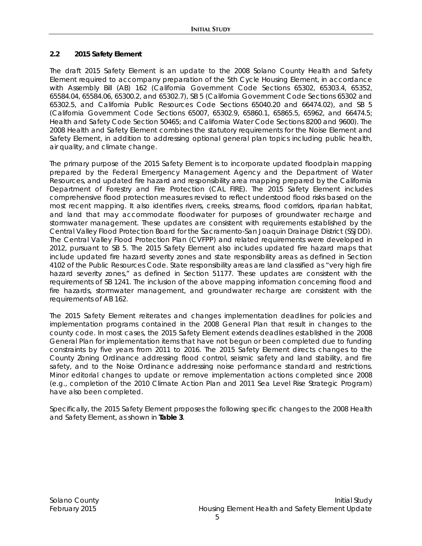## **2.2 2015 Safety Element**

The draft 2015 Safety Element is an update to the 2008 Solano County Health and Safety Element required to accompany preparation of the 5th Cycle Housing Element, in accordance with Assembly Bill (AB) 162 (California Government Code Sections 65302, 65303.4, 65352, 65584.04, 65584.06, 65300.2, and 65302.7), SB 5 (California Government Code Sections 65302 and 65302.5, and California Public Resources Code Sections 65040.20 and 66474.02), and SB 5 (California Government Code Sections 65007, 65302.9, 65860.1, 65865.5, 65962, and 66474.5; Health and Safety Code Section 50465; and California Water Code Sections 8200 and 9600). The 2008 Health and Safety Element combines the statutory requirements for the Noise Element and Safety Element, in addition to addressing optional general plan topics including public health, air quality, and climate change.

The primary purpose of the 2015 Safety Element is to incorporate updated floodplain mapping prepared by the Federal Emergency Management Agency and the Department of Water Resources, and updated fire hazard and responsibility area mapping prepared by the California Department of Forestry and Fire Protection (CAL FIRE). The 2015 Safety Element includes comprehensive flood protection measures revised to reflect understood flood risks based on the most recent mapping. It also identifies rivers, creeks, streams, flood corridors, riparian habitat, and land that may accommodate floodwater for purposes of groundwater recharge and stormwater management. These updates are consistent with requirements established by the Central Valley Flood Protection Board for the Sacramento-San Joaquin Drainage District (SSJDD). The Central Valley Flood Protection Plan (CVFPP) and related requirements were developed in 2012, pursuant to SB 5. The 2015 Safety Element also includes updated fire hazard maps that include updated fire hazard severity zones and state responsibility areas as defined in Section 4102 of the Public Resources Code. State responsibility areas are land classified as "very high fire hazard severity zones," as defined in Section 51177. These updates are consistent with the requirements of SB 1241. The inclusion of the above mapping information concerning flood and fire hazards, stormwater management, and groundwater recharge are consistent with the requirements of AB 162.

The 2015 Safety Element reiterates and changes implementation deadlines for policies and implementation programs contained in the 2008 General Plan that result in changes to the county code. In most cases, the 2015 Safety Element extends deadlines established in the 2008 General Plan for implementation items that have not begun or been completed due to funding constraints by five years from 2011 to 2016. The 2015 Safety Element directs changes to the County Zoning Ordinance addressing flood control, seismic safety and land stability, and fire safety, and to the Noise Ordinance addressing noise performance standard and restrictions. Minor editorial changes to update or remove implementation actions completed since 2008 (e.g., completion of the 2010 Climate Action Plan and 2011 Sea Level Rise Strategic Program) have also been completed.

Specifically, the 2015 Safety Element proposes the following specific changes to the 2008 Health and Safety Element, as shown in **Table 3**.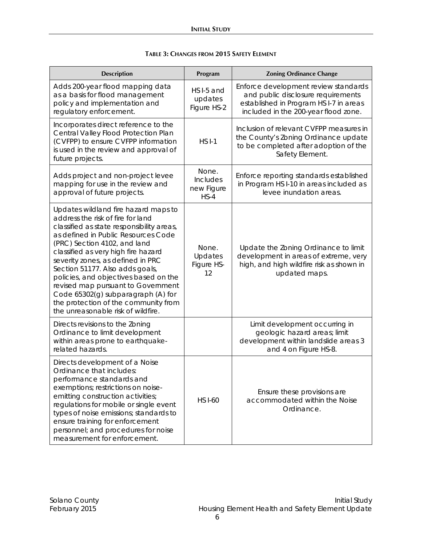| <b>Description</b>                                                                                                                                                                                                                                                                                                                                                                                                                                                                                              | Program                                   | <b>Zoning Ordinance Change</b>                                                                                                                               |
|-----------------------------------------------------------------------------------------------------------------------------------------------------------------------------------------------------------------------------------------------------------------------------------------------------------------------------------------------------------------------------------------------------------------------------------------------------------------------------------------------------------------|-------------------------------------------|--------------------------------------------------------------------------------------------------------------------------------------------------------------|
| Adds 200-year flood mapping data<br>as a basis for flood management<br>policy and implementation and<br>regulatory enforcement.                                                                                                                                                                                                                                                                                                                                                                                 | HSI-5 and<br>updates<br>Figure HS-2       | Enforce development review standards<br>and public disclosure requirements<br>established in Program HS I-7 in areas<br>included in the 200-year flood zone. |
| Incorporates direct reference to the<br>Central Valley Flood Protection Plan<br>(CVFPP) to ensure CVFPP information<br>is used in the review and approval of<br>future projects.                                                                                                                                                                                                                                                                                                                                | $HS I-1$                                  | Inclusion of relevant CVFPP measures in<br>the County's Zoning Ordinance update<br>to be completed after adoption of the<br>Safety Element.                  |
| Adds project and non-project levee<br>mapping for use in the review and<br>approval of future projects.                                                                                                                                                                                                                                                                                                                                                                                                         | None.<br>Includes<br>new Figure<br>$HS-4$ | Enforce reporting standards established<br>in Program HS I-10 in areas included as<br>levee inundation areas.                                                |
| Updates wildland fire hazard maps to<br>address the risk of fire for land<br>classified as state responsibility areas,<br>as defined in Public Resources Code<br>(PRC) Section 4102, and land<br>classified as very high fire hazard<br>severity zones, as defined in PRC<br>Section 51177. Also adds goals,<br>policies, and objectives based on the<br>revised map pursuant to Government<br>Code 65302(g) subparagraph (A) for<br>the protection of the community from<br>the unreasonable risk of wildfire. | None.<br>Updates<br>Figure HS-<br>12      | Update the Zoning Ordinance to limit<br>development in areas of extreme, very<br>high, and high wildfire risk as shown in<br>updated maps.                   |
| Directs revisions to the Zoning<br>Ordinance to limit development<br>within areas prone to earthquake-<br>related hazards.                                                                                                                                                                                                                                                                                                                                                                                      |                                           | Limit development occurring in<br>geologic hazard areas; limit<br>development within landslide areas 3<br>and 4 on Figure HS-8.                              |
| Directs development of a Noise<br>Ordinance that includes:<br>performance standards and<br>exemptions; restrictions on noise-<br>emitting construction activities;<br>regulations for mobile or single event<br>types of noise emissions; standards to<br>ensure training for enforcement<br>personnel; and procedures for noise<br>measurement for enforcement.                                                                                                                                                | <b>HS I-60</b>                            | Ensure these provisions are<br>accommodated within the Noise<br>Ordinance.                                                                                   |

# **TABLE 3: CHANGES FROM 2015 SAFETY ELEMENT**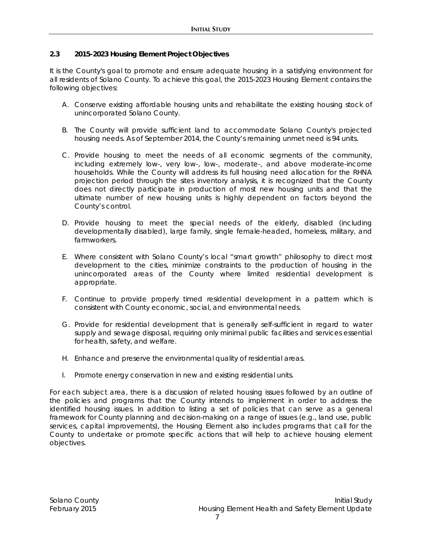## **2.3 2015-2023 Housing Element Project Objectives**

It is the County's goal to promote and ensure adequate housing in a satisfying environment for all residents of Solano County. To achieve this goal, the 2015-2023 Housing Element contains the following objectives:

- A. Conserve existing affordable housing units and rehabilitate the existing housing stock of unincorporated Solano County.
- B. The County will provide sufficient land to accommodate Solano County's projected housing needs. As of September 2014, the County's remaining unmet need is 94 units.
- C. Provide housing to meet the needs of all economic segments of the community, including extremely low-, very low-, low-, moderate-, and above moderate-income households. While the County will address its full housing need allocation for the RHNA projection period through the sites inventory analysis, it is recognized that the County does not directly participate in production of most new housing units and that the ultimate number of new housing units is highly dependent on factors beyond the County's control.
- D. Provide housing to meet the special needs of the elderly, disabled (including developmentally disabled), large family, single female-headed, homeless, military, and farmworkers.
- E. Where consistent with Solano County's local "smart growth" philosophy to direct most development to the cities, minimize constraints to the production of housing in the unincorporated areas of the County where limited residential development is appropriate.
- F. Continue to provide properly timed residential development in a pattern which is consistent with County economic, social, and environmental needs.
- G. Provide for residential development that is generally self-sufficient in regard to water supply and sewage disposal, requiring only minimal public facilities and services essential for health, safety, and welfare.
- H. Enhance and preserve the environmental quality of residential areas.
- I. Promote energy conservation in new and existing residential units.

For each subject area, there is a discussion of related housing issues followed by an outline of the policies and programs that the County intends to implement in order to address the identified housing issues. In addition to listing a set of policies that can serve as a general framework for County planning and decision-making on a range of issues (e.g., land use, public services, capital improvements), the Housing Element also includes programs that call for the County to undertake or promote specific actions that will help to achieve housing element objectives.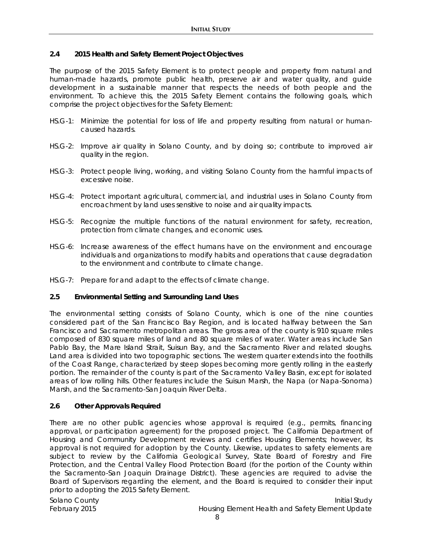## **2.4 2015 Health and Safety Element Project Objectives**

The purpose of the 2015 Safety Element is to protect people and property from natural and human-made hazards, promote public health, preserve air and water quality, and guide development in a sustainable manner that respects the needs of both people and the environment. To achieve this, the 2015 Safety Element contains the following goals, which comprise the project objectives for the Safety Element:

- HS.G-1: Minimize the potential for loss of life and property resulting from natural or humancaused hazards.
- HS.G-2: Improve air quality in Solano County, and by doing so; contribute to improved air quality in the region.
- HS.G-3: Protect people living, working, and visiting Solano County from the harmful impacts of excessive noise.
- HS.G-4: Protect important agricultural, commercial, and industrial uses in Solano County from encroachment by land uses sensitive to noise and air quality impacts.
- HS.G-5: Recognize the multiple functions of the natural environment for safety, recreation, protection from climate changes, and economic uses.
- HS.G-6: Increase awareness of the effect humans have on the environment and encourage individuals and organizations to modify habits and operations that cause degradation to the environment and contribute to climate change.
- HS.G-7: Prepare for and adapt to the effects of climate change.

## **2.5 Environmental Setting and Surrounding Land Uses**

The environmental setting consists of Solano County, which is one of the nine counties considered part of the San Francisco Bay Region, and is located halfway between the San Francisco and Sacramento metropolitan areas. The gross area of the county is 910 square miles composed of 830 square miles of land and 80 square miles of water. Water areas include San Pablo Bay, the Mare Island Strait, Suisun Bay, and the Sacramento River and related sloughs. Land area is divided into two topographic sections. The western quarter extends into the foothills of the Coast Range, characterized by steep slopes becoming more gently rolling in the easterly portion. The remainder of the county is part of the Sacramento Valley Basin, except for isolated areas of low rolling hills. Other features include the Suisun Marsh, the Napa (or Napa-Sonoma) Marsh, and the Sacramento-San Joaquin River Delta.

## **2.6 Other Approvals Required**

There are no other public agencies whose approval is required (e.g., permits, financing approval, or participation agreement) for the proposed project. The California Department of Housing and Community Development reviews and certifies Housing Elements; however, its approval is not required for adoption by the County. Likewise, updates to safety elements are subject to review by the California Geological Survey, State Board of Forestry and Fire Protection, and the Central Valley Flood Protection Board (for the portion of the County within the Sacramento-San Joaquin Drainage District). These agencies are required to advise the Board of Supervisors regarding the element, and the Board is required to consider their input prior to adopting the 2015 Safety Element.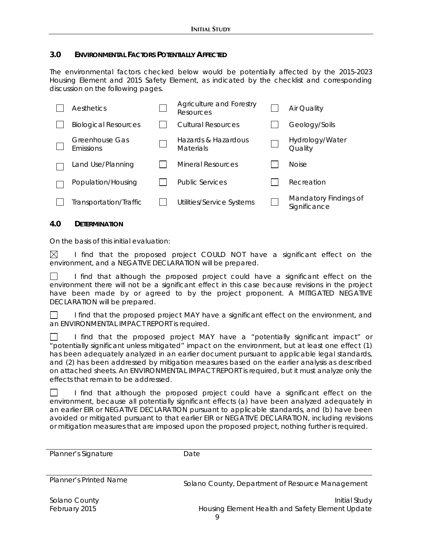## **3.0 ENVIRONMENTAL FACTORS POTENTIALLY AFFECTED**

The environmental factors checked below would be potentially affected by the 2015-2023 Housing Element and 2015 Safety Element, as indicated by the checklist and corresponding discussion on the following pages.

| Aesthetics                         | Agriculture and Forestry<br>Resources   | Air Quality                           |
|------------------------------------|-----------------------------------------|---------------------------------------|
| <b>Biological Resources</b>        | <b>Cultural Resources</b>               | Geology/Soils                         |
| Greenhouse Gas<br><b>Emissions</b> | Hazards & Hazardous<br><b>Materials</b> | Hydrology/Water<br>Quality            |
| Land Use/Planning                  | <b>Mineral Resources</b>                | <b>Noise</b>                          |
| Population/Housing                 | <b>Public Services</b>                  | Recreation                            |
| Transportation/Traffic             | Utilities/Service Systems               | Mandatory Findings of<br>Significance |

## **4.0 DETERMINATION**

On the basis of this initial evaluation:

 $\boxtimes$  I find that the proposed project COULD NOT have a significant effect on the environment, and a NEGATIVE DECLARATION will be prepared.

 $\Box$  I find that although the proposed project could have a significant effect on the environment there will not be a significant effect in this case because revisions in the project have been made by or agreed to by the project proponent. A MITIGATED NEGATIVE DECLARATION will be prepared.

 $\Box$  I find that the proposed project MAY have a significant effect on the environment, and an ENVIRONMENTAL IMPACT REPORT is required.

 $\Box$  I find that the proposed project MAY have a "potentially significant impact" or "potentially significant unless mitigated" impact on the environment, but at least one effect (1) has been adequately analyzed in an earlier document pursuant to applicable legal standards, and (2) has been addressed by mitigation measures based on the earlier analysis as described on attached sheets. An ENVIRONMENTAL IMPACT REPORT is required, but it must analyze only the effects that remain to be addressed.

 $\Box$  I find that although the proposed project could have a significant effect on the environment, because all potentially significant effects (a) have been analyzed adequately in an earlier EIR or NEGATIVE DECLARATION pursuant to applicable standards, and (b) have been avoided or mitigated pursuant to that earlier EIR or NEGATIVE DECLARATION, including revisions or mitigation measures that are imposed upon the proposed project, nothing further is required.

| Planner's Signature            | Date                                                              |
|--------------------------------|-------------------------------------------------------------------|
| Planner's Printed Name         | Solano County, Department of Resource Management                  |
| Solano County<br>February 2015 | Initial Study<br>Housing Element Health and Safety Element Update |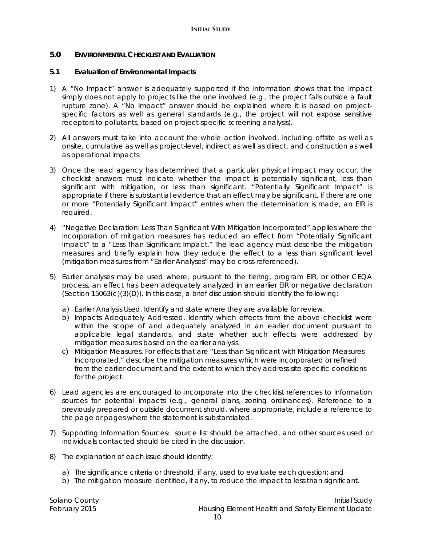## **5.0 ENVIRONMENTAL CHECKLIST AND EVALUATION**

## **5.1 Evaluation of Environmental Impacts**

- 1) A "No Impact" answer is adequately supported if the information shows that the impact simply does not apply to projects like the one involved (e.g., the project falls outside a fault rupture zone). A "No Impact" answer should be explained where it is based on projectspecific factors as well as general standards (e.g., the project will not expose sensitive receptors to pollutants, based on project-specific screening analysis).
- 2) All answers must take into account the whole action involved, including offsite as well as onsite, cumulative as well as project-level, indirect as well as direct, and construction as well as operational impacts.
- 3) Once the lead agency has determined that a particular physical impact may occur, the checklist answers must indicate whether the impact is potentially significant, less than significant with mitigation, or less than significant. "Potentially Significant Impact" is appropriate if there is substantial evidence that an effect may be significant. If there are one or more "Potentially Significant Impact" entries when the determination is made, an EIR is required.
- 4) "Negative Declaration: Less Than Significant With Mitigation Incorporated" applies where the incorporation of mitigation measures has reduced an effect from "Potentially Significant Impact" to a "Less Than Significant Impact." The lead agency must describe the mitigation measures and briefly explain how they reduce the effect to a less than significant level (mitigation measures from "Earlier Analyses" may be cross-referenced).
- 5) Earlier analyses may be used where, pursuant to the tiering, program EIR, or other CEQA process, an effect has been adequately analyzed in an earlier EIR or negative declaration (Section 15063(c)(3)(D)). In this case, a brief discussion should identify the following:
	- a) Earlier Analysis Used. Identify and state where they are available for review.
	- b) Impacts Adequately Addressed. Identify which effects from the above checklist were within the scope of and adequately analyzed in an earlier document pursuant to applicable legal standards, and state whether such effects were addressed by mitigation measures based on the earlier analysis.
	- c) Mitigation Measures. For effects that are "Less than Significant with Mitigation Measures Incorporated," describe the mitigation measures which were incorporated or refined from the earlier document and the extent to which they address site-specific conditions for the project.
- 6) Lead agencies are encouraged to incorporate into the checklist references to information sources for potential impacts (e.g., general plans, zoning ordinances). Reference to a previously prepared or outside document should, where appropriate, include a reference to the page or pages where the statement is substantiated.
- 7) Supporting Information Sources: source list should be attached, and other sources used or individuals contacted should be cited in the discussion.
- 8) The explanation of each issue should identify:
	- a) The significance criteria or threshold, if any, used to evaluate each question; and
	- b) The mitigation measure identified, if any, to reduce the impact to less than significant.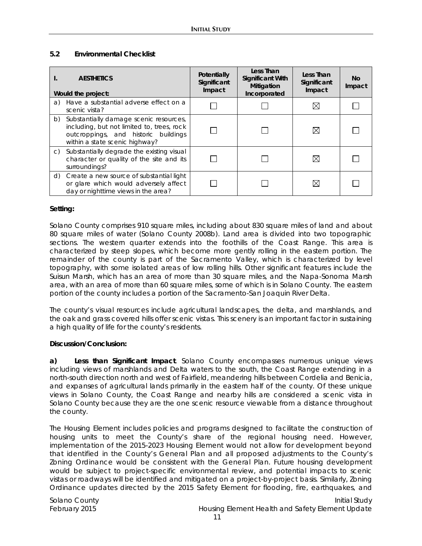## **5.2 Environmental Checklist**

| I. | <b>AESTHETICS</b><br>Would the project:                                                                                                                           | Potentially<br>Significant<br>Impact | Less Than<br><b>Significant With</b><br><b>Mitigation</b><br>Incorporated | Less Than<br>Significant<br>Impact | <b>No</b><br>Impact |
|----|-------------------------------------------------------------------------------------------------------------------------------------------------------------------|--------------------------------------|---------------------------------------------------------------------------|------------------------------------|---------------------|
| a) | Have a substantial adverse effect on a<br>scenic vista?                                                                                                           |                                      |                                                                           | ⋉                                  |                     |
|    | b) Substantially damage scenic resources,<br>including, but not limited to, trees, rock<br>outcroppings, and historic buildings<br>within a state scenic highway? |                                      |                                                                           | M                                  |                     |
|    | c) Substantially degrade the existing visual<br>character or quality of the site and its<br>surroundings?                                                         |                                      |                                                                           |                                    |                     |
|    | d) Create a new source of substantial light<br>or glare which would adversely affect<br>day or nighttime views in the area?                                       |                                      |                                                                           |                                    |                     |

### **Setting:**

Solano County comprises 910 square miles, including about 830 square miles of land and about 80 square miles of water (Solano County 2008b). Land area is divided into two topographic sections. The western quarter extends into the foothills of the Coast Range. This area is characterized by steep slopes, which become more gently rolling in the eastern portion. The remainder of the county is part of the Sacramento Valley, which is characterized by level topography, with some isolated areas of low rolling hills. Other significant features include the Suisun Marsh, which has an area of more than 30 square miles, and the Napa-Sonoma Marsh area, with an area of more than 60 square miles, some of which is in Solano County. The eastern portion of the county includes a portion of the Sacramento-San Joaquin River Delta.

The county's visual resources include agricultural landscapes, the delta, and marshlands, and the oak and grass covered hills offer scenic vistas. This scenery is an important factor in sustaining a high quality of life for the county's residents.

## **Discussion/Conclusion:**

*a) Less than Significant Impact*. Solano County encompasses numerous unique views including views of marshlands and Delta waters to the south, the Coast Range extending in a north-south direction north and west of Fairfield, meandering hills between Cordelia and Benicia, and expanses of agricultural lands primarily in the eastern half of the county. Of these unique views in Solano County, the Coast Range and nearby hills are considered a scenic vista in Solano County because they are the one scenic resource viewable from a distance throughout the county.

The Housing Element includes policies and programs designed to facilitate the construction of housing units to meet the County's share of the regional housing need. However, implementation of the 2015-2023 Housing Element would not allow for development beyond that identified in the County's General Plan and all proposed adjustments to the County's Zoning Ordinance would be consistent with the General Plan. Future housing development would be subject to project-specific environmental review, and potential impacts to scenic vistas or roadways will be identified and mitigated on a project-by-project basis. Similarly, Zoning Ordinance updates directed by the 2015 Safety Element for flooding, fire, earthquakes, and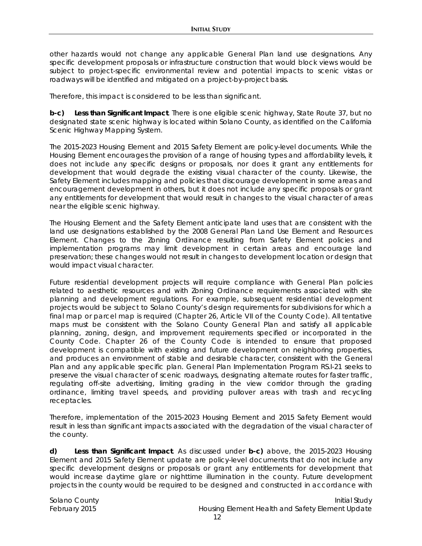other hazards would not change any applicable General Plan land use designations. Any specific development proposals or infrastructure construction that would block views would be subject to project-specific environmental review and potential impacts to scenic vistas or roadways will be identified and mitigated on a project-by-project basis.

Therefore, this impact is considered to be less than significant.

*b-c) Less than Significant Impact*. There is one eligible scenic highway, State Route 37, but no designated state scenic highway is located within Solano County, as identified on the California Scenic Highway Mapping System.

The 2015-2023 Housing Element and 2015 Safety Element are policy-level documents. While the Housing Element encourages the provision of a range of housing types and affordability levels, it does not include any specific designs or proposals, nor does it grant any entitlements for development that would degrade the existing visual character of the county. Likewise, the Safety Element includes mapping and policies that discourage development in some areas and encouragement development in others, but it does not include any specific proposals or grant any entitlements for development that would result in changes to the visual character of areas near the eligible scenic highway.

The Housing Element and the Safety Element anticipate land uses that are consistent with the land use designations established by the 2008 General Plan Land Use Element and Resources Element. Changes to the Zoning Ordinance resulting from Safety Element policies and implementation programs may limit development in certain areas and encourage land preservation; these changes would not result in changes to development location or design that would impact visual character.

Future residential development projects will require compliance with General Plan policies related to aesthetic resources and with Zoning Ordinance requirements associated with site planning and development regulations. For example, subsequent residential development projects would be subject to Solano County's design requirements for subdivisions for which a final map or parcel map is required (Chapter 26, Article VII of the County Code). All tentative maps must be consistent with the Solano County General Plan and satisfy all applicable planning, zoning, design, and improvement requirements specified or incorporated in the County Code. Chapter 26 of the County Code is intended to ensure that proposed development is compatible with existing and future development on neighboring properties, and produces an environment of stable and desirable character, consistent with the General Plan and any applicable specific plan. General Plan Implementation Program RS.I-21 seeks to preserve the visual character of scenic roadways, designating alternate routes for faster traffic, regulating off-site advertising, limiting grading in the view corridor through the grading ordinance, limiting travel speeds, and providing pullover areas with trash and recycling receptacles.

Therefore, implementation of the 2015-2023 Housing Element and 2015 Safety Element would result in less than significant impacts associated with the degradation of the visual character of the county.

*d) Less than Significant Impact*. As discussed under **b-c)** above, the 2015-2023 Housing Element and 2015 Safety Element update are policy-level documents that do not include any specific development designs or proposals or grant any entitlements for development that would increase daytime glare or nighttime illumination in the county. Future development projects in the county would be required to be designed and constructed in accordance with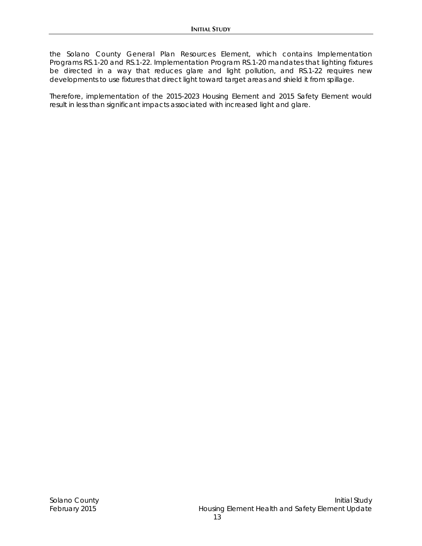the Solano County General Plan Resources Element, which contains Implementation Programs RS.1-20 and RS.1-22. Implementation Program RS.1-20 mandates that lighting fixtures be directed in a way that reduces glare and light pollution, and RS.1-22 requires new developments to use fixtures that direct light toward target areas and shield it from spillage.

Therefore, implementation of the 2015-2023 Housing Element and 2015 Safety Element would result in less than significant impacts associated with increased light and glare.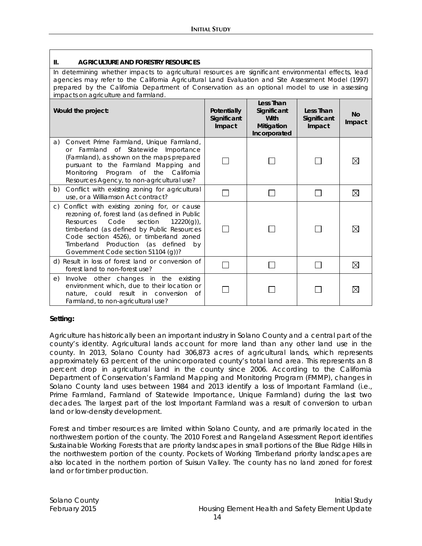## **II. AGRICULTURE AND FORESTRY RESOURCES**

In determining whether impacts to agricultural resources are significant environmental effects, lead agencies may refer to the California Agricultural Land Evaluation and Site Assessment Model (1997) prepared by the California Department of Conservation as an optional model to use in assessing impacts on agriculture and farmland.

| Would the project:                                                                                                                                                                                                                                                                                                                       | Potentially<br>Significant<br>Impact | Less Than<br>Significant<br>With<br>Mitigation<br>Incorporated | Less Than<br>Significant<br>Impact | <b>No</b><br>Impact |
|------------------------------------------------------------------------------------------------------------------------------------------------------------------------------------------------------------------------------------------------------------------------------------------------------------------------------------------|--------------------------------------|----------------------------------------------------------------|------------------------------------|---------------------|
| Convert Prime Farmland, Unique Farmland,<br>a)<br>Farmland of Statewide Importance<br>$\alpha$<br>(Farmland), as shown on the maps prepared<br>pursuant to the Farmland Mapping and<br>Monitoring Program of the California<br>Resources Agency, to non-agricultural use?                                                                |                                      |                                                                |                                    |                     |
| Conflict with existing zoning for agricultural<br>b)<br>use, or a Williamson Act contract?                                                                                                                                                                                                                                               |                                      |                                                                |                                    | $\boxtimes$         |
| Conflict with existing zoning for, or cause<br>$\mathsf{C}$<br>rezoning of, forest land (as defined in Public<br>Code<br>section<br>$12220(g)$ ,<br>Resources<br>timberland (as defined by Public Resources<br>Code section 4526), or timberland zoned<br>Timberland Production (as defined<br>by<br>Government Code section 51104 (g))? |                                      |                                                                |                                    |                     |
| d) Result in loss of forest land or conversion of<br>forest land to non-forest use?                                                                                                                                                                                                                                                      |                                      |                                                                |                                    | $\bowtie$           |
| Involve other changes in the existing<br>e)<br>environment which, due to their location or<br>nature, could result in conversion<br>$\Omega$<br>Farmland, to non-agricultural use?                                                                                                                                                       |                                      |                                                                |                                    |                     |

## **Setting:**

Agriculture has historically been an important industry in Solano County and a central part of the county's identity. Agricultural lands account for more land than any other land use in the county. In 2013, Solano County had 306,873 acres of agricultural lands, which represents approximately 63 percent of the unincorporated county's total land area. This represents an 8 percent drop in agricultural land in the county since 2006. According to the California Department of Conservation's Farmland Mapping and Monitoring Program (FMMP), changes in Solano County land uses between 1984 and 2013 identify a loss of Important Farmland (i.e., Prime Farmland, Farmland of Statewide Importance, Unique Farmland) during the last two decades. The largest part of the lost Important Farmland was a result of conversion to urban land or low-density development.

Forest and timber resources are limited within Solano County, and are primarily located in the northwestern portion of the county. The 2010 Forest and Rangeland Assessment Report identifies Sustainable Working Forests that are priority landscapes in small portions of the Blue Ridge Hills in the northwestern portion of the county. Pockets of Working Timberland priority landscapes are also located in the northern portion of Suisun Valley. The county has no land zoned for forest land or for timber production.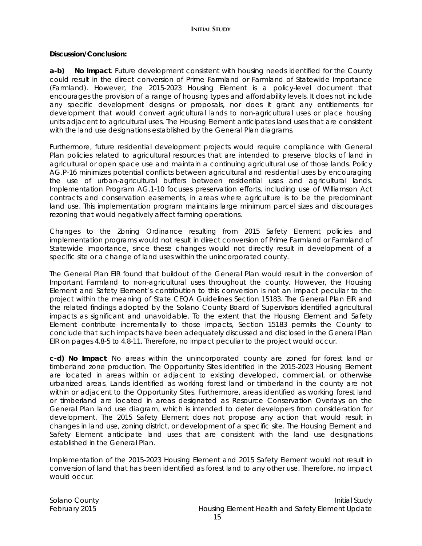### **Discussion/Conclusion:**

*a-b) No Impact*. Future development consistent with housing needs identified for the County could result in the direct conversion of Prime Farmland or Farmland of Statewide Importance (Farmland). However, the 2015-2023 Housing Element is a policy-level document that encourages the provision of a range of housing types and affordability levels. It does not include any specific development designs or proposals, nor does it grant any entitlements for development that would convert agricultural lands to non-agricultural uses or place housing units adjacent to agricultural uses. The Housing Element anticipates land uses that are consistent with the land use designations established by the General Plan diagrams.

Furthermore, future residential development projects would require compliance with General Plan policies related to agricultural resources that are intended to preserve blocks of land in agricultural or open space use and maintain a continuing agricultural use of those lands. Policy AG.P-16 minimizes potential conflicts between agricultural and residential uses by encouraging the use of urban-agricultural buffers between residential uses and agricultural lands. Implementation Program AG.1-10 focuses preservation efforts, including use of Williamson Act contracts and conservation easements, in areas where agriculture is to be the predominant land use. This implementation program maintains large minimum parcel sizes and discourages rezoning that would negatively affect farming operations.

Changes to the Zoning Ordinance resulting from 2015 Safety Element policies and implementation programs would not result in direct conversion of Prime Farmland or Farmland of Statewide Importance, since these changes would not directly result in development of a specific site or a change of land uses within the unincorporated county.

The General Plan EIR found that buildout of the General Plan would result in the conversion of Important Farmland to non-agricultural uses throughout the county. However, the Housing Element and Safety Element's contribution to this conversion is not an impact peculiar to the project within the meaning of State CEQA Guidelines Section 15183. The General Plan EIR and the related findings adopted by the Solano County Board of Supervisors identified agricultural impacts as significant and unavoidable. To the extent that the Housing Element and Safety Element contribute incrementally to those impacts, Section 15183 permits the County to conclude that such impacts have been adequately discussed and disclosed in the General Plan EIR on pages 4.8-5 to 4.8-11. Therefore, no impact peculiar to the project would occur.

*c-d) No Impact*. No areas within the unincorporated county are zoned for forest land or timberland zone production. The Opportunity Sites identified in the 2015-2023 Housing Element are located in areas within or adjacent to existing developed, commercial, or otherwise urbanized areas. Lands identified as working forest land or timberland in the county are not within or adjacent to the Opportunity Sites. Furthermore, areas identified as working forest land or timberland are located in areas designated as Resource Conservation Overlays on the General Plan land use diagram, which is intended to deter developers from consideration for development. The 2015 Safety Element does not propose any action that would result in changes in land use, zoning district, or development of a specific site. The Housing Element and Safety Element anticipate land uses that are consistent with the land use designations established in the General Plan.

Implementation of the 2015-2023 Housing Element and 2015 Safety Element would not result in conversion of land that has been identified as forest land to any other use. Therefore, no impact would occur.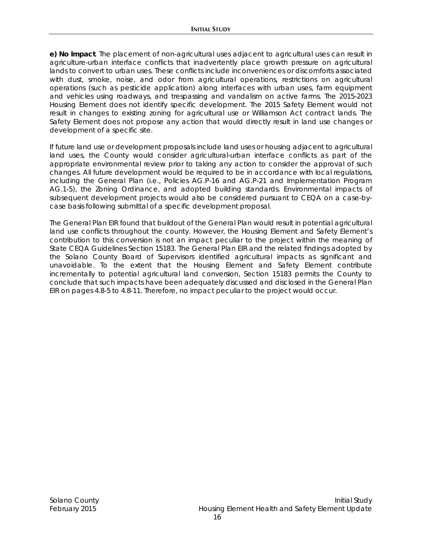*e) No Impact*. The placement of non-agricultural uses adjacent to agricultural uses can result in agriculture-urban interface conflicts that inadvertently place growth pressure on agricultural lands to convert to urban uses. These conflicts include inconveniences or discomforts associated with dust, smoke, noise, and odor from agricultural operations, restrictions on agricultural operations (such as pesticide application) along interfaces with urban uses, farm equipment and vehicles using roadways, and trespassing and vandalism on active farms. The 2015-2023 Housing Element does not identify specific development. The 2015 Safety Element would not result in changes to existing zoning for agricultural use or Williamson Act contract lands. The Safety Element does not propose any action that would directly result in land use changes or development of a specific site.

If future land use or development proposals include land uses or housing adjacent to agricultural land uses, the County would consider agricultural-urban interface conflicts as part of the appropriate environmental review prior to taking any action to consider the approval of such changes. All future development would be required to be in accordance with local regulations, including the General Plan (i.e., Policies AG.P-16 and AG.P-21 and Implementation Program AG.1-5), the Zoning Ordinance, and adopted building standards. Environmental impacts of subsequent development projects would also be considered pursuant to CEQA on a case-bycase basis following submittal of a specific development proposal.

The General Plan EIR found that buildout of the General Plan would result in potential agricultural land use conflicts throughout the county. However, the Housing Element and Safety Element's contribution to this conversion is not an impact peculiar to the project within the meaning of State CEQA Guidelines Section 15183. The General Plan EIR and the related findings adopted by the Solano County Board of Supervisors identified agricultural impacts as significant and unavoidable. To the extent that the Housing Element and Safety Element contribute incrementally to potential agricultural land conversion, Section 15183 permits the County to conclude that such impacts have been adequately discussed and disclosed in the General Plan EIR on pages 4.8-5 to 4.8-11. Therefore, no impact peculiar to the project would occur.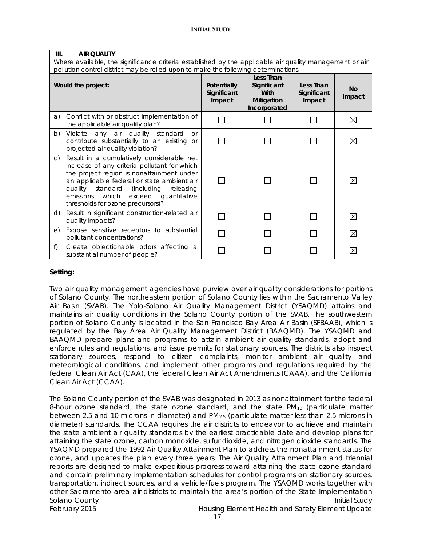| III.         | <b>AIR QUALITY</b>                                                                                                                                                                                                                                                                                              |                                      |                                                                       |                                    |                     |
|--------------|-----------------------------------------------------------------------------------------------------------------------------------------------------------------------------------------------------------------------------------------------------------------------------------------------------------------|--------------------------------------|-----------------------------------------------------------------------|------------------------------------|---------------------|
|              | Where available, the significance criteria established by the applicable air quality management or air<br>pollution control district may be relied upon to make the following determinations.                                                                                                                   |                                      |                                                                       |                                    |                     |
|              | Would the project:                                                                                                                                                                                                                                                                                              | Potentially<br>Significant<br>Impact | Less Than<br>Significant<br>With<br><b>Mitigation</b><br>Incorporated | Less Than<br>Significant<br>Impact | <b>No</b><br>Impact |
| a)           | Conflict with or obstruct implementation of<br>the applicable air quality plan?                                                                                                                                                                                                                                 |                                      |                                                                       |                                    | $\boxtimes$         |
| b)           | Violate any air quality standard<br>$\alpha$<br>contribute substantially to an existing or<br>projected air quality violation?                                                                                                                                                                                  |                                      |                                                                       |                                    | $\boxtimes$         |
| $\mathsf{C}$ | Result in a cumulatively considerable net<br>increase of any criteria pollutant for which<br>the project region is nonattainment under<br>an applicable federal or state ambient air<br>quality standard (including<br>releasing<br>which exceed quantitative<br>emissions<br>thresholds for ozone precursors)? |                                      |                                                                       |                                    | $\boxtimes$         |
| $\mathsf{d}$ | Result in significant construction-related air<br>quality impacts?                                                                                                                                                                                                                                              |                                      |                                                                       |                                    | $\boxtimes$         |
| $\epsilon$   | Expose sensitive receptors to substantial<br>pollutant concentrations?                                                                                                                                                                                                                                          |                                      |                                                                       |                                    | $\boxtimes$         |
| f)           | Create objectionable odors affecting a<br>substantial number of people?                                                                                                                                                                                                                                         |                                      |                                                                       |                                    | ⊠                   |

### **Setting:**

Two air quality management agencies have purview over air quality considerations for portions of Solano County. The northeastern portion of Solano County lies within the Sacramento Valley Air Basin (SVAB). The Yolo-Solano Air Quality Management District (YSAQMD) attains and maintains air quality conditions in the Solano County portion of the SVAB. The southwestern portion of Solano County is located in the San Francisco Bay Area Air Basin (SFBAAB), which is regulated by the Bay Area Air Quality Management District (BAAQMD). The YSAQMD and BAAQMD prepare plans and programs to attain ambient air quality standards, adopt and enforce rules and regulations, and issue permits for stationary sources. The districts also inspect stationary sources, respond to citizen complaints, monitor ambient air quality and meteorological conditions, and implement other programs and regulations required by the federal Clean Air Act (CAA), the federal Clean Air Act Amendments (CAAA), and the California Clean Air Act (CCAA).

Solano County **Initial Study** Initial Study **Initial Study** Initial Study **Initial Study** February 2015 **Housing Element Health and Safety Element Update** The Solano County portion of the SVAB was designated in 2013 as nonattainment for the federal 8-hour ozone standard, the state ozone standard, and the state  $PM_{10}$  (particulate matter between 2.5 and 10 microns in diameter) and PM2.5 (particulate matter less than 2.5 microns in diameter) standards. The CCAA requires the air districts to endeavor to achieve and maintain the state ambient air quality standards by the earliest practicable date and develop plans for attaining the state ozone, carbon monoxide, sulfur dioxide, and nitrogen dioxide standards. The YSAQMD prepared the 1992 Air Quality Attainment Plan to address the nonattainment status for ozone, and updates the plan every three years. The Air Quality Attainment Plan and triennial reports are designed to make expeditious progress toward attaining the state ozone standard and contain preliminary implementation schedules for control programs on stationary sources, transportation, indirect sources, and a vehicle/fuels program. The YSAQMD works together with other Sacramento area air districts to maintain the area's portion of the State Implementation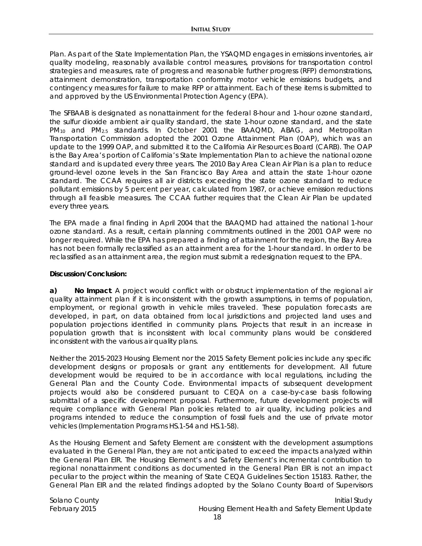Plan. As part of the State Implementation Plan, the YSAQMD engages in emissions inventories, air quality modeling, reasonably available control measures, provisions for transportation control strategies and measures, rate of progress and reasonable further progress (RFP) demonstrations, attainment demonstration, transportation conformity motor vehicle emissions budgets, and contingency measures for failure to make RFP or attainment. Each of these items is submitted to and approved by the US Environmental Protection Agency (EPA).

The SFBAAB is designated as nonattainment for the federal 8-hour and 1-hour ozone standard, the sulfur dioxide ambient air quality standard, the state 1-hour ozone standard, and the state PM10 and PM2.5 standards. In October 2001 the BAAQMD, ABAG, and Metropolitan Transportation Commission adopted the 2001 Ozone Attainment Plan (OAP), which was an update to the 1999 OAP, and submitted it to the California Air Resources Board (CARB). The OAP is the Bay Area's portion of California's State Implementation Plan to achieve the national ozone standard and is updated every three years. The 2010 Bay Area Clean Air Plan is a plan to reduce ground-level ozone levels in the San Francisco Bay Area and attain the state 1-hour ozone standard. The CCAA requires all air districts exceeding the state ozone standard to reduce pollutant emissions by 5 percent per year, calculated from 1987, or achieve emission reductions through all feasible measures. The CCAA further requires that the Clean Air Plan be updated every three years.

The EPA made a final finding in April 2004 that the BAAQMD had attained the national 1-hour ozone standard. As a result, certain planning commitments outlined in the 2001 OAP were no longer required. While the EPA has prepared a finding of attainment for the region, the Bay Area has not been formally reclassified as an attainment area for the 1-hour standard. In order to be reclassified as an attainment area, the region must submit a redesignation request to the EPA.

## **Discussion/Conclusion:**

**a)** *No Impact*. A project would conflict with or obstruct implementation of the regional air quality attainment plan if it is inconsistent with the growth assumptions, in terms of population, employment, or regional growth in vehicle miles traveled. These population forecasts are developed, in part, on data obtained from local jurisdictions and projected land uses and population projections identified in community plans. Projects that result in an increase in population growth that is inconsistent with local community plans would be considered inconsistent with the various air quality plans.

Neither the 2015-2023 Housing Element nor the 2015 Safety Element policies include any specific development designs or proposals or grant any entitlements for development. All future development would be required to be in accordance with local regulations, including the General Plan and the County Code. Environmental impacts of subsequent development projects would also be considered pursuant to CEQA on a case-by-case basis following submittal of a specific development proposal. Furthermore, future development projects will require compliance with General Plan policies related to air quality, including policies and programs intended to reduce the consumption of fossil fuels and the use of private motor vehicles (Implementation Programs HS.1-54 and HS.1-58).

As the Housing Element and Safety Element are consistent with the development assumptions evaluated in the General Plan, they are not anticipated to exceed the impacts analyzed within the General Plan EIR. The Housing Element's and Safety Element's incremental contribution to regional nonattainment conditions as documented in the General Plan EIR is not an impact peculiar to the project within the meaning of State CEQA Guidelines Section 15183. Rather, the General Plan EIR and the related findings adopted by the Solano County Board of Supervisors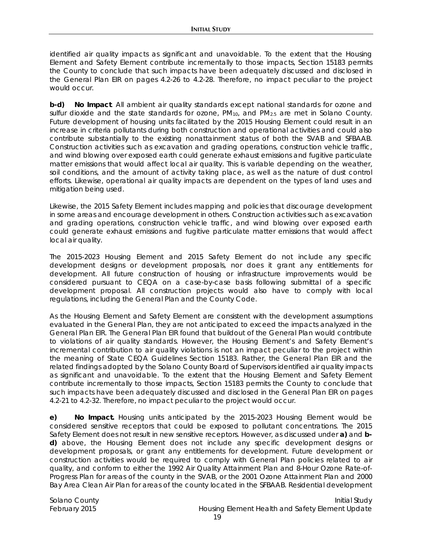identified air quality impacts as significant and unavoidable. To the extent that the Housing Element and Safety Element contribute incrementally to those impacts, Section 15183 permits the County to conclude that such impacts have been adequately discussed and disclosed in the General Plan EIR on pages 4.2-26 to 4.2-28. Therefore, no impact peculiar to the project would occur.

*b-d) No Impact*. All ambient air quality standards except national standards for ozone and sulfur dioxide and the state standards for ozone, PM<sub>10</sub>, and PM<sub>2.5</sub> are met in Solano County. Future development of housing units facilitated by the 2015 Housing Element could result in an increase in criteria pollutants during both construction and operational activities and could also contribute substantially to the existing nonattainment status of both the SVAB and SFBAAB. Construction activities such as excavation and grading operations, construction vehicle traffic, and wind blowing over exposed earth could generate exhaust emissions and fugitive particulate matter emissions that would affect local air quality. This is variable depending on the weather, soil conditions, and the amount of activity taking place, as well as the nature of dust control efforts. Likewise, operational air quality impacts are dependent on the types of land uses and mitigation being used.

Likewise, the 2015 Safety Element includes mapping and policies that discourage development in some areas and encourage development in others. Construction activities such as excavation and grading operations, construction vehicle traffic, and wind blowing over exposed earth could generate exhaust emissions and fugitive particulate matter emissions that would affect local air quality.

The 2015-2023 Housing Element and 2015 Safety Element do not include any specific development designs or development proposals, nor does it grant any entitlements for development. All future construction of housing or infrastructure improvements would be considered pursuant to CEQA on a case-by-case basis following submittal of a specific development proposal. All construction projects would also have to comply with local regulations, including the General Plan and the County Code.

As the Housing Element and Safety Element are consistent with the development assumptions evaluated in the General Plan, they are not anticipated to exceed the impacts analyzed in the General Plan EIR. The General Plan EIR found that buildout of the General Plan would contribute to violations of air quality standards. However, the Housing Element's and Safety Element's incremental contribution to air quality violations is not an impact peculiar to the project within the meaning of State CEQA Guidelines Section 15183. Rather, the General Plan EIR and the related findings adopted by the Solano County Board of Supervisors identified air quality impacts as significant and unavoidable. To the extent that the Housing Element and Safety Element contribute incrementally to those impacts, Section 15183 permits the County to conclude that such impacts have been adequately discussed and disclosed in the General Plan EIR on pages 4.2-21 to 4.2-32. Therefore, no impact peculiar to the project would occur.

*e) No Impact***.** Housing units anticipated by the 2015-2023 Housing Element would be considered sensitive receptors that could be exposed to pollutant concentrations. The 2015 Safety Element does not result in new sensitive receptors. However, as discussed under **a)** and **bd)** above, the Housing Element does not include any specific development designs or development proposals, or grant any entitlements for development. Future development or construction activities would be required to comply with General Plan policies related to air quality, and conform to either the 1992 Air Quality Attainment Plan and 8-Hour Ozone Rate-of-Progress Plan for areas of the county in the SVAB, or the 2001 Ozone Attainment Plan and 2000 Bay Area Clean Air Plan for areas of the county located in the SFBAAB. Residential development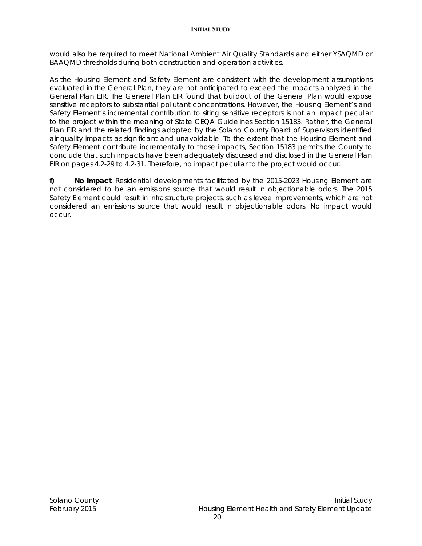would also be required to meet National Ambient Air Quality Standards and either YSAQMD or BAAQMD thresholds during both construction and operation activities.

As the Housing Element and Safety Element are consistent with the development assumptions evaluated in the General Plan, they are not anticipated to exceed the impacts analyzed in the General Plan EIR. The General Plan EIR found that buildout of the General Plan would expose sensitive receptors to substantial pollutant concentrations. However, the Housing Element's and Safety Element's incremental contribution to siting sensitive receptors is not an impact peculiar to the project within the meaning of State CEQA Guidelines Section 15183. Rather, the General Plan EIR and the related findings adopted by the Solano County Board of Supervisors identified air quality impacts as significant and unavoidable. To the extent that the Housing Element and Safety Element contribute incrementally to those impacts, Section 15183 permits the County to conclude that such impacts have been adequately discussed and disclosed in the General Plan EIR on pages 4.2-29 to 4.2-31. Therefore, no impact peculiar to the project would occur.

*f) No Impact*. Residential developments facilitated by the 2015-2023 Housing Element are not considered to be an emissions source that would result in objectionable odors. The 2015 Safety Element could result in infrastructure projects, such as levee improvements, which are not considered an emissions source that would result in objectionable odors. No impact would occur.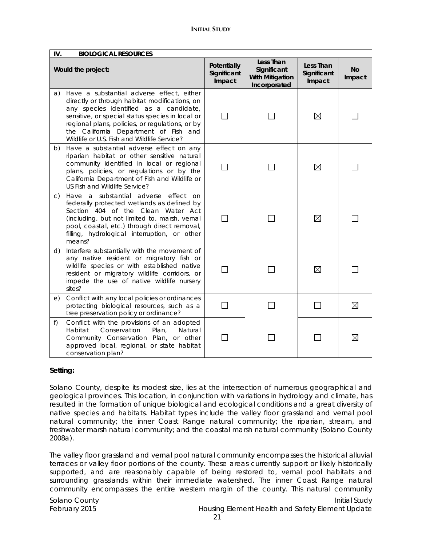| IV.          | <b>BIOLOGICAL RESOURCES</b>                                                                                                                                                                                                                                                                                                         |                                      |                                                                    |                                    |                     |
|--------------|-------------------------------------------------------------------------------------------------------------------------------------------------------------------------------------------------------------------------------------------------------------------------------------------------------------------------------------|--------------------------------------|--------------------------------------------------------------------|------------------------------------|---------------------|
|              | Would the project:                                                                                                                                                                                                                                                                                                                  | Potentially<br>Significant<br>Impact | Less Than<br>Significant<br><b>With Mitigation</b><br>Incorporated | Less Than<br>Significant<br>Impact | <b>No</b><br>Impact |
| a)           | Have a substantial adverse effect, either<br>directly or through habitat modifications, on<br>any species identified as a candidate,<br>sensitive, or special status species in local or<br>regional plans, policies, or regulations, or by<br>the California Department of Fish and<br>Wildlife or U.S. Fish and Wildlife Service? |                                      |                                                                    | $\boxtimes$                        |                     |
| b)           | Have a substantial adverse effect on any<br>riparian habitat or other sensitive natural<br>community identified in local or regional<br>plans, policies, or regulations or by the<br>California Department of Fish and Wildlife or<br>US Fish and Wildlife Service?                                                                 |                                      |                                                                    | $\boxtimes$                        |                     |
| $\mathsf{C}$ | Have a substantial adverse effect on<br>federally protected wetlands as defined by<br>Section 404 of the Clean Water Act<br>(including, but not limited to, marsh, vernal<br>pool, coastal, etc.) through direct removal,<br>filling, hydrological interruption, or other<br>means?                                                 |                                      |                                                                    | ⊠                                  |                     |
| (d)          | Interfere substantially with the movement of<br>any native resident or migratory fish or<br>wildlife species or with established native<br>resident or migratory wildlife corridors, or<br>impede the use of native wildlife nursery<br>sites?                                                                                      | ┓                                    |                                                                    | $\boxtimes$                        |                     |
| e)           | Conflict with any local policies or ordinances<br>protecting biological resources, such as a<br>tree preservation policy or ordinance?                                                                                                                                                                                              | П                                    |                                                                    | $\sim$                             | $\boxtimes$         |
| f)           | Conflict with the provisions of an adopted<br>Natural<br>Habitat<br>Conservation<br>Plan.<br>Community Conservation Plan, or other<br>approved local, regional, or state habitat<br>conservation plan?                                                                                                                              |                                      |                                                                    |                                    | $\boxtimes$         |

#### **Setting:**

Solano County, despite its modest size, lies at the intersection of numerous geographical and geological provinces. This location, in conjunction with variations in hydrology and climate, has resulted in the formation of unique biological and ecological conditions and a great diversity of native species and habitats. Habitat types include the valley floor grassland and vernal pool natural community; the inner Coast Range natural community; the riparian, stream, and freshwater marsh natural community; and the coastal marsh natural community (Solano County 2008a).

The valley floor grassland and vernal pool natural community encompasses the historical alluvial terraces or valley floor portions of the county. These areas currently support or likely historically supported, and are reasonably capable of being restored to, vernal pool habitats and surrounding grasslands within their immediate watershed. The inner Coast Range natural community encompasses the entire western margin of the county. This natural community

Solano County **Initial Study Initial Study Initial Study Initial Study Initial Study** February 2015 **Housing Element Health and Safety Element Update**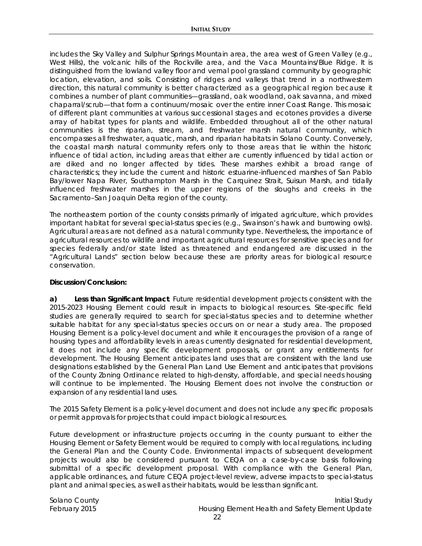includes the Sky Valley and Sulphur Springs Mountain area, the area west of Green Valley (e.g., West Hills), the volcanic hills of the Rockville area, and the Vaca Mountains/Blue Ridge. It is distinguished from the lowland valley floor and vernal pool grassland community by geographic location, elevation, and soils. Consisting of ridges and valleys that trend in a northwestern direction, this natural community is better characterized as a geographical region because it combines a number of plant communities—grassland, oak woodland, oak savanna, and mixed chaparral/scrub—that form a continuum/mosaic over the entire inner Coast Range. This mosaic of different plant communities at various successional stages and ecotones provides a diverse array of habitat types for plants and wildlife. Embedded throughout all of the other natural communities is the riparian, stream, and freshwater marsh natural community, which encompasses all freshwater, aquatic, marsh, and riparian habitats in Solano County. Conversely, the coastal marsh natural community refers only to those areas that lie within the historic influence of tidal action, including areas that either are currently influenced by tidal action or are diked and no longer affected by tides. These marshes exhibit a broad range of characteristics; they include the current and historic estuarine-influenced marshes of San Pablo Bay/lower Napa River, Southampton Marsh in the Carquinez Strait, Suisun Marsh, and tidally influenced freshwater marshes in the upper regions of the sloughs and creeks in the Sacramento–San Joaquin Delta region of the county.

The northeastern portion of the county consists primarily of irrigated agriculture, which provides important habitat for several special-status species (e.g., Swainson's hawk and burrowing owls). Agricultural areas are not defined as a natural community type. Nevertheless, the importance of agricultural resources to wildlife and important agricultural resources for sensitive species and for species federally and/or state listed as threatened and endangered are discussed in the "Agricultural Lands" section below because these are priority areas for biological resource conservation.

## **Discussion/Conclusion:**

*a) Less than Significant Impact*. Future residential development projects consistent with the 2015-2023 Housing Element could result in impacts to biological resources. Site-specific field studies are generally required to search for special-status species and to determine whether suitable habitat for any special-status species occurs on or near a study area. The proposed Housing Element is a policy-level document and while it encourages the provision of a range of housing types and affordability levels in areas currently designated for residential development, it does not include any specific development proposals, or grant any entitlements for development. The Housing Element anticipates land uses that are consistent with the land use designations established by the General Plan Land Use Element and anticipates that provisions of the County Zoning Ordinance related to high-density, affordable, and special needs housing will continue to be implemented. The Housing Element does not involve the construction or expansion of any residential land uses.

The 2015 Safety Element is a policy-level document and does not include any specific proposals or permit approvals for projects that could impact biological resources.

Future development or infrastructure projects occurring in the county pursuant to either the Housing Element or Safety Element would be required to comply with local regulations, including the General Plan and the County Code. Environmental impacts of subsequent development projects would also be considered pursuant to CEQA on a case-by-case basis following submittal of a specific development proposal. With compliance with the General Plan, applicable ordinances, and future CEQA project-level review, adverse impacts to special-status plant and animal species, as well as their habitats, would be less than significant.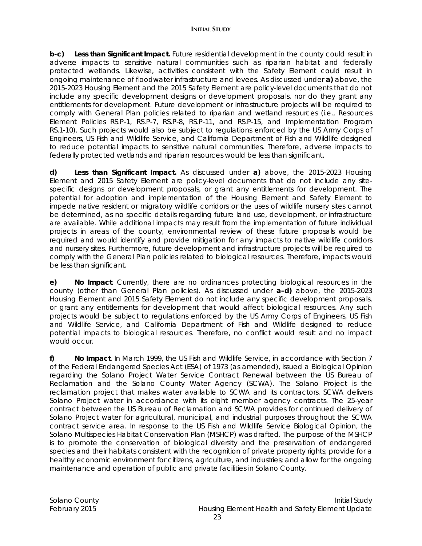*b-c) Less than Significant Impact.* Future residential development in the county could result in adverse impacts to sensitive natural communities such as riparian habitat and federally protected wetlands. Likewise, activities consistent with the Safety Element could result in ongoing maintenance of floodwater infrastructure and levees. As discussed under **a)** above, the 2015-2023 Housing Element and the 2015 Safety Element are policy-level documents that do not include any specific development designs or development proposals, nor do they grant any entitlements for development. Future development or infrastructure projects will be required to comply with General Plan policies related to riparian and wetland resources (i.e., Resources Element Policies RS.P-1, RS.P-7, RS.P-8, RS.P-11, and RS.P-15, and Implementation Program RS.1-10). Such projects would also be subject to regulations enforced by the US Army Corps of Engineers, US Fish and Wildlife Service, and California Department of Fish and Wildlife designed to reduce potential impacts to sensitive natural communities. Therefore, adverse impacts to federally protected wetlands and riparian resources would be less than significant.

*d) Less than Significant Impact.* As discussed under **a)** above, the 2015-2023 Housing Element and 2015 Safety Element are policy-level documents that do not include any sitespecific designs or development proposals, or grant any entitlements for development. The potential for adoption and implementation of the Housing Element and Safety Element to impede native resident or migratory wildlife corridors or the uses of wildlife nursery sites cannot be determined, as no specific details regarding future land use, development, or infrastructure are available. While additional impacts may result from the implementation of future individual projects in areas of the county, environmental review of these future proposals would be required and would identify and provide mitigation for any impacts to native wildlife corridors and nursery sites. Furthermore, future development and infrastructure projects will be required to comply with the General Plan policies related to biological resources. Therefore, impacts would be less than significant.

*e) No Impact*. Currently, there are no ordinances protecting biological resources in the county (other than General Plan policies). As discussed under **a–d)** above, the 2015-2023 Housing Element and 2015 Safety Element do not include any specific development proposals, or grant any entitlements for development that would affect biological resources. Any such projects would be subject to regulations enforced by the US Army Corps of Engineers, US Fish and Wildlife Service, and California Department of Fish and Wildlife designed to reduce potential impacts to biological resources. Therefore, no conflict would result and no impact would occur.

*f) No Impact*. In March 1999, the US Fish and Wildlife Service, in accordance with Section 7 of the Federal Endangered Species Act (ESA) of 1973 (as amended), issued a Biological Opinion regarding the Solano Project Water Service Contract Renewal between the US Bureau of Reclamation and the Solano County Water Agency (SCWA). The Solano Project is the reclamation project that makes water available to SCWA and its contractors. SCWA delivers Solano Project water in accordance with its eight member agency contracts. The 25-year contract between the US Bureau of Reclamation and SCWA provides for continued delivery of Solano Project water for agricultural, municipal, and industrial purposes throughout the SCWA contract service area. In response to the US Fish and Wildlife Service Biological Opinion, the Solano Multispecies Habitat Conservation Plan (MSHCP) was drafted. The purpose of the MSHCP is to promote the conservation of biological diversity and the preservation of endangered species and their habitats consistent with the recognition of private property rights; provide for a healthy economic environment for citizens, agriculture, and industries; and allow for the ongoing maintenance and operation of public and private facilities in Solano County.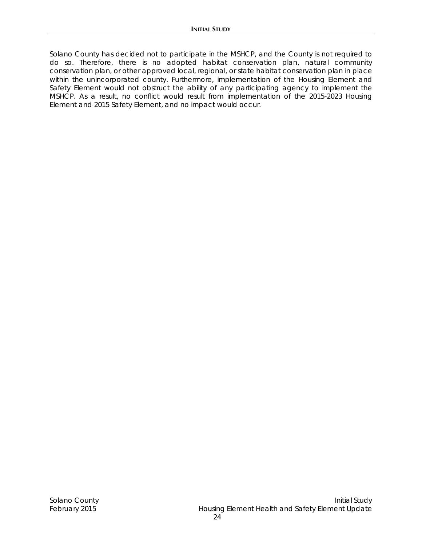Solano County has decided not to participate in the MSHCP, and the County is not required to do so. Therefore, there is no adopted habitat conservation plan, natural community conservation plan, or other approved local, regional, or state habitat conservation plan in place within the unincorporated county. Furthermore, implementation of the Housing Element and Safety Element would not obstruct the ability of any participating agency to implement the MSHCP. As a result, no conflict would result from implementation of the 2015-2023 Housing Element and 2015 Safety Element, and no impact would occur.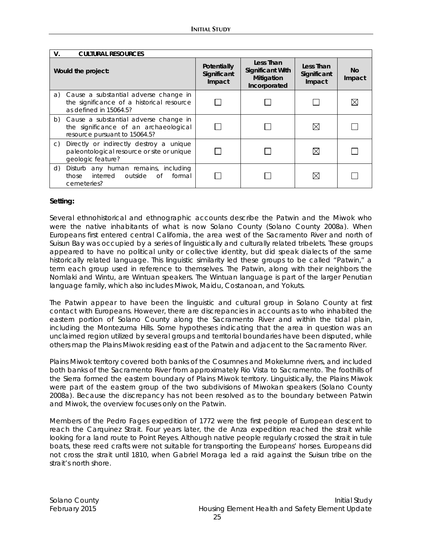| V.           | <b>CULTURAL RESOURCES</b>                                                                                          |                                      |                                                                           |                                    |                     |
|--------------|--------------------------------------------------------------------------------------------------------------------|--------------------------------------|---------------------------------------------------------------------------|------------------------------------|---------------------|
|              | Would the project:                                                                                                 | Potentially<br>Significant<br>Impact | Less Than<br><b>Significant With</b><br><b>Mitigation</b><br>Incorporated | Less Than<br>Significant<br>Impact | <b>No</b><br>Impact |
| a)           | Cause a substantial adverse change in<br>the significance of a historical resource<br>as defined in 15064.5?       |                                      |                                                                           |                                    | $\bowtie$           |
|              | b) Cause a substantial adverse change in<br>the significance of an archaeological<br>resource pursuant to 15064.5? |                                      |                                                                           |                                    |                     |
| $\mathsf{C}$ | Directly or indirectly destroy a unique<br>paleontological resource or site or unique<br>geologic feature?         |                                      |                                                                           | IX                                 |                     |
| d)           | Disturb any human remains, including<br>interred outside of<br>formal<br>those<br>cemeteries?                      |                                      |                                                                           |                                    |                     |

## **Setting:**

Several ethnohistorical and ethnographic accounts describe the Patwin and the Miwok who were the native inhabitants of what is now Solano County (Solano County 2008a). When Europeans first entered central California, the area west of the Sacramento River and north of Suisun Bay was occupied by a series of linguistically and culturally related tribelets. These groups appeared to have no political unity or collective identity, but did speak dialects of the same historically related language. This linguistic similarity led these groups to be called "Patwin," a term each group used in reference to themselves. The Patwin, along with their neighbors the Nomlaki and Wintu, are Wintuan speakers. The Wintuan language is part of the larger Penutian language family, which also includes Miwok, Maidu, Costanoan, and Yokuts.

The Patwin appear to have been the linguistic and cultural group in Solano County at first contact with Europeans. However, there are discrepancies in accounts as to who inhabited the eastern portion of Solano County along the Sacramento River and within the tidal plain, including the Montezuma Hills. Some hypotheses indicating that the area in question was an unclaimed region utilized by several groups and territorial boundaries have been disputed, while others map the Plains Miwok residing east of the Patwin and adjacent to the Sacramento River.

Plains Miwok territory covered both banks of the Cosumnes and Mokelumne rivers, and included both banks of the Sacramento River from approximately Rio Vista to Sacramento. The foothills of the Sierra formed the eastern boundary of Plains Miwok territory. Linguistically, the Plains Miwok were part of the eastern group of the two subdivisions of Miwokan speakers (Solano County 2008a). Because the discrepancy has not been resolved as to the boundary between Patwin and Miwok, the overview focuses only on the Patwin.

Members of the Pedro Fages expedition of 1772 were the first people of European descent to reach the Carquinez Strait. Four years later, the de Anza expedition reached the strait while looking for a land route to Point Reyes. Although native people regularly crossed the strait in tule boats, these reed crafts were not suitable for transporting the Europeans' horses. Europeans did not cross the strait until 1810, when Gabriel Moraga led a raid against the Suisun tribe on the strait's north shore.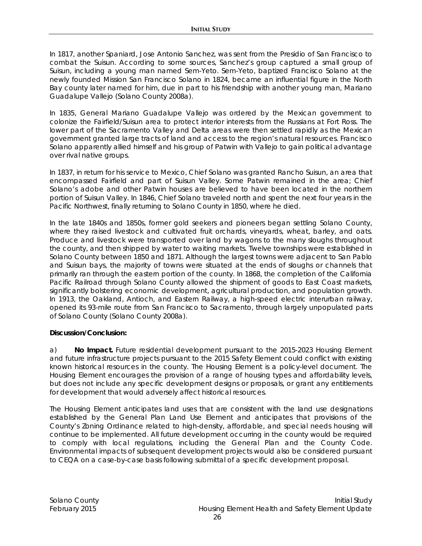In 1817, another Spaniard, Jose Antonio Sanchez, was sent from the Presidio of San Francisco to combat the Suisun. According to some sources, Sanchez's group captured a small group of Suisun, including a young man named Sem-Yeto. Sem-Yeto, baptized Francisco Solano at the newly founded Mission San Francisco Solano in 1824, became an influential figure in the North Bay county later named for him, due in part to his friendship with another young man, Mariano Guadalupe Vallejo (Solano County 2008a).

In 1835, General Mariano Guadalupe Vallejo was ordered by the Mexican government to colonize the Fairfield/Suisun area to protect interior interests from the Russians at Fort Ross. The lower part of the Sacramento Valley and Delta areas were then settled rapidly as the Mexican government granted large tracts of land and access to the region's natural resources. Francisco Solano apparently allied himself and his group of Patwin with Vallejo to gain political advantage over rival native groups.

In 1837, in return for his service to Mexico, Chief Solano was granted Rancho Suisun, an area that encompassed Fairfield and part of Suisun Valley. Some Patwin remained in the area; Chief Solano's adobe and other Patwin houses are believed to have been located in the northern portion of Suisun Valley. In 1846, Chief Solano traveled north and spent the next four years in the Pacific Northwest, finally returning to Solano County in 1850, where he died.

In the late 1840s and 1850s, former gold seekers and pioneers began settling Solano County, where they raised livestock and cultivated fruit orchards, vineyards, wheat, barley, and oats. Produce and livestock were transported over land by wagons to the many sloughs throughout the county, and then shipped by water to waiting markets. Twelve townships were established in Solano County between 1850 and 1871. Although the largest towns were adjacent to San Pablo and Suisun bays, the majority of towns were situated at the ends of sloughs or channels that primarily ran through the eastern portion of the county. In 1868, the completion of the California Pacific Railroad through Solano County allowed the shipment of goods to East Coast markets, significantly bolstering economic development, agricultural production, and population growth. In 1913, the Oakland, Antioch, and Eastern Railway, a high-speed electric interurban railway, opened its 93-mile route from San Francisco to Sacramento, through largely unpopulated parts of Solano County (Solano County 2008a).

## **Discussion/Conclusion:**

a) *No Impact.* Future residential development pursuant to the 2015-2023 Housing Element and future infrastructure projects pursuant to the 2015 Safety Element could conflict with existing known historical resources in the county. The Housing Element is a policy-level document. The Housing Element encourages the provision of a range of housing types and affordability levels, but does not include any specific development designs or proposals, or grant any entitlements for development that would adversely affect historical resources.

The Housing Element anticipates land uses that are consistent with the land use designations established by the General Plan Land Use Element and anticipates that provisions of the County's Zoning Ordinance related to high-density, affordable, and special needs housing will continue to be implemented. All future development occurring in the county would be required to comply with local regulations, including the General Plan and the County Code. Environmental impacts of subsequent development projects would also be considered pursuant to CEQA on a case-by-case basis following submittal of a specific development proposal.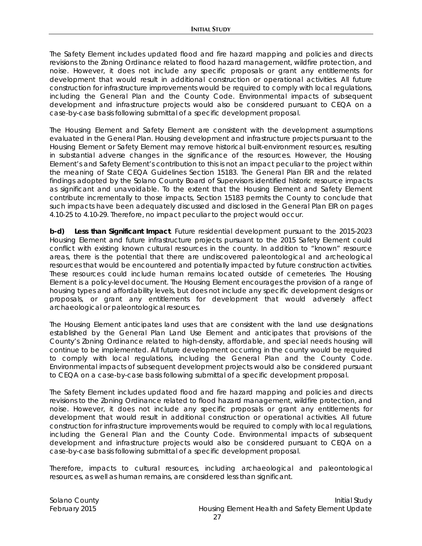The Safety Element includes updated flood and fire hazard mapping and policies and directs revisions to the Zoning Ordinance related to flood hazard management, wildfire protection, and noise. However, it does not include any specific proposals or grant any entitlements for development that would result in additional construction or operational activities. All future construction for infrastructure improvements would be required to comply with local regulations, including the General Plan and the County Code. Environmental impacts of subsequent development and infrastructure projects would also be considered pursuant to CEQA on a case-by-case basis following submittal of a specific development proposal.

The Housing Element and Safety Element are consistent with the development assumptions evaluated in the General Plan. Housing development and infrastructure projects pursuant to the Housing Element or Safety Element may remove historical built-environment resources, resulting in substantial adverse changes in the significance of the resources. However, the Housing Element's and Safety Element's contribution to this is not an impact peculiar to the project within the meaning of State CEQA Guidelines Section 15183. The General Plan EIR and the related findings adopted by the Solano County Board of Supervisors identified historic resource impacts as significant and unavoidable. To the extent that the Housing Element and Safety Element contribute incrementally to those impacts, Section 15183 permits the County to conclude that such impacts have been adequately discussed and disclosed in the General Plan EIR on pages 4.10-25 to 4.10-29. Therefore, no impact peculiar to the project would occur.

*b-d) Less than Significant Impact*. Future residential development pursuant to the 2015-2023 Housing Element and future infrastructure projects pursuant to the 2015 Safety Element could conflict with existing known cultural resources in the county. In addition to "known" resource areas, there is the potential that there are undiscovered paleontological and archeological resources that would be encountered and potentially impacted by future construction activities. These resources could include human remains located outside of cemeteries. The Housing Element is a policy-level document. The Housing Element encourages the provision of a range of housing types and affordability levels, but does not include any specific development designs or proposals, or grant any entitlements for development that would adversely affect archaeological or paleontological resources.

The Housing Element anticipates land uses that are consistent with the land use designations established by the General Plan Land Use Element and anticipates that provisions of the County's Zoning Ordinance related to high-density, affordable, and special needs housing will continue to be implemented. All future development occurring in the county would be required to comply with local regulations, including the General Plan and the County Code. Environmental impacts of subsequent development projects would also be considered pursuant to CEQA on a case-by-case basis following submittal of a specific development proposal.

The Safety Element includes updated flood and fire hazard mapping and policies and directs revisions to the Zoning Ordinance related to flood hazard management, wildfire protection, and noise. However, it does not include any specific proposals or grant any entitlements for development that would result in additional construction or operational activities. All future construction for infrastructure improvements would be required to comply with local regulations, including the General Plan and the County Code. Environmental impacts of subsequent development and infrastructure projects would also be considered pursuant to CEQA on a case-by-case basis following submittal of a specific development proposal.

Therefore, impacts to cultural resources, including archaeological and paleontological resources, as well as human remains, are considered less than significant.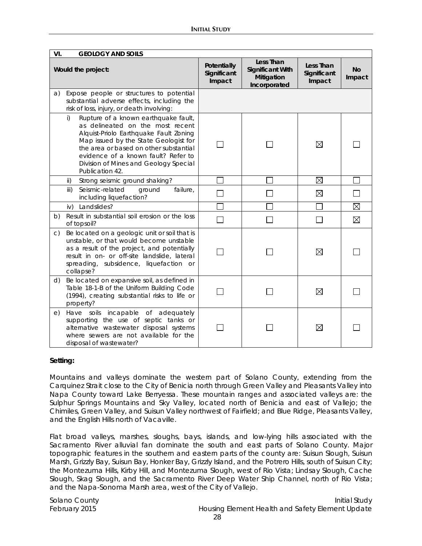| VI.             | <b>GEOLOGY AND SOILS</b>                                                                                                                                                                                                                                                                                       |                                      |                                                                    |                                    |                     |
|-----------------|----------------------------------------------------------------------------------------------------------------------------------------------------------------------------------------------------------------------------------------------------------------------------------------------------------------|--------------------------------------|--------------------------------------------------------------------|------------------------------------|---------------------|
|                 | Would the project:                                                                                                                                                                                                                                                                                             | Potentially<br>Significant<br>Impact | Less Than<br><b>Significant With</b><br>Mitigation<br>Incorporated | Less Than<br>Significant<br>Impact | <b>No</b><br>Impact |
| a)              | Expose people or structures to potential<br>substantial adverse effects, including the<br>risk of loss, injury, or death involving:                                                                                                                                                                            |                                      |                                                                    |                                    |                     |
|                 | i)<br>Rupture of a known earthquake fault,<br>as delineated on the most recent<br>Alquist-Priolo Earthquake Fault Zoning<br>Map issued by the State Geologist for<br>the area or based on other substantial<br>evidence of a known fault? Refer to<br>Division of Mines and Geology Special<br>Publication 42. |                                      |                                                                    | $\boxtimes$                        |                     |
|                 | Strong seismic ground shaking?<br>ii)                                                                                                                                                                                                                                                                          |                                      |                                                                    | $\boxtimes$                        |                     |
|                 | iii)<br>Seismic-related<br>ground<br>failure,<br>including liquefaction?                                                                                                                                                                                                                                       |                                      |                                                                    | $\boxtimes$                        |                     |
|                 | Landslides?<br>iv)                                                                                                                                                                                                                                                                                             |                                      |                                                                    | $\mathcal{L}_{\mathcal{A}}$        | $\boxtimes$         |
| b)              | Result in substantial soil erosion or the loss<br>of topsoil?                                                                                                                                                                                                                                                  |                                      |                                                                    | $\mathcal{L}_{\mathcal{A}}$        | $\boxtimes$         |
| $\mathcal{C}$ ) | Be located on a geologic unit or soil that is<br>unstable, or that would become unstable<br>as a result of the project, and potentially<br>result in on- or off-site landslide, lateral<br>spreading, subsidence, liquefaction or<br>collapse?                                                                 |                                      |                                                                    | $\boxtimes$                        |                     |
| d)              | Be located on expansive soil, as defined in<br>Table 18-1-B of the Uniform Building Code<br>(1994), creating substantial risks to life or<br>property?                                                                                                                                                         |                                      |                                                                    | $\boxtimes$                        |                     |
| e)              | Have soils incapable of adequately<br>supporting the use of septic tanks or<br>alternative wastewater disposal systems<br>where sewers are not available for the<br>disposal of wastewater?                                                                                                                    |                                      |                                                                    | $\boxtimes$                        |                     |

#### **Setting:**

Mountains and valleys dominate the western part of Solano County, extending from the Carquinez Strait close to the City of Benicia north through Green Valley and Pleasants Valley into Napa County toward Lake Berryessa. These mountain ranges and associated valleys are: the Sulphur Springs Mountains and Sky Valley, located north of Benicia and east of Vallejo; the Chimiles, Green Valley, and Suisun Valley northwest of Fairfield; and Blue Ridge, Pleasants Valley, and the English Hills north of Vacaville.

Flat broad valleys, marshes, sloughs, bays, islands, and low-lying hills associated with the Sacramento River alluvial fan dominate the south and east parts of Solano County. Major topographic features in the southern and eastern parts of the county are: Suisun Slough, Suisun Marsh, Grizzly Bay, Suisun Bay, Honker Bay, Grizzly Island, and the Potrero Hills, south of Suisun City; the Montezuma Hills, Kirby Hill, and Montezuma Slough, west of Rio Vista; Lindsay Slough, Cache Slough, Skag Slough, and the Sacramento River Deep Water Ship Channel, north of Rio Vista; and the Napa-Sonoma Marsh area, west of the City of Vallejo.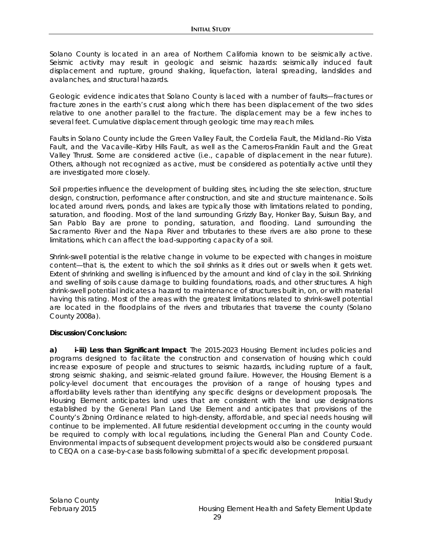Solano County is located in an area of Northern California known to be seismically active. Seismic activity may result in geologic and seismic hazards: seismically induced fault displacement and rupture, ground shaking, liquefaction, lateral spreading, landslides and avalanches, and structural hazards.

Geologic evidence indicates that Solano County is laced with a number of faults—fractures or fracture zones in the earth's crust along which there has been displacement of the two sides relative to one another parallel to the fracture. The displacement may be a few inches to several feet. Cumulative displacement through geologic time may reach miles.

Faults in Solano County include the Green Valley Fault, the Cordelia Fault, the Midland–Rio Vista Fault, and the Vacaville–Kirby Hills Fault, as well as the Carneros-Franklin Fault and the Great Valley Thrust. Some are considered active (i.e., capable of displacement in the near future). Others, although not recognized as active, must be considered as potentially active until they are investigated more closely.

Soil properties influence the development of building sites, including the site selection, structure design, construction, performance after construction, and site and structure maintenance. Soils located around rivers, ponds, and lakes are typically those with limitations related to ponding, saturation, and flooding. Most of the land surrounding Grizzly Bay, Honker Bay, Suisun Bay, and San Pablo Bay are prone to ponding, saturation, and flooding. Land surrounding the Sacramento River and the Napa River and tributaries to these rivers are also prone to these limitations, which can affect the load-supporting capacity of a soil.

Shrink-swell potential is the relative change in volume to be expected with changes in moisture content—that is, the extent to which the soil shrinks as it dries out or swells when it gets wet. Extent of shrinking and swelling is influenced by the amount and kind of clay in the soil. Shrinking and swelling of soils cause damage to building foundations, roads, and other structures. A high shrink-swell potential indicates a hazard to maintenance of structures built in, on, or with material having this rating. Most of the areas with the greatest limitations related to shrink-swell potential are located in the floodplains of the rivers and tributaries that traverse the county (Solano County 2008a).

## **Discussion/Conclusion:**

*a) i-iii) Less than Significant Impact*. The 2015-2023 Housing Element includes policies and programs designed to facilitate the construction and conservation of housing which could increase exposure of people and structures to seismic hazards, including rupture of a fault, strong seismic shaking, and seismic-related ground failure. However, the Housing Element is a policy-level document that encourages the provision of a range of housing types and affordability levels rather than identifying any specific designs or development proposals. The Housing Element anticipates land uses that are consistent with the land use designations established by the General Plan Land Use Element and anticipates that provisions of the County's Zoning Ordinance related to high-density, affordable, and special needs housing will continue to be implemented. All future residential development occurring in the county would be required to comply with local regulations, including the General Plan and County Code. Environmental impacts of subsequent development projects would also be considered pursuant to CEQA on a case-by-case basis following submittal of a specific development proposal.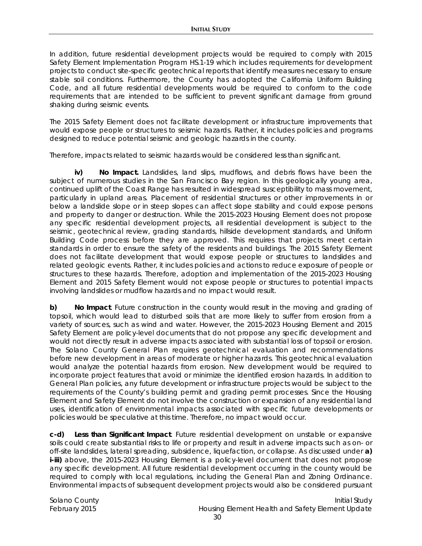In addition, future residential development projects would be required to comply with 2015 Safety Element Implementation Program HS.1-19 which includes requirements for development projects to conduct site-specific geotechnical reports that identify measures necessary to ensure stable soil conditions. Furthermore, the County has adopted the California Uniform Building Code, and all future residential developments would be required to conform to the code requirements that are intended to be sufficient to prevent significant damage from ground shaking during seismic events.

The 2015 Safety Element does not facilitate development or infrastructure improvements that would expose people or structures to seismic hazards. Rather, it includes policies and programs designed to reduce potential seismic and geologic hazards in the county.

Therefore, impacts related to seismic hazards would be considered less than significant.

*iv) No Impact.* Landslides, land slips, mudflows, and debris flows have been the subject of numerous studies in the San Francisco Bay region. In this geologically young area, continued uplift of the Coast Range has resulted in widespread susceptibility to mass movement, particularly in upland areas. Placement of residential structures or other improvements in or below a landslide slope or in steep slopes can affect slope stability and could expose persons and property to danger or destruction. While the 2015-2023 Housing Element does not propose any specific residential development projects, all residential development is subject to the seismic, geotechnical review, grading standards, hillside development standards, and Uniform Building Code process before they are approved. This requires that projects meet certain standards in order to ensure the safety of the residents and buildings. The 2015 Safety Element does not facilitate development that would expose people or structures to landslides and related geologic events. Rather, it includes policies and actions to reduce exposure of people or structures to these hazards. Therefore, adoption and implementation of the 2015-2023 Housing Element and 2015 Safety Element would not expose people or structures to potential impacts involving landslides or mudflow hazards and no impact would result.

*b) No Impact*. Future construction in the county would result in the moving and grading of topsoil, which would lead to disturbed soils that are more likely to suffer from erosion from a variety of sources, such as wind and water. However, the 2015-2023 Housing Element and 2015 Safety Element are policy-level documents that do not propose any specific development and would not directly result in adverse impacts associated with substantial loss of topsoil or erosion. The Solano County General Plan requires geotechnical evaluation and recommendations before new development in areas of moderate or higher hazards. This geotechnical evaluation would analyze the potential hazards from erosion. New development would be required to incorporate project features that avoid or minimize the identified erosion hazards. In addition to General Plan policies, any future development or infrastructure projects would be subject to the requirements of the County's building permit and grading permit processes. Since the Housing Element and Safety Element do not involve the construction or expansion of any residential land uses, identification of environmental impacts associated with specific future developments or policies would be speculative at this time. Therefore, no impact would occur.

*c-d) Less than Significant Impact*. Future residential development on unstable or expansive soils could create substantial risks to life or property and result in adverse impacts such as on- or off-site landslides, lateral spreading, subsidence, liquefaction, or collapse. As discussed under **a) i-iii)** above, the 2015-2023 Housing Element is a policy-level document that does not propose any specific development. All future residential development occurring in the county would be required to comply with local regulations, including the General Plan and Zoning Ordinance. Environmental impacts of subsequent development projects would also be considered pursuant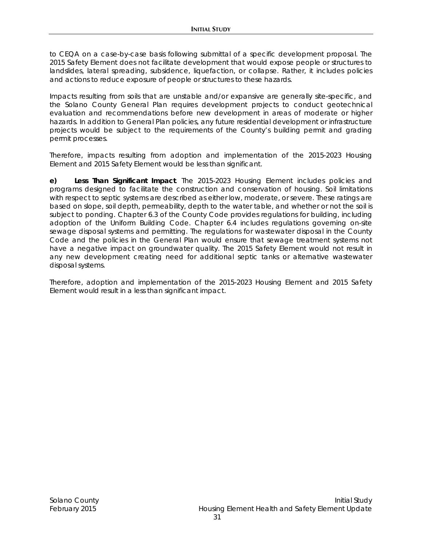to CEQA on a case-by-case basis following submittal of a specific development proposal. The 2015 Safety Element does not facilitate development that would expose people or structures to landslides, lateral spreading, subsidence, liquefaction, or collapse. Rather, it includes policies and actions to reduce exposure of people or structures to these hazards.

Impacts resulting from soils that are unstable and/or expansive are generally site-specific, and the Solano County General Plan requires development projects to conduct geotechnical evaluation and recommendations before new development in areas of moderate or higher hazards. In addition to General Plan policies, any future residential development or infrastructure projects would be subject to the requirements of the County's building permit and grading permit processes.

Therefore, impacts resulting from adoption and implementation of the 2015-2023 Housing Element and 2015 Safety Element would be less than significant.

**e)** *Less Than Significant Impact*. The 2015-2023 Housing Element includes policies and programs designed to facilitate the construction and conservation of housing. Soil limitations with respect to septic systems are described as either low, moderate, or severe. These ratings are based on slope, soil depth, permeability, depth to the water table, and whether or not the soil is subject to ponding. Chapter 6.3 of the County Code provides regulations for building, including adoption of the Uniform Building Code. Chapter 6.4 includes regulations governing on-site sewage disposal systems and permitting. The regulations for wastewater disposal in the County Code and the policies in the General Plan would ensure that sewage treatment systems not have a negative impact on groundwater quality. The 2015 Safety Element would not result in any new development creating need for additional septic tanks or alternative wastewater disposal systems.

Therefore, adoption and implementation of the 2015-2023 Housing Element and 2015 Safety Element would result in a less than significant impact.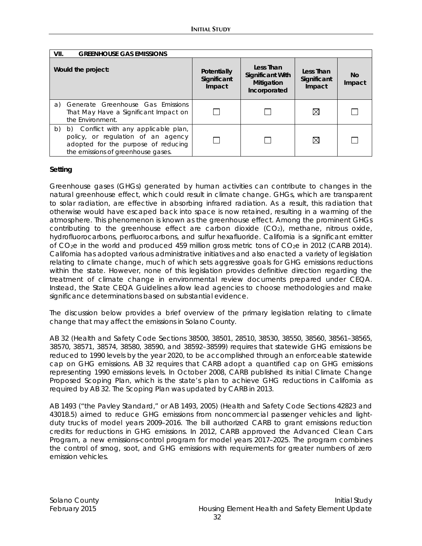| VII.<br><b>GREENHOUSE GAS EMISSIONS</b>                                                                                                                        |                                      |                                                                    |                                    |                     |  |  |  |
|----------------------------------------------------------------------------------------------------------------------------------------------------------------|--------------------------------------|--------------------------------------------------------------------|------------------------------------|---------------------|--|--|--|
| Would the project:                                                                                                                                             | Potentially<br>Significant<br>Impact | Less Than<br><b>Significant With</b><br>Mitigation<br>Incorporated | Less Than<br>Significant<br>Impact | <b>No</b><br>Impact |  |  |  |
| Generate Greenhouse Gas Emissions<br>a)<br>That May Have a Significant Impact on<br>the Environment.                                                           |                                      |                                                                    | IX                                 |                     |  |  |  |
| b)<br>b) Conflict with any applicable plan,<br>policy, or regulation of an agency<br>adopted for the purpose of reducing<br>the emissions of greenhouse gases. |                                      |                                                                    | $\boxtimes$                        |                     |  |  |  |

## **Setting**

Greenhouse gases (GHGs) generated by human activities can contribute to changes in the natural greenhouse effect, which could result in climate change. GHGs, which are transparent to solar radiation, are effective in absorbing infrared radiation. As a result, this radiation that otherwise would have escaped back into space is now retained, resulting in a warming of the atmosphere. This phenomenon is known as the greenhouse effect. Among the prominent GHGs contributing to the greenhouse effect are carbon dioxide (CO2), methane, nitrous oxide, hydrofluorocarbons, perfluorocarbons, and sulfur hexafluoride. California is a significant emitter of CO<sub>2</sub>e in the world and produced 459 million gross metric tons of CO<sub>2</sub>e in 2012 (CARB 2014). California has adopted various administrative initiatives and also enacted a variety of legislation relating to climate change, much of which sets aggressive goals for GHG emissions reductions within the state. However, none of this legislation provides definitive direction regarding the treatment of climate change in environmental review documents prepared under CEQA. Instead, the State CEQA Guidelines allow lead agencies to choose methodologies and make significance determinations based on substantial evidence.

The discussion below provides a brief overview of the primary legislation relating to climate change that may affect the emissions in Solano County.

AB 32 (Health and Safety Code Sections 38500, 38501, 28510, 38530, 38550, 38560, 38561–38565, 38570, 38571, 38574, 38580, 38590, and 38592–38599) requires that statewide GHG emissions be reduced to 1990 levels by the year 2020, to be accomplished through an enforceable statewide cap on GHG emissions. AB 32 requires that CARB adopt a quantified cap on GHG emissions representing 1990 emissions levels. In October 2008, CARB published its initial Climate Change Proposed Scoping Plan, which is the state's plan to achieve GHG reductions in California as required by AB 32. The Scoping Plan was updated by CARB in 2013.

AB 1493 ("the Pavley Standard," or AB 1493, 2005) (Health and Safety Code Sections 42823 and 43018.5) aimed to reduce GHG emissions from noncommercial passenger vehicles and lightduty trucks of model years 2009–2016. The bill authorized CARB to grant emissions reduction credits for reductions in GHG emissions. In 2012, CARB approved the Advanced Clean Cars Program, a new emissions-control program for model years 2017–2025. The program combines the control of smog, soot, and GHG emissions with requirements for greater numbers of zero emission vehicles.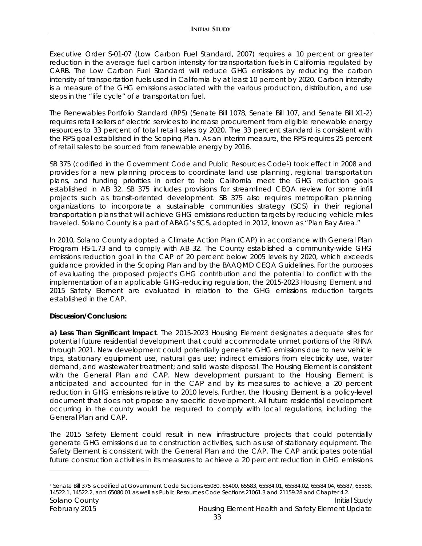Executive Order S-01-07 (Low Carbon Fuel Standard, 2007) requires a 10 percent or greater reduction in the average fuel carbon intensity for transportation fuels in California regulated by CARB. The Low Carbon Fuel Standard will reduce GHG emissions by reducing the carbon intensity of transportation fuels used in California by at least 10 percent by 2020. Carbon intensity is a measure of the GHG emissions associated with the various production, distribution, and use steps in the "life cycle" of a transportation fuel.

The Renewables Portfolio Standard (RPS) (Senate Bill 1078, Senate Bill 107, and Senate Bill X1-2) requires retail sellers of electric services to increase procurement from eligible renewable energy resources to 33 percent of total retail sales by 2020. The 33 percent standard is consistent with the RPS goal established in the Scoping Plan. As an interim measure, the RPS requires 25 percent of retail sales to be sourced from renewable energy by 2016.

SB 375 (codified in the Government Code and Public Resources Code<sup>1</sup>) took effect in 2008 and provides for a new planning process to coordinate land use planning, regional transportation plans, and funding priorities in order to help California meet the GHG reduction goals established in AB 32. SB 375 includes provisions for streamlined CEQA review for some infill projects such as transit-oriented development. SB 375 also requires metropolitan planning organizations to incorporate a sustainable communities strategy (SCS) in their regional transportation plans that will achieve GHG emissions reduction targets by reducing vehicle miles traveled. Solano County is a part of ABAG's SCS, adopted in 2012, known as "Plan Bay Area."

In 2010, Solano County adopted a Climate Action Plan (CAP) in accordance with General Plan Program HS-1.73 and to comply with AB 32. The County established a community-wide GHG emissions reduction goal in the CAP of 20 percent below 2005 levels by 2020, which exceeds guidance provided in the Scoping Plan and by the BAAQMD CEQA Guidelines. For the purposes of evaluating the proposed project's GHG contribution and the potential to conflict with the implementation of an applicable GHG-reducing regulation, the 2015-2023 Housing Element and 2015 Safety Element are evaluated in relation to the GHG emissions reduction targets established in the CAP.

## **Discussion/Conclusion:**

 $\overline{a}$ 

*a) Less Than Significant Impact.* The 2015-2023 Housing Element designates adequate sites for potential future residential development that could accommodate unmet portions of the RHNA through 2021. New development could potentially generate GHG emissions due to new vehicle trips, stationary equipment use, natural gas use; indirect emissions from electricity use, water demand, and wastewater treatment; and solid waste disposal. The Housing Element is consistent with the General Plan and CAP. New development pursuant to the Housing Element is anticipated and accounted for in the CAP and by its measures to achieve a 20 percent reduction in GHG emissions relative to 2010 levels. Further, the Housing Element is a policy-level document that does not propose any specific development. All future residential development occurring in the county would be required to comply with local regulations, including the General Plan and CAP.

The 2015 Safety Element could result in new infrastructure projects that could potentially generate GHG emissions due to construction activities, such as use of stationary equipment. The Safety Element is consistent with the General Plan and the CAP. The CAP anticipates potential future construction activities in its measures to achieve a 20 percent reduction in GHG emissions

33

Solano County **Initial Study** Initial Study **Initial Study** Initial Study Initial Study February 2015 **Housing Element Health and Safety Element Update** 1 Senate Bill 375 is codified at Government Code Sections 65080, 65400, 65583, 65584.01, 65584.02, 65584.04, 65587, 65588, 14522.1, 14522.2, and 65080.01 as well as Public Resources Code Sections 21061.3 and 21159.28 and Chapter 4.2.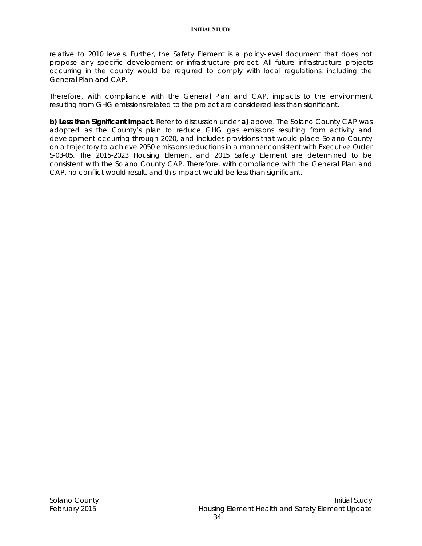relative to 2010 levels. Further, the Safety Element is a policy-level document that does not propose any specific development or infrastructure project. All future infrastructure projects occurring in the county would be required to comply with local regulations, including the General Plan and CAP.

Therefore, with compliance with the General Plan and CAP, impacts to the environment resulting from GHG emissions related to the project are considered less than significant.

*b) Less than Significant Impact.* Refer to discussion under **a)** above. The Solano County CAP was adopted as the County's plan to reduce GHG gas emissions resulting from activity and development occurring through 2020, and includes provisions that would place Solano County on a trajectory to achieve 2050 emissions reductions in a manner consistent with Executive Order S-03-05. The 2015-2023 Housing Element and 2015 Safety Element are determined to be consistent with the Solano County CAP. Therefore, with compliance with the General Plan and CAP, no conflict would result, and this impact would be less than significant.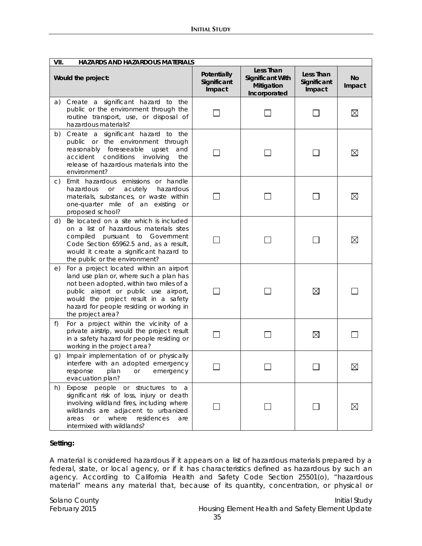| VII.<br>HAZARDS AND HAZARDOUS MATERIALS |                                                                                                                                                                                                                                                                                 |                                      |                                                                    |                                    |                     |  |  |
|-----------------------------------------|---------------------------------------------------------------------------------------------------------------------------------------------------------------------------------------------------------------------------------------------------------------------------------|--------------------------------------|--------------------------------------------------------------------|------------------------------------|---------------------|--|--|
|                                         | Would the project:                                                                                                                                                                                                                                                              | Potentially<br>Significant<br>Impact | Less Than<br><b>Significant With</b><br>Mitigation<br>Incorporated | Less Than<br>Significant<br>Impact | <b>No</b><br>Impact |  |  |
| a)                                      | Create a significant hazard to the<br>public or the environment through the<br>routine transport, use, or disposal of<br>hazardous materials?                                                                                                                                   |                                      |                                                                    |                                    | ⊠                   |  |  |
| b)                                      | Create a significant hazard to the<br>public or the environment through<br>reasonably foreseeable upset<br>and<br>accident<br>conditions<br>involving<br>the<br>release of hazardous materials into the<br>environment?                                                         |                                      |                                                                    |                                    | $\boxtimes$         |  |  |
| C)                                      | Emit hazardous emissions or handle<br>hazardous<br>acutely<br>hazardous<br><b>Or</b><br>materials, substances, or waste within<br>one-quarter mile of an existing or<br>proposed school?                                                                                        |                                      |                                                                    |                                    | ⊠                   |  |  |
| d)                                      | Be located on a site which is included<br>on a list of hazardous materials sites<br>compiled pursuant to Government<br>Code Section 65962.5 and, as a result,<br>would it create a significant hazard to<br>the public or the environment?                                      |                                      |                                                                    |                                    | $\boxtimes$         |  |  |
| e)                                      | For a project located within an airport<br>land use plan or, where such a plan has<br>not been adopted, within two miles of a<br>public airport or public use airport,<br>would the project result in a safety<br>hazard for people residing or working in<br>the project area? |                                      |                                                                    | $\boxtimes$                        |                     |  |  |
| f)                                      | For a project within the vicinity of a<br>private airstrip, would the project result<br>in a safety hazard for people residing or<br>working in the project area?                                                                                                               | $\blacksquare$                       |                                                                    | $\boxtimes$                        |                     |  |  |
| g)                                      | Impair implementation of or physically<br>interfere with an adopted emergency<br>plan<br>response<br>or<br>emergency<br>evacuation plan?                                                                                                                                        |                                      | $\overline{\phantom{0}}$                                           | ┌                                  | $\boxtimes$         |  |  |
| h)                                      | Expose people or structures to a<br>significant risk of loss, injury or death<br>involving wildland fires, including where<br>wildlands are adjacent to urbanized<br>where<br>residences<br>areas<br>or<br>are<br>intermixed with wildlands?                                    |                                      |                                                                    |                                    | ⊠                   |  |  |

## **Setting:**

A material is considered hazardous if it appears on a list of hazardous materials prepared by a federal, state, or local agency, or if it has characteristics defined as hazardous by such an agency. According to California Health and Safety Code Section 25501(o), "hazardous material" means any material that, because of its quantity, concentration, or physical or

Solano County **Initial Study** Initial Study February 2015 **February 2015 Housing Element Health and Safety Element Update**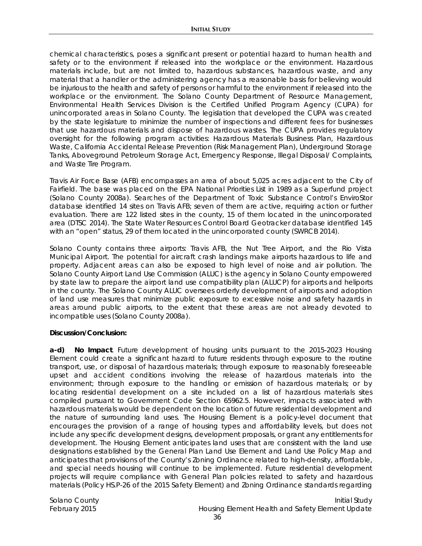chemical characteristics, poses a significant present or potential hazard to human health and safety or to the environment if released into the workplace or the environment. Hazardous materials include, but are not limited to, hazardous substances, hazardous waste, and any material that a handler or the administering agency has a reasonable basis for believing would be injurious to the health and safety of persons or harmful to the environment if released into the workplace or the environment. The Solano County Department of Resource Management, Environmental Health Services Division is the Certified Unified Program Agency (CUPA) for unincorporated areas in Solano County. The legislation that developed the CUPA was created by the state legislature to minimize the number of inspections and different fees for businesses that use hazardous materials and dispose of hazardous wastes. The CUPA provides regulatory oversight for the following program activities: Hazardous Materials Business Plan, Hazardous Waste, California Accidental Release Prevention (Risk Management Plan), Underground Storage Tanks, Aboveground Petroleum Storage Act, Emergency Response, Illegal Disposal/ Complaints, and Waste Tire Program.

Travis Air Force Base (AFB) encompasses an area of about 5,025 acres adjacent to the City of Fairfield. The base was placed on the EPA National Priorities List in 1989 as a Superfund project (Solano County 2008a). Searches of the Department of Toxic Substance Control's EnviroStor database identified 14 sites on Travis AFB; seven of them are active, requiring action or further evaluation. There are 122 listed sites in the county, 15 of them located in the unincorporated area (DTSC 2014). The State Water Resources Control Board Geotracker database identified 145 with an "open" status, 29 of them located in the unincorporated county (SWRCB 2014).

Solano County contains three airports: Travis AFB, the Nut Tree Airport, and the Rio Vista Municipal Airport. The potential for aircraft crash landings make airports hazardous to life and property. Adjacent areas can also be exposed to high level of noise and air pollution. The Solano County Airport Land Use Commission (ALUC) is the agency in Solano County empowered by state law to prepare the airport land use compatibility plan (ALUCP) for airports and heliports in the county. The Solano County ALUC oversees orderly development of airports and adoption of land use measures that minimize public exposure to excessive noise and safety hazards in areas around public airports, to the extent that these areas are not already devoted to incompatible uses (Solano County 2008a).

## **Discussion/Conclusion:**

*a-d) No Impact.* Future development of housing units pursuant to the 2015-2023 Housing Element could create a significant hazard to future residents through exposure to the routine transport, use, or disposal of hazardous materials; through exposure to reasonably foreseeable upset and accident conditions involving the release of hazardous materials into the environment; through exposure to the handling or emission of hazardous materials; or by locating residential development on a site included on a list of hazardous materials sites compiled pursuant to Government Code Section 65962.5. However, impacts associated with hazardous materials would be dependent on the location of future residential development and the nature of surrounding land uses. The Housing Element is a policy-level document that encourages the provision of a range of housing types and affordability levels, but does not include any specific development designs, development proposals, or grant any entitlements for development. The Housing Element anticipates land uses that are consistent with the land use designations established by the General Plan Land Use Element and Land Use Policy Map and anticipates that provisions of the County's Zoning Ordinance related to high-density, affordable, and special needs housing will continue to be implemented. Future residential development projects will require compliance with General Plan policies related to safety and hazardous materials (Policy HS.P-26 of the 2015 Safety Element) and Zoning Ordinance standards regarding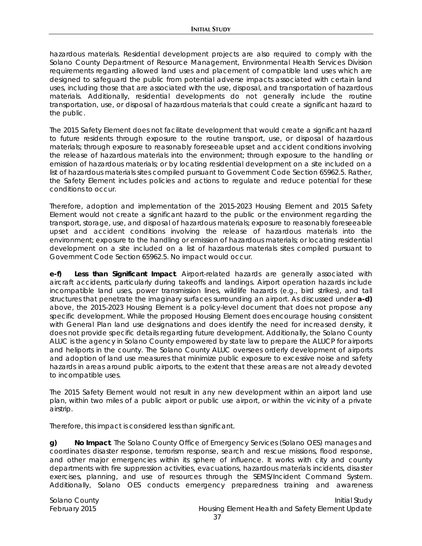hazardous materials. Residential development projects are also required to comply with the Solano County Department of Resource Management, Environmental Health Services Division requirements regarding allowed land uses and placement of compatible land uses which are designed to safeguard the public from potential adverse impacts associated with certain land uses, including those that are associated with the use, disposal, and transportation of hazardous materials. Additionally, residential developments do not generally include the routine transportation, use, or disposal of hazardous materials that could create a significant hazard to the public.

The 2015 Safety Element does not facilitate development that would create a significant hazard to future residents through exposure to the routine transport, use, or disposal of hazardous materials; through exposure to reasonably foreseeable upset and accident conditions involving the release of hazardous materials into the environment; through exposure to the handling or emission of hazardous materials; or by locating residential development on a site included on a list of hazardous materials sites compiled pursuant to Government Code Section 65962.5. Rather, the Safety Element includes policies and actions to regulate and reduce potential for these conditions to occur.

Therefore, adoption and implementation of the 2015-2023 Housing Element and 2015 Safety Element would not create a significant hazard to the public or the environment regarding the transport, storage, use, and disposal of hazardous materials; exposure to reasonably foreseeable upset and accident conditions involving the release of hazardous materials into the environment; exposure to the handling or emission of hazardous materials; or locating residential development on a site included on a list of hazardous materials sites compiled pursuant to Government Code Section 65962.5. No impact would occur.

*e-f) Less than Significant Impact*. Airport-related hazards are generally associated with aircraft accidents, particularly during takeoffs and landings. Airport operation hazards include incompatible land uses, power transmission lines, wildlife hazards (e.g., bird strikes), and tall structures that penetrate the imaginary surfaces surrounding an airport. As discussed under **a-d)** above, the 2015-2023 Housing Element is a policy-level document that does not propose any specific development. While the proposed Housing Element does encourage housing consistent with General Plan land use designations and does identify the need for increased density, it does not provide specific details regarding future development. Additionally, the Solano County ALUC is the agency in Solano County empowered by state law to prepare the ALUCP for airports and heliports in the county. The Solano County ALUC oversees orderly development of airports and adoption of land use measures that minimize public exposure to excessive noise and safety hazards in areas around public airports, to the extent that these areas are not already devoted to incompatible uses.

The 2015 Safety Element would not result in any new development within an airport land use plan, within two miles of a public airport or public use airport, or within the vicinity of a private airstrip.

Therefore, this impact is considered less than significant.

*g) No Impact*. The Solano County Office of Emergency Services (Solano OES) manages and coordinates disaster response, terrorism response, search and rescue missions, flood response, and other major emergencies within its sphere of influence. It works with city and county departments with fire suppression activities, evacuations, hazardous materials incidents, disaster exercises, planning, and use of resources through the SEMS/Incident Command System. Additionally, Solano OES conducts emergency preparedness training and awareness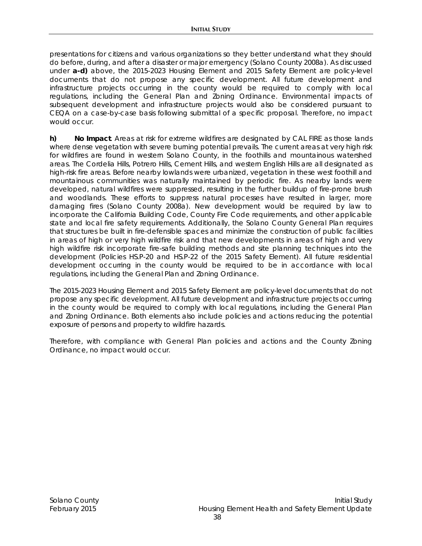presentations for citizens and various organizations so they better understand what they should do before, during, and after a disaster or major emergency (Solano County 2008a). As discussed under **a-d)** above, the 2015-2023 Housing Element and 2015 Safety Element are policy-level documents that do not propose any specific development. All future development and infrastructure projects occurring in the county would be required to comply with local regulations, including the General Plan and Zoning Ordinance. Environmental impacts of subsequent development and infrastructure projects would also be considered pursuant to CEQA on a case-by-case basis following submittal of a specific proposal. Therefore, no impact would occur.

*h) No Impact*. Areas at risk for extreme wildfires are designated by CAL FIRE as those lands where dense vegetation with severe burning potential prevails. The current areas at very high risk for wildfires are found in western Solano County, in the foothills and mountainous watershed areas. The Cordelia Hills, Potrero Hills, Cement Hills, and western English Hills are all designated as high-risk fire areas. Before nearby lowlands were urbanized, vegetation in these west foothill and mountainous communities was naturally maintained by periodic fire. As nearby lands were developed, natural wildfires were suppressed, resulting in the further buildup of fire-prone brush and woodlands. These efforts to suppress natural processes have resulted in larger, more damaging fires (Solano County 2008a). New development would be required by law to incorporate the California Building Code, County Fire Code requirements, and other applicable state and local fire safety requirements. Additionally, the Solano County General Plan requires that structures be built in fire-defensible spaces and minimize the construction of public facilities in areas of high or very high wildfire risk and that new developments in areas of high and very high wildfire risk incorporate fire-safe building methods and site planning techniques into the development (Policies HS.P-20 and HS.P-22 of the 2015 Safety Element). All future residential development occurring in the county would be required to be in accordance with local regulations, including the General Plan and Zoning Ordinance.

The 2015-2023 Housing Element and 2015 Safety Element are policy-level documents that do not propose any specific development. All future development and infrastructure projects occurring in the county would be required to comply with local regulations, including the General Plan and Zoning Ordinance. Both elements also include policies and actions reducing the potential exposure of persons and property to wildfire hazards.

Therefore, with compliance with General Plan policies and actions and the County Zoning Ordinance, no impact would occur.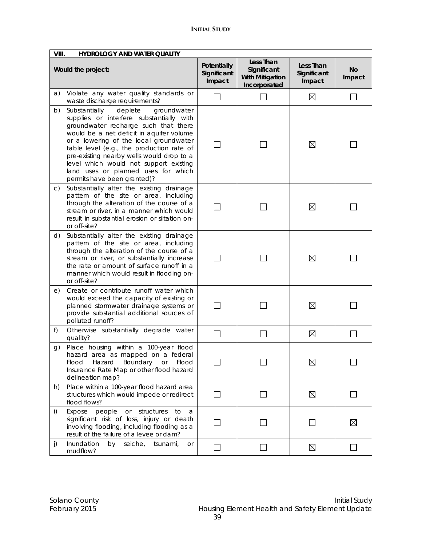|              | VIII.<br>HYDROLOGY AND WATER QUALITY                                                                                                                                                                                                                                                                                                                                                                                        |                                      |                                                                    |                                    |                     |  |  |
|--------------|-----------------------------------------------------------------------------------------------------------------------------------------------------------------------------------------------------------------------------------------------------------------------------------------------------------------------------------------------------------------------------------------------------------------------------|--------------------------------------|--------------------------------------------------------------------|------------------------------------|---------------------|--|--|
|              | Would the project:                                                                                                                                                                                                                                                                                                                                                                                                          | Potentially<br>Significant<br>Impact | Less Than<br>Significant<br><b>With Mitigation</b><br>Incorporated | Less Than<br>Significant<br>Impact | <b>No</b><br>Impact |  |  |
| a)           | Violate any water quality standards or<br>waste discharge requirements?                                                                                                                                                                                                                                                                                                                                                     |                                      |                                                                    | $\boxtimes$                        |                     |  |  |
| b)           | groundwater<br>Substantially<br>deplete<br>supplies or interfere substantially with<br>groundwater recharge such that there<br>would be a net deficit in aquifer volume<br>or a lowering of the local groundwater<br>table level (e.g., the production rate of<br>pre-existing nearby wells would drop to a<br>level which would not support existing<br>land uses or planned uses for which<br>permits have been granted)? |                                      |                                                                    | ⊠                                  |                     |  |  |
| $\mathsf{C}$ | Substantially alter the existing drainage<br>pattern of the site or area, including<br>through the alteration of the course of a<br>stream or river, in a manner which would<br>result in substantial erosion or siltation on-<br>or off-site?                                                                                                                                                                              |                                      |                                                                    | ⊠                                  |                     |  |  |
| d)           | Substantially alter the existing drainage<br>pattern of the site or area, including<br>through the alteration of the course of a<br>stream or river, or substantially increase<br>the rate or amount of surface runoff in a<br>manner which would result in flooding on-<br>or off-site?                                                                                                                                    |                                      |                                                                    | ⊠                                  |                     |  |  |
| e)           | Create or contribute runoff water which<br>would exceed the capacity of existing or<br>planned stormwater drainage systems or<br>provide substantial additional sources of<br>polluted runoff?                                                                                                                                                                                                                              |                                      |                                                                    | ⊠                                  |                     |  |  |
| f)           | Otherwise substantially degrade water<br>quality?                                                                                                                                                                                                                                                                                                                                                                           | $\Box$                               | $\Box$                                                             | $\boxtimes$                        | $\Box$              |  |  |
| g)           | Place housing within a 100-year flood<br>hazard area as mapped on a federal<br>Boundary<br>Flood<br>Hazard<br>Flood<br>or<br>Insurance Rate Map or other flood hazard<br>delineation map?                                                                                                                                                                                                                                   |                                      |                                                                    | $\boxtimes$                        |                     |  |  |
| h)           | Place within a 100-year flood hazard area<br>structures which would impede or redirect<br>flood flows?                                                                                                                                                                                                                                                                                                                      | $\mathcal{L}$                        |                                                                    | $\boxtimes$                        |                     |  |  |
| i)           | people<br>or structures<br>Expose<br>to<br>a<br>significant risk of loss, injury or death<br>involving flooding, including flooding as a<br>result of the failure of a levee or dam?                                                                                                                                                                                                                                        |                                      |                                                                    |                                    | $\boxtimes$         |  |  |
| j)           | Inundation<br>seiche,<br>tsunami,<br>by<br><b>Or</b><br>mudflow?                                                                                                                                                                                                                                                                                                                                                            | $\Box$                               |                                                                    | ⊠                                  |                     |  |  |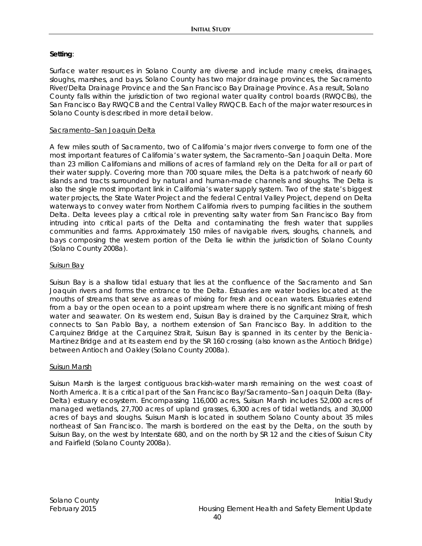Surface water resources in Solano County are diverse and include many creeks, drainages, sloughs, marshes, and bays. Solano County has two major drainage provinces, the Sacramento River/Delta Drainage Province and the San Francisco Bay Drainage Province. As a result, Solano County falls within the jurisdiction of two regional water quality control boards (RWQCBs), the San Francisco Bay RWQCB and the Central Valley RWQCB. Each of the major water resources in Solano County is described in more detail below.

## Sacramento–San Joaquin Delta

A few miles south of Sacramento, two of California's major rivers converge to form one of the most important features of California's water system, the Sacramento–San Joaquin Delta. More than 23 million Californians and millions of acres of farmland rely on the Delta for all or part of their water supply. Covering more than 700 square miles, the Delta is a patchwork of nearly 60 islands and tracts surrounded by natural and human-made channels and sloughs. The Delta is also the single most important link in California's water supply system. Two of the state's biggest water projects, the State Water Project and the federal Central Valley Project, depend on Delta waterways to convey water from Northern California rivers to pumping facilities in the southern Delta. Delta levees play a critical role in preventing salty water from San Francisco Bay from intruding into critical parts of the Delta and contaminating the fresh water that supplies communities and farms. Approximately 150 miles of navigable rivers, sloughs, channels, and bays composing the western portion of the Delta lie within the jurisdiction of Solano County (Solano County 2008a).

## Suisun Bay

Suisun Bay is a shallow tidal estuary that lies at the confluence of the Sacramento and San Joaquin rivers and forms the entrance to the Delta. Estuaries are water bodies located at the mouths of streams that serve as areas of mixing for fresh and ocean waters. Estuaries extend from a bay or the open ocean to a point upstream where there is no significant mixing of fresh water and seawater. On its western end, Suisun Bay is drained by the Carquinez Strait, which connects to San Pablo Bay, a northern extension of San Francisco Bay. In addition to the Carquinez Bridge at the Carquinez Strait, Suisun Bay is spanned in its center by the Benicia-Martinez Bridge and at its eastern end by the SR 160 crossing (also known as the Antioch Bridge) between Antioch and Oakley (Solano County 2008a).

#### Suisun Marsh

Suisun Marsh is the largest contiguous brackish-water marsh remaining on the west coast of North America. It is a critical part of the San Francisco Bay/Sacramento–San Joaquin Delta (Bay-Delta) estuary ecosystem. Encompassing 116,000 acres, Suisun Marsh includes 52,000 acres of managed wetlands, 27,700 acres of upland grasses, 6,300 acres of tidal wetlands, and 30,000 acres of bays and sloughs. Suisun Marsh is located in southern Solano County about 35 miles northeast of San Francisco. The marsh is bordered on the east by the Delta, on the south by Suisun Bay, on the west by Interstate 680, and on the north by SR 12 and the cities of Suisun City and Fairfield (Solano County 2008a).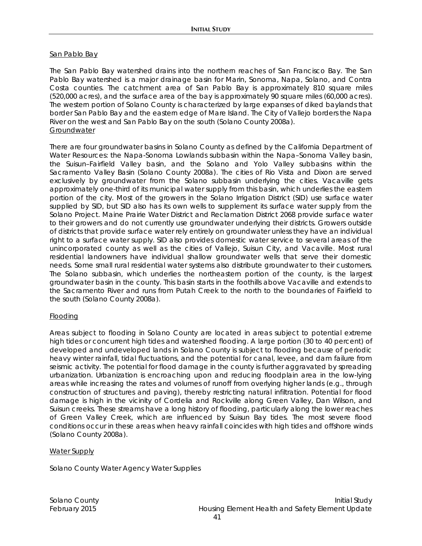## San Pablo Bay

The San Pablo Bay watershed drains into the northern reaches of San Francisco Bay. The San Pablo Bay watershed is a major drainage basin for Marin, Sonoma, Napa, Solano, and Contra Costa counties. The catchment area of San Pablo Bay is approximately 810 square miles (520,000 acres), and the surface area of the bay is approximately 90 square miles (60,000 acres). The western portion of Solano County is characterized by large expanses of diked baylands that border San Pablo Bay and the eastern edge of Mare Island. The City of Vallejo borders the Napa River on the west and San Pablo Bay on the south (Solano County 2008a). **Groundwater** 

There are four groundwater basins in Solano County as defined by the California Department of Water Resources: the Napa-Sonoma Lowlands subbasin within the Napa–Sonoma Valley basin, the Suisun–Fairfield Valley basin, and the Solano and Yolo Valley subbasins within the Sacramento Valley Basin (Solano County 2008a). The cities of Rio Vista and Dixon are served exclusively by groundwater from the Solano subbasin underlying the cities. Vacaville gets approximately one-third of its municipal water supply from this basin, which underlies the eastern portion of the city. Most of the growers in the Solano Irrigation District (SID) use surface water supplied by SID, but SID also has its own wells to supplement its surface water supply from the Solano Project. Maine Prairie Water District and Reclamation District 2068 provide surface water to their growers and do not currently use groundwater underlying their districts. Growers outside of districts that provide surface water rely entirely on groundwater unless they have an individual right to a surface water supply. SID also provides domestic water service to several areas of the unincorporated county as well as the cities of Vallejo, Suisun City, and Vacaville. Most rural residential landowners have individual shallow groundwater wells that serve their domestic needs. Some small rural residential water systems also distribute groundwater to their customers. The Solano subbasin, which underlies the northeastern portion of the county, is the largest groundwater basin in the county. This basin starts in the foothills above Vacaville and extends to the Sacramento River and runs from Putah Creek to the north to the boundaries of Fairfield to the south (Solano County 2008a).

## Flooding

Areas subject to flooding in Solano County are located in areas subject to potential extreme high tides or concurrent high tides and watershed flooding. A large portion (30 to 40 percent) of developed and undeveloped lands in Solano County is subject to flooding because of periodic heavy winter rainfall, tidal fluctuations, and the potential for canal, levee, and dam failure from seismic activity. The potential for flood damage in the county is further aggravated by spreading urbanization. Urbanization is encroaching upon and reducing floodplain area in the low-lying areas while increasing the rates and volumes of runoff from overlying higher lands (e.g., through construction of structures and paving), thereby restricting natural infiltration. Potential for flood damage is high in the vicinity of Cordelia and Rockville along Green Valley, Dan Wilson, and Suisun creeks. These streams have a long history of flooding, particularly along the lower reaches of Green Valley Creek, which are influenced by Suisun Bay tides. The most severe flood conditions occur in these areas when heavy rainfall coincides with high tides and offshore winds (Solano County 2008a).

## Water Supply

*Solano County Water Agency Water Supplies*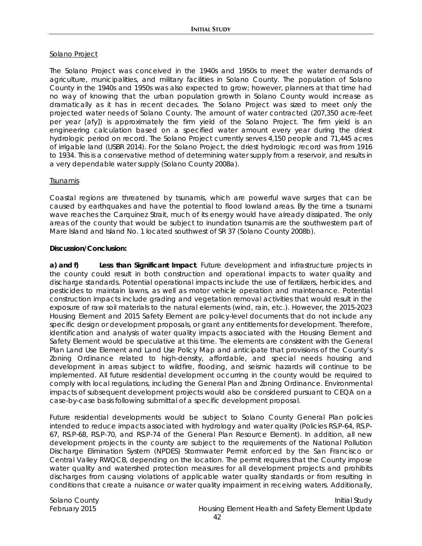### *Solano Project*

The Solano Project was conceived in the 1940s and 1950s to meet the water demands of agriculture, municipalities, and military facilities in Solano County. The population of Solano County in the 1940s and 1950s was also expected to grow; however, planners at that time had no way of knowing that the urban population growth in Solano County would increase as dramatically as it has in recent decades. The Solano Project was sized to meet only the projected water needs of Solano County. The amount of water contracted (207,350 acre-feet per year [afy]) is approximately the firm yield of the Solano Project. The firm yield is an engineering calculation based on a specified water amount every year during the driest hydrologic period on record. The Solano Project currently serves 4,150 people and 71,445 acres of irrigable land (USBR 2014). For the Solano Project, the driest hydrologic record was from 1916 to 1934. This is a conservative method of determining water supply from a reservoir, and results in a very dependable water supply (Solano County 2008a).

### **Tsunamis**

Coastal regions are threatened by tsunamis, which are powerful wave surges that can be caused by earthquakes and have the potential to flood lowland areas. By the time a tsunami wave reaches the Carquinez Strait, much of its energy would have already dissipated. The only areas of the county that would be subject to inundation tsunamis are the southwestern part of Mare Island and Island No. 1 located southwest of SR 37 (Solano County 2008b).

### **Discussion/Conclusion:**

*a) and f) Less than Significant Impact*. Future development and infrastructure projects in the county could result in both construction and operational impacts to water quality and discharge standards. Potential operational impacts include the use of fertilizers, herbicides, and pesticides to maintain lawns, as well as motor vehicle operation and maintenance. Potential construction impacts include grading and vegetation removal activities that would result in the exposure of raw soil materials to the natural elements (wind, rain, etc.). However, the 2015-2023 Housing Element and 2015 Safety Element are policy-level documents that do not include any specific design or development proposals, or grant any entitlements for development. Therefore, identification and analysis of water quality impacts associated with the Housing Element and Safety Element would be speculative at this time. The elements are consistent with the General Plan Land Use Element and Land Use Policy Map and anticipate that provisions of the County's Zoning Ordinance related to high-density, affordable, and special needs housing and development in areas subject to wildfire, flooding, and seismic hazards will continue to be implemented. All future residential development occurring in the county would be required to comply with local regulations, including the General Plan and Zoning Ordinance. Environmental impacts of subsequent development projects would also be considered pursuant to CEQA on a case-by-case basis following submittal of a specific development proposal.

Future residential developments would be subject to Solano County General Plan policies intended to reduce impacts associated with hydrology and water quality (Policies RS.P-64, RS.P-67, RS.P-68, RS.P-70, and RS.P-74 of the General Plan Resource Element). In addition, all new development projects in the county are subject to the requirements of the National Pollution Discharge Elimination System (NPDES) Stormwater Permit enforced by the San Francisco or Central Valley RWQCB, depending on the location. The permit requires that the County impose water quality and watershed protection measures for all development projects and prohibits discharges from causing violations of applicable water quality standards or from resulting in conditions that create a nuisance or water quality impairment in receiving waters. Additionally,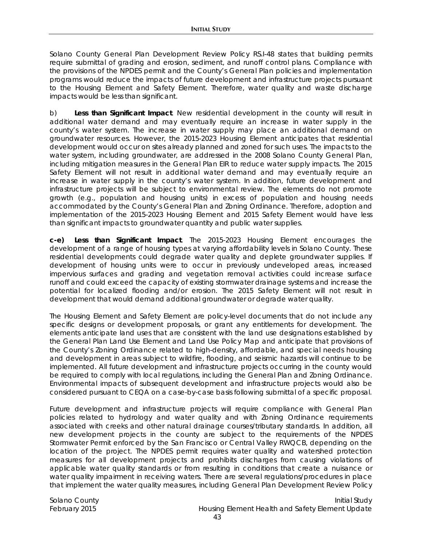Solano County General Plan Development Review Policy RS.I-48 states that building permits require submittal of grading and erosion, sediment, and runoff control plans. Compliance with the provisions of the NPDES permit and the County's General Plan policies and implementation programs would reduce the impacts of future development and infrastructure projects pursuant to the Housing Element and Safety Element. Therefore, water quality and waste discharge impacts would be less than significant.

*b)* **Less than Significant Impact**. New residential development in the county will result in additional water demand and may eventually require an increase in water supply in the county's water system. The increase in water supply may place an additional demand on groundwater resources. However, the 2015-2023 Housing Element anticipates that residential development would occur on sites already planned and zoned for such uses. The impacts to the water system, including groundwater, are addressed in the 2008 Solano County General Plan, including mitigation measures in the General Plan EIR to reduce water supply impacts. The 2015 Safety Element will not result in additional water demand and may eventually require an increase in water supply in the county's water system. In addition, future development and infrastructure projects will be subject to environmental review. The elements do not promote growth (e.g., population and housing units) in excess of population and housing needs accommodated by the County's General Plan and Zoning Ordinance. Therefore, adoption and implementation of the 2015-2023 Housing Element and 2015 Safety Element would have less than significant impacts to groundwater quantity and public water supplies.

*c-e) Less than Significant Impact*. The 2015-2023 Housing Element encourages the development of a range of housing types at varying affordability levels in Solano County. These residential developments could degrade water quality and deplete groundwater supplies. If development of housing units were to occur in previously undeveloped areas, increased impervious surfaces and grading and vegetation removal activities could increase surface runoff and could exceed the capacity of existing stormwater drainage systems and increase the potential for localized flooding and/or erosion. The 2015 Safety Element will not result in development that would demand additional groundwater or degrade water quality.

The Housing Element and Safety Element are policy-level documents that do not include any specific designs or development proposals, or grant any entitlements for development. The elements anticipate land uses that are consistent with the land use designations established by the General Plan Land Use Element and Land Use Policy Map and anticipate that provisions of the County's Zoning Ordinance related to high-density, affordable, and special needs housing and development in areas subject to wildfire, flooding, and seismic hazards will continue to be implemented. All future development and infrastructure projects occurring in the county would be required to comply with local regulations, including the General Plan and Zoning Ordinance. Environmental impacts of subsequent development and infrastructure projects would also be considered pursuant to CEQA on a case-by-case basis following submittal of a specific proposal.

Future development and infrastructure projects will require compliance with General Plan policies related to hydrology and water quality and with Zoning Ordinance requirements associated with creeks and other natural drainage courses/tributary standards. In addition, all new development projects in the county are subject to the requirements of the NPDES Stormwater Permit enforced by the San Francisco or Central Valley RWQCB, depending on the location of the project. The NPDES permit requires water quality and watershed protection measures for all development projects and prohibits discharges from causing violations of applicable water quality standards or from resulting in conditions that create a nuisance or water quality impairment in receiving waters. There are several regulations/procedures in place that implement the water quality measures, including General Plan Development Review Policy

Solano County **Initial Study** Initial Study **Initial Study** Initial Study **Initial Study** February 2015 **Housing Element Health and Safety Element Update**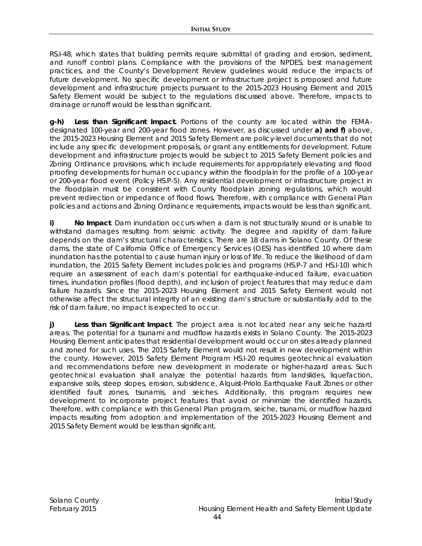RS.I-48, which states that building permits require submittal of grading and erosion, sediment, and runoff control plans. Compliance with the provisions of the NPDES, best management practices, and the County's Development Review guidelines would reduce the impacts of future development. No specific development or infrastructure project is proposed and future development and infrastructure projects pursuant to the 2015-2023 Housing Element and 2015 Safety Element would be subject to the regulations discussed above. Therefore, impacts to drainage or runoff would be less than significant.

*g-h) Less than Significant Impact.* Portions of the county are located within the FEMAdesignated 100-year and 200-year flood zones. However, as discussed under **a) and f)** above, the 2015-2023 Housing Element and 2015 Safety Element are policy-level documents that do not include any specific development proposals, or grant any entitlements for development. Future development and infrastructure projects would be subject to 2015 Safety Element policies and Zoning Ordinance provisions, which include requirements for appropriately elevating and flood proofing developments for human occupancy within the floodplain for the profile of a 100-year or 200-year flood event (Policy HS.P-5). Any residential development or infrastructure project in the floodplain must be consistent with County floodplain zoning regulations, which would prevent redirection or impedance of flood flows. Therefore, with compliance with General Plan policies and actions and Zoning Ordinance requirements, impacts would be less than significant.

*i)* No Impact. Dam inundation occurs when a dam is not structurally sound or is unable to withstand damages resulting from seismic activity. The degree and rapidity of dam failure depends on the dam's structural characteristics. There are 18 dams in Solano County. Of these dams, the state of California Office of Emergency Services (OES) has identified 10 where dam inundation has the potential to cause human injury or loss of life. To reduce the likelihood of dam inundation, the 2015 Safety Element includes policies and programs (HS.P-7 and HS.I-10) which require an assessment of each dam's potential for earthquake-induced failure, evacuation times, inundation profiles (flood depth), and inclusion of project features that may reduce dam failure hazards. Since the 2015-2023 Housing Element and 2015 Safety Element would not otherwise affect the structural integrity of an existing dam's structure or substantially add to the risk of dam failure, no impact is expected to occur.

*j) Less than Significant Impact*. The project area is not located near any seiche hazard areas. The potential for a tsunami and mudflow hazards exists in Solano County. The 2015-2023 Housing Element anticipates that residential development would occur on sites already planned and zoned for such uses. The 2015 Safety Element would not result in new development within the county. However, 2015 Safety Element Program HS.I-20 requires geotechnical evaluation and recommendations before new development in moderate or higher-hazard areas. Such geotechnical evaluation shall analyze the potential hazards from landslides, liquefaction, expansive soils, steep slopes, erosion, subsidence, Alquist-Priolo Earthquake Fault Zones or other identified fault zones, tsunamis, and seiches. Additionally, this program requires new development to incorporate project features that avoid or minimize the identified hazards. Therefore, with compliance with this General Plan program, seiche, tsunami, or mudflow hazard impacts resulting from adoption and implementation of the 2015-2023 Housing Element and 2015 Safety Element would be less than significant.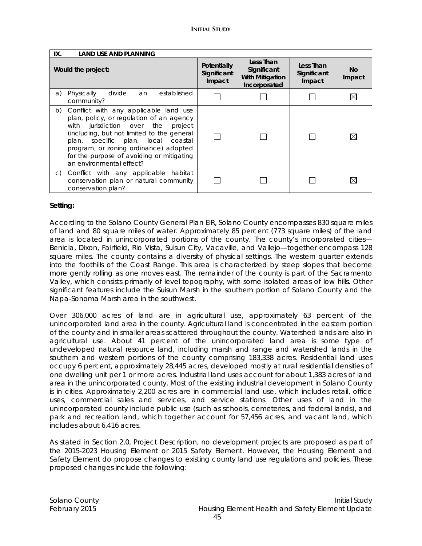| IX.<br><b>LAND USE AND PLANNING</b>                                                                                                                                                                                                                                                                                                    |                                      |                                                                    |                                    |               |  |  |
|----------------------------------------------------------------------------------------------------------------------------------------------------------------------------------------------------------------------------------------------------------------------------------------------------------------------------------------|--------------------------------------|--------------------------------------------------------------------|------------------------------------|---------------|--|--|
| Would the project:                                                                                                                                                                                                                                                                                                                     | Potentially<br>Significant<br>Impact | Less Than<br>Significant<br><b>With Mitigation</b><br>Incorporated | Less Than<br>Significant<br>Impact | No.<br>Impact |  |  |
| divide<br>established<br>Physically<br>a)<br>an<br>community?                                                                                                                                                                                                                                                                          |                                      |                                                                    |                                    | $\boxtimes$   |  |  |
| Conflict with any applicable land use<br>b)<br>plan, policy, or regulation of an agency<br>jurisdiction over the project<br>with<br>(including, but not limited to the general<br>plan, specific plan, local coastal<br>program, or zoning ordinance) adopted<br>for the purpose of avoiding or mitigating<br>an environmental effect? |                                      |                                                                    |                                    | $\boxtimes$   |  |  |
| Conflict with any applicable habitat<br>$\mathsf{C}$<br>conservation plan or natural community<br>conservation plan?                                                                                                                                                                                                                   |                                      |                                                                    |                                    | IX            |  |  |

According to the Solano County General Plan EIR, Solano County encompasses 830 square miles of land and 80 square miles of water. Approximately 85 percent (773 square miles) of the land area is located in unincorporated portions of the county. The county's incorporated cities— Benicia, Dixon, Fairfield, Rio Vista, Suisun City, Vacaville, and Vallejo—together encompass 128 square miles. The county contains a diversity of physical settings. The western quarter extends into the foothills of the Coast Range. This area is characterized by steep slopes that become more gently rolling as one moves east. The remainder of the county is part of the Sacramento Valley, which consists primarily of level topography, with some isolated areas of low hills. Other significant features include the Suisun Marsh in the southern portion of Solano County and the Napa-Sonoma Marsh area in the southwest.

Over 306,000 acres of land are in agricultural use, approximately 63 percent of the unincorporated land area in the county. Agricultural land is concentrated in the eastern portion of the county and in smaller areas scattered throughout the county. Watershed lands are also in agricultural use. About 41 percent of the unincorporated land area is some type of undeveloped natural resource land, including marsh and range and watershed lands in the southern and western portions of the county comprising 183,338 acres. Residential land uses occupy 6 percent, approximately 28,445 acres, developed mostly at rural residential densities of one dwelling unit per 1 or more acres. Industrial land uses account for about 1,383 acres of land area in the unincorporated county. Most of the existing industrial development in Solano County is in cities. Approximately 2,200 acres are in commercial land use, which includes retail, office uses, commercial sales and services, and service stations. Other uses of land in the unincorporated county include public use (such as schools, cemeteries, and federal lands), and park and recreation land, which together account for 57,456 acres, and vacant land, which includes about 6,416 acres.

As stated in Section 2.0, Project Description, no development projects are proposed as part of the 2015-2023 Housing Element or 2015 Safety Element. However, the Housing Element and Safety Element do propose changes to existing county land use regulations and policies. These proposed changes include the following: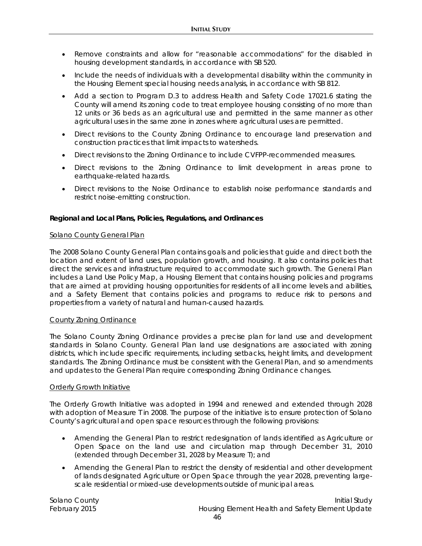- Remove constraints and allow for "reasonable accommodations" for the disabled in housing development standards, in accordance with SB 520.
- Include the needs of individuals with a developmental disability within the community in the Housing Element special housing needs analysis, in accordance with SB 812.
- Add a section to Program D.3 to address Health and Safety Code 17021.6 stating the County will amend its zoning code to treat employee housing consisting of no more than 12 units or 36 beds as an agricultural use and permitted in the same manner as other agricultural uses in the same zone in zones where agricultural uses are permitted.
- Direct revisions to the County Zoning Ordinance to encourage land preservation and construction practices that limit impacts to watersheds.
- Direct revisions to the Zoning Ordinance to include CVFPP-recommended measures.
- Direct revisions to the Zoning Ordinance to limit development in areas prone to earthquake-related hazards.
- Direct revisions to the Noise Ordinance to establish noise performance standards and restrict noise-emitting construction.

# **Regional and Local Plans, Policies, Regulations, and Ordinances**

### Solano County General Plan

The 2008 Solano County General Plan contains goals and policies that guide and direct both the location and extent of land uses, population growth, and housing. It also contains policies that direct the services and infrastructure required to accommodate such growth. The General Plan includes a Land Use Policy Map, a Housing Element that contains housing policies and programs that are aimed at providing housing opportunities for residents of all income levels and abilities, and a Safety Element that contains policies and programs to reduce risk to persons and properties from a variety of natural and human-caused hazards.

#### County Zoning Ordinance

The Solano County Zoning Ordinance provides a precise plan for land use and development standards in Solano County. General Plan land use designations are associated with zoning districts, which include specific requirements, including setbacks, height limits, and development standards. The Zoning Ordinance must be consistent with the General Plan, and so amendments and updates to the General Plan require corresponding Zoning Ordinance changes.

#### Orderly Growth Initiative

The Orderly Growth Initiative was adopted in 1994 and renewed and extended through 2028 with adoption of Measure T in 2008. The purpose of the initiative is to ensure protection of Solano County's agricultural and open space resources through the following provisions:

- Amending the General Plan to restrict redesignation of lands identified as Agriculture or Open Space on the land use and circulation map through December 31, 2010 (extended through December 31, 2028 by Measure T); and
- Amending the General Plan to restrict the density of residential and other development of lands designated Agriculture or Open Space through the year 2028, preventing largescale residential or mixed-use developments outside of municipal areas.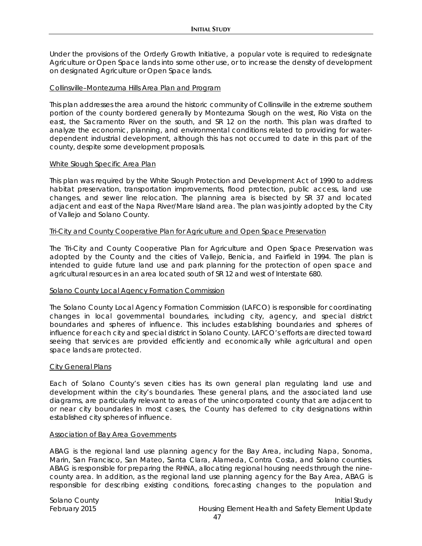Under the provisions of the Orderly Growth Initiative, a popular vote is required to redesignate Agriculture or Open Space lands into some other use, or to increase the density of development on designated Agriculture or Open Space lands.

### Collinsville–Montezuma Hills Area Plan and Program

This plan addresses the area around the historic community of Collinsville in the extreme southern portion of the county bordered generally by Montezuma Slough on the west, Rio Vista on the east, the Sacramento River on the south, and SR 12 on the north. This plan was drafted to analyze the economic, planning, and environmental conditions related to providing for waterdependent industrial development, although this has not occurred to date in this part of the county, despite some development proposals.

#### White Slough Specific Area Plan

This plan was required by the White Slough Protection and Development Act of 1990 to address habitat preservation, transportation improvements, flood protection, public access, land use changes, and sewer line relocation. The planning area is bisected by SR 37 and located adjacent and east of the Napa River/Mare Island area. The plan was jointly adopted by the City of Vallejo and Solano County.

### Tri-City and County Cooperative Plan for Agriculture and Open Space Preservation

The Tri-City and County Cooperative Plan for Agriculture and Open Space Preservation was adopted by the County and the cities of Vallejo, Benicia, and Fairfield in 1994. The plan is intended to guide future land use and park planning for the protection of open space and agricultural resources in an area located south of SR 12 and west of Interstate 680.

#### Solano County Local Agency Formation Commission

The Solano County Local Agency Formation Commission (LAFCO) is responsible for coordinating changes in local governmental boundaries, including city, agency, and special district boundaries and spheres of influence. This includes establishing boundaries and spheres of influence for each city and special district in Solano County. LAFCO's efforts are directed toward seeing that services are provided efficiently and economically while agricultural and open space lands are protected.

#### City General Plans

Each of Solano County's seven cities has its own general plan regulating land use and development within the city's boundaries. These general plans, and the associated land use diagrams, are particularly relevant to areas of the unincorporated county that are adjacent to or near city boundaries In most cases, the County has deferred to city designations within established city spheres of influence.

#### Association of Bay Area Governments

ABAG is the regional land use planning agency for the Bay Area, including Napa, Sonoma, Marin, San Francisco, San Mateo, Santa Clara, Alameda, Contra Costa, and Solano counties. ABAG is responsible for preparing the RHNA, allocating regional housing needs through the ninecounty area. In addition, as the regional land use planning agency for the Bay Area, ABAG is responsible for describing existing conditions, forecasting changes to the population and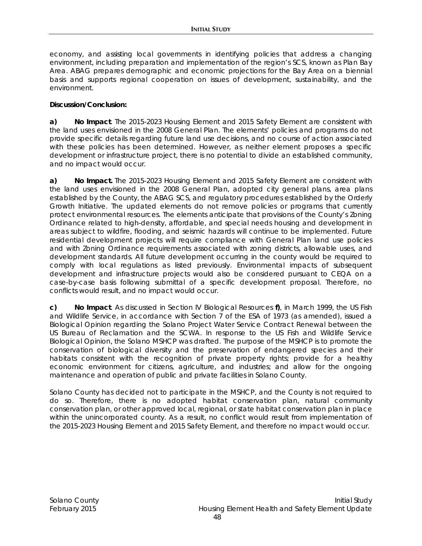economy, and assisting local governments in identifying policies that address a changing environment, including preparation and implementation of the region's SCS, known as Plan Bay Area. ABAG prepares demographic and economic projections for the Bay Area on a biennial basis and supports regional cooperation on issues of development, sustainability, and the environment.

# **Discussion/Conclusion:**

*a) No Impact*. The 2015-2023 Housing Element and 2015 Safety Element are consistent with the land uses envisioned in the 2008 General Plan. The elements' policies and programs do not provide specific details regarding future land use decisions, and no course of action associated with these policies has been determined. However, as neither element proposes a specific development or infrastructure project, there is no potential to divide an established community, and no impact would occur.

*a) No Impact.* The 2015-2023 Housing Element and 2015 Safety Element are consistent with the land uses envisioned in the 2008 General Plan, adopted city general plans, area plans established by the County, the ABAG SCS, and regulatory procedures established by the Orderly Growth Initiative. The updated elements do not remove policies or programs that currently protect environmental resources. The elements anticipate that provisions of the County's Zoning Ordinance related to high-density, affordable, and special needs housing and development in areas subject to wildfire, flooding, and seismic hazards will continue to be implemented. Future residential development projects will require compliance with General Plan land use policies and with Zoning Ordinance requirements associated with zoning districts, allowable uses, and development standards. All future development occurring in the county would be required to comply with local regulations as listed previously. Environmental impacts of subsequent development and infrastructure projects would also be considered pursuant to CEQA on a case-by-case basis following submittal of a specific development proposal. Therefore, no conflicts would result, and no impact would occur.

*c) No Impact*. As discussed in Section IV Biological Resources **f)**, in March 1999, the US Fish and Wildlife Service, in accordance with Section 7 of the ESA of 1973 (as amended), issued a Biological Opinion regarding the Solano Project Water Service Contract Renewal between the US Bureau of Reclamation and the SCWA. In response to the US Fish and Wildlife Service Biological Opinion, the Solano MSHCP was drafted. The purpose of the MSHCP is to promote the conservation of biological diversity and the preservation of endangered species and their habitats consistent with the recognition of private property rights; provide for a healthy economic environment for citizens, agriculture, and industries; and allow for the ongoing maintenance and operation of public and private facilities in Solano County.

Solano County has decided not to participate in the MSHCP, and the County is not required to do so. Therefore, there is no adopted habitat conservation plan, natural community conservation plan, or other approved local, regional, or state habitat conservation plan in place within the unincorporated county. As a result, no conflict would result from implementation of the 2015-2023 Housing Element and 2015 Safety Element, and therefore no impact would occur.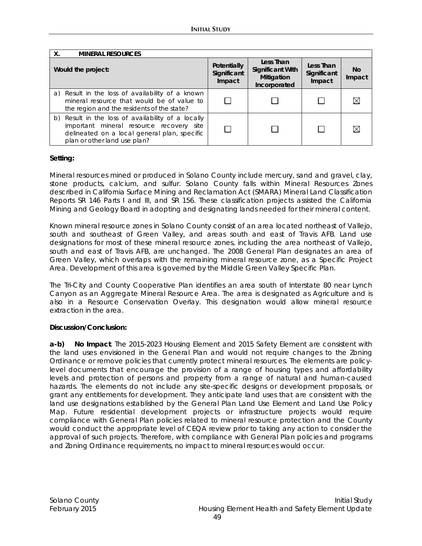| Χ.<br><b>MINERAL RESOURCES</b>                                                                                                                                                 |                                      |                                                                    |                                    |                     |
|--------------------------------------------------------------------------------------------------------------------------------------------------------------------------------|--------------------------------------|--------------------------------------------------------------------|------------------------------------|---------------------|
| Would the project:                                                                                                                                                             | Potentially<br>Significant<br>Impact | Less Than<br><b>Significant With</b><br>Mitigation<br>Incorporated | Less Than<br>Significant<br>Impact | <b>No</b><br>Impact |
| a) Result in the loss of availability of a known<br>mineral resource that would be of value to<br>the region and the residents of the state?                                   |                                      |                                                                    |                                    | X                   |
| b) Result in the loss of availability of a locally<br>important mineral resource recovery site<br>delineated on a local general plan, specific<br>plan or other land use plan? |                                      |                                                                    |                                    | M                   |

Mineral resources mined or produced in Solano County include mercury, sand and gravel, clay, stone products, calcium, and sulfur. Solano County falls within Mineral Resources Zones described in California Surface Mining and Reclamation Act (SMARA) Mineral Land Classification Reports SR 146 Parts I and III, and SR 156. These classification projects assisted the California Mining and Geology Board in adopting and designating lands needed for their mineral content.

Known mineral resource zones in Solano County consist of an area located northeast of Vallejo, south and southeast of Green Valley, and areas south and east of Travis AFB. Land use designations for most of these mineral resource zones, including the area northeast of Vallejo, south and east of Travis AFB, are unchanged. The 2008 General Plan designates an area of Green Valley, which overlaps with the remaining mineral resource zone, as a Specific Project Area. Development of this area is governed by the Middle Green Valley Specific Plan.

The Tri-City and County Cooperative Plan identifies an area south of Interstate 80 near Lynch Canyon as an Aggregate Mineral Resource Area. The area is designated as Agriculture and is also in a Resource Conservation Overlay. This designation would allow mineral resource extraction in the area.

## **Discussion/Conclusion:**

*a-b) No Impact*. The 2015-2023 Housing Element and 2015 Safety Element are consistent with the land uses envisioned in the General Plan and would not require changes to the Zoning Ordinance or remove policies that currently protect mineral resources. The elements are policylevel documents that encourage the provision of a range of housing types and affordability levels and protection of persons and property from a range of natural and human-caused hazards. The elements do not include any site-specific designs or development proposals, or grant any entitlements for development. They anticipate land uses that are consistent with the land use designations established by the General Plan Land Use Element and Land Use Policy Map. Future residential development projects or infrastructure projects would require compliance with General Plan policies related to mineral resource protection and the County would conduct the appropriate level of CEQA review prior to taking any action to consider the approval of such projects. Therefore, with compliance with General Plan policies and programs and Zoning Ordinance requirements, no impact to mineral resources would occur.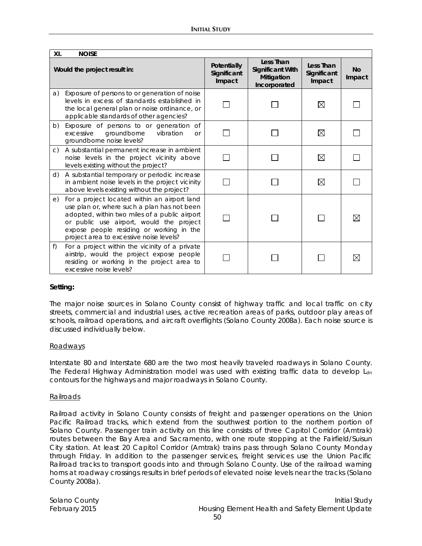| XI.          | <b>NOISE</b>                                                                                                                                                                                                                                                                    |                                      |                                                                    |                                    |                     |
|--------------|---------------------------------------------------------------------------------------------------------------------------------------------------------------------------------------------------------------------------------------------------------------------------------|--------------------------------------|--------------------------------------------------------------------|------------------------------------|---------------------|
|              | Would the project result in:                                                                                                                                                                                                                                                    | Potentially<br>Significant<br>Impact | Less Than<br><b>Significant With</b><br>Mitigation<br>Incorporated | Less Than<br>Significant<br>Impact | <b>No</b><br>Impact |
| a)           | Exposure of persons to or generation of noise<br>levels in excess of standards established in<br>the local general plan or noise ordinance, or<br>applicable standards of other agencies?                                                                                       |                                      |                                                                    | $\boxtimes$                        |                     |
| b)           | Exposure of persons to or generation<br>of<br>groundborne<br>vibration<br>excessive<br>$\alpha$<br>groundborne noise levels?                                                                                                                                                    |                                      |                                                                    | $\boxtimes$                        |                     |
| $\mathsf{C}$ | A substantial permanent increase in ambient<br>noise levels in the project vicinity above<br>levels existing without the project?                                                                                                                                               |                                      |                                                                    | $\boxtimes$                        |                     |
| d)           | A substantial temporary or periodic increase<br>in ambient noise levels in the project vicinity<br>above levels existing without the project?                                                                                                                                   |                                      |                                                                    | ⊠                                  |                     |
| e)           | For a project located within an airport land<br>use plan or, where such a plan has not been<br>adopted, within two miles of a public airport<br>or public use airport, would the project<br>expose people residing or working in the<br>project area to excessive noise levels? |                                      |                                                                    |                                    | ⋉                   |
| f)           | For a project within the vicinity of a private<br>airstrip, would the project expose people<br>residing or working in the project area to<br>excessive noise levels?                                                                                                            |                                      |                                                                    |                                    | ⋉                   |

The major noise sources in Solano County consist of highway traffic and local traffic on city streets, commercial and industrial uses, active recreation areas of parks, outdoor play areas of schools, railroad operations, and aircraft overflights (Solano County 2008a). Each noise source is discussed individually below.

#### Roadways

Interstate 80 and Interstate 680 are the two most heavily traveled roadways in Solano County. The Federal Highway Administration model was used with existing traffic data to develop Ldn contours for the highways and major roadways in Solano County.

#### Railroads

Railroad activity in Solano County consists of freight and passenger operations on the Union Pacific Railroad tracks, which extend from the southwest portion to the northern portion of Solano County. Passenger train activity on this line consists of three Capitol Corridor (Amtrak) routes between the Bay Area and Sacramento, with one route stopping at the Fairfield/Suisun City station. At least 20 Capitol Corridor (Amtrak) trains pass through Solano County Monday through Friday. In addition to the passenger services, freight services use the Union Pacific Railroad tracks to transport goods into and through Solano County. Use of the railroad warning horns at roadway crossings results in brief periods of elevated noise levels near the tracks (Solano County 2008a).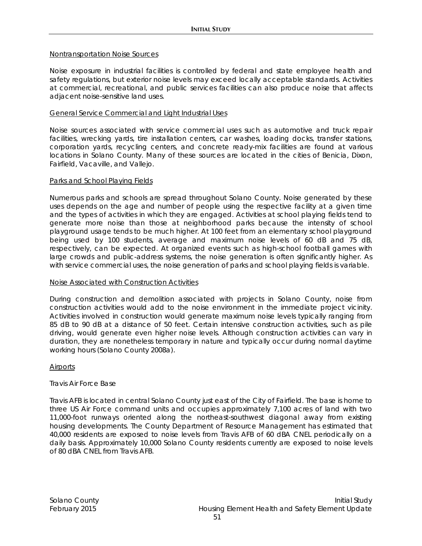### Nontransportation Noise Sources

Noise exposure in industrial facilities is controlled by federal and state employee health and safety regulations, but exterior noise levels may exceed locally acceptable standards. Activities at commercial, recreational, and public services facilities can also produce noise that affects adjacent noise-sensitive land uses.

### General Service Commercial and Light Industrial Uses

Noise sources associated with service commercial uses such as automotive and truck repair facilities, wrecking yards, tire installation centers, car washes, loading docks, transfer stations, corporation yards, recycling centers, and concrete ready-mix facilities are found at various locations in Solano County. Many of these sources are located in the cities of Benicia, Dixon, Fairfield, Vacaville, and Vallejo.

#### Parks and School Playing Fields

Numerous parks and schools are spread throughout Solano County. Noise generated by these uses depends on the age and number of people using the respective facility at a given time and the types of activities in which they are engaged. Activities at school playing fields tend to generate more noise than those at neighborhood parks because the intensity of school playground usage tends to be much higher. At 100 feet from an elementary school playground being used by 100 students, average and maximum noise levels of 60 dB and 75 dB, respectively, can be expected. At organized events such as high-school football games with large crowds and public-address systems, the noise generation is often significantly higher. As with service commercial uses, the noise generation of parks and school playing fields is variable.

## Noise Associated with Construction Activities

During construction and demolition associated with projects in Solano County, noise from construction activities would add to the noise environment in the immediate project vicinity. Activities involved in construction would generate maximum noise levels typically ranging from 85 dB to 90 dB at a distance of 50 feet. Certain intensive construction activities, such as pile driving, would generate even higher noise levels. Although construction activities can vary in duration, they are nonetheless temporary in nature and typically occur during normal daytime working hours (Solano County 2008a).

#### **Airports**

## *Travis Air Force Base*

Travis AFB is located in central Solano County just east of the City of Fairfield. The base is home to three US Air Force command units and occupies approximately 7,100 acres of land with two 11,000-foot runways oriented along the northeast-southwest diagonal away from existing housing developments. The County Department of Resource Management has estimated that 40,000 residents are exposed to noise levels from Travis AFB of 60 dBA CNEL periodically on a daily basis. Approximately 10,000 Solano County residents currently are exposed to noise levels of 80 dBA CNEL from Travis AFB.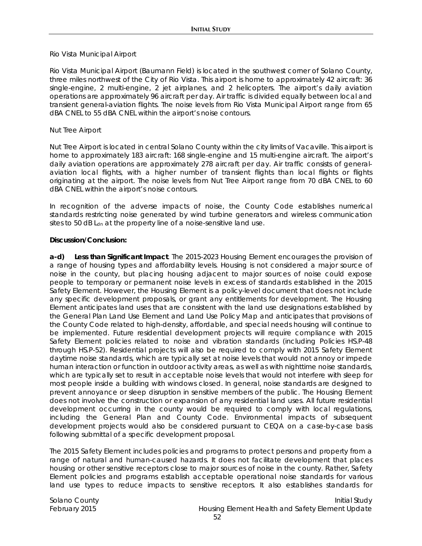### *Rio Vista Municipal Airport*

Rio Vista Municipal Airport (Baumann Field) is located in the southwest corner of Solano County, three miles northwest of the City of Rio Vista. This airport is home to approximately 42 aircraft: 36 single-engine, 2 multi-engine, 2 jet airplanes, and 2 helicopters. The airport's daily aviation operations are approximately 96 aircraft per day. Air traffic is divided equally between local and transient general-aviation flights. The noise levels from Rio Vista Municipal Airport range from 65 dBA CNEL to 55 dBA CNEL within the airport's noise contours.

### *Nut Tree Airport*

Nut Tree Airport is located in central Solano County within the city limits of Vacaville. This airport is home to approximately 183 aircraft: 168 single-engine and 15 multi-engine aircraft. The airport's daily aviation operations are approximately 278 aircraft per day. Air traffic consists of generalaviation local flights, with a higher number of transient flights than local flights or flights originating at the airport. The noise levels from Nut Tree Airport range from 70 dBA CNEL to 60 dBA CNEL within the airport's noise contours.

In recognition of the adverse impacts of noise, the County Code establishes numerical standards restricting noise generated by wind turbine generators and wireless communication sites to 50 dB L<sub>dn</sub> at the property line of a noise-sensitive land use.

### **Discussion/Conclusion:**

*a-d) Less than Significant Impact*. The 2015-2023 Housing Element encourages the provision of a range of housing types and affordability levels. Housing is not considered a major source of noise in the county, but placing housing adjacent to major sources of noise could expose people to temporary or permanent noise levels in excess of standards established in the 2015 Safety Element. However, the Housing Element is a policy-level document that does not include any specific development proposals, or grant any entitlements for development. The Housing Element anticipates land uses that are consistent with the land use designations established by the General Plan Land Use Element and Land Use Policy Map and anticipates that provisions of the County Code related to high-density, affordable, and special needs housing will continue to be implemented. Future residential development projects will require compliance with 2015 Safety Element policies related to noise and vibration standards (including Policies HS.P-48 through HS.P-52). Residential projects will also be required to comply with 2015 Safety Element daytime noise standards, which are typically set at noise levels that would not annoy or impede human interaction or function in outdoor activity areas, as well as with nighttime noise standards, which are typically set to result in acceptable noise levels that would not interfere with sleep for most people inside a building with windows closed. In general, noise standards are designed to prevent annoyance or sleep disruption in sensitive members of the public. The Housing Element does not involve the construction or expansion of any residential land uses. All future residential development occurring in the county would be required to comply with local regulations, including the General Plan and County Code. Environmental impacts of subsequent development projects would also be considered pursuant to CEQA on a case-by-case basis following submittal of a specific development proposal.

The 2015 Safety Element includes policies and programs to protect persons and property from a range of natural and human-caused hazards. It does not facilitate development that places housing or other sensitive receptors close to major sources of noise in the county. Rather, Safety Element policies and programs establish acceptable operational noise standards for various land use types to reduce impacts to sensitive receptors. It also establishes standards for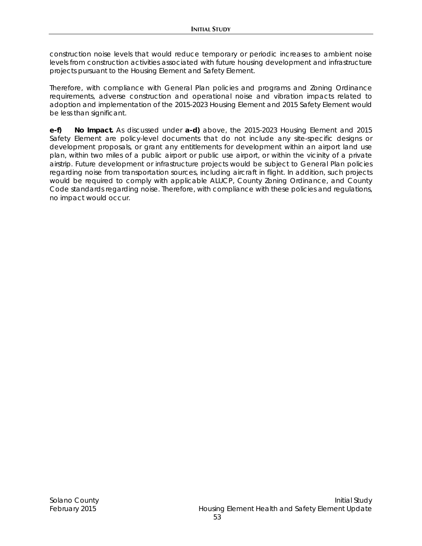construction noise levels that would reduce temporary or periodic increases to ambient noise levels from construction activities associated with future housing development and infrastructure projects pursuant to the Housing Element and Safety Element.

Therefore, with compliance with General Plan policies and programs and Zoning Ordinance requirements, adverse construction and operational noise and vibration impacts related to adoption and implementation of the 2015-2023 Housing Element and 2015 Safety Element would be less than significant.

*e-f) No Impact.* As discussed under **a-d)** above, the 2015-2023 Housing Element and 2015 Safety Element are policy-level documents that do not include any site-specific designs or development proposals, or grant any entitlements for development within an airport land use plan, within two miles of a public airport or public use airport, or within the vicinity of a private airstrip. Future development or infrastructure projects would be subject to General Plan policies regarding noise from transportation sources, including aircraft in flight. In addition, such projects would be required to comply with applicable ALUCP, County Zoning Ordinance, and County Code standards regarding noise. Therefore, with compliance with these policies and regulations, no impact would occur.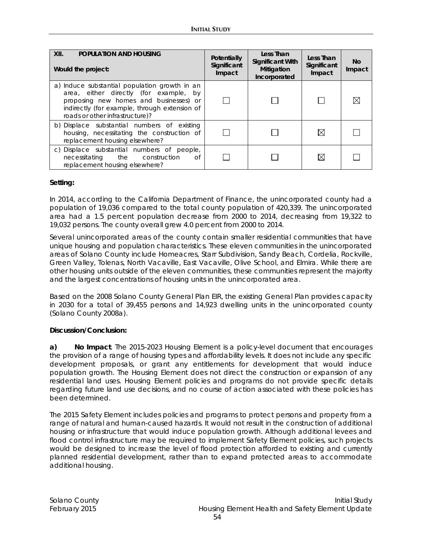| XII.<br><b>POPULATION AND HOUSING</b><br>Would the project:                                                                                                                                                           | Potentially<br>Significant<br>Impact | Less Than<br><b>Significant With</b><br>Mitigation<br>Incorporated | Less Than<br>Significant<br>Impact | No.<br>Impact |
|-----------------------------------------------------------------------------------------------------------------------------------------------------------------------------------------------------------------------|--------------------------------------|--------------------------------------------------------------------|------------------------------------|---------------|
| a) Induce substantial population growth in an<br>area, either directly (for example, by<br>proposing new homes and businesses) or<br>indirectly (for example, through extension of<br>roads or other infrastructure)? |                                      |                                                                    |                                    |               |
| b) Displace substantial numbers of existing<br>housing, necessitating the construction of<br>replacement housing elsewhere?                                                                                           |                                      |                                                                    | $\times$                           |               |
| c) Displace substantial numbers of people,<br>necessitating the construction<br>of<br>replacement housing elsewhere?                                                                                                  |                                      |                                                                    | X                                  |               |

In 2014, according to the California Department of Finance, the unincorporated county had a population of 19,036 compared to the total county population of 420,339. The unincorporated area had a 1.5 percent population decrease from 2000 to 2014, decreasing from 19,322 to 19,032 persons. The county overall grew 4.0 percent from 2000 to 2014.

Several unincorporated areas of the county contain smaller residential communities that have unique housing and population characteristics. These eleven communities in the unincorporated areas of Solano County include Homeacres, Starr Subdivision, Sandy Beach, Cordelia, Rockville, Green Valley, Tolenas, North Vacaville, East Vacaville, Olive School, and Elmira. While there are other housing units outside of the eleven communities, these communities represent the majority and the largest concentrations of housing units in the unincorporated area.

Based on the 2008 Solano County General Plan EIR, the existing General Plan provides capacity in 2030 for a total of 39,455 persons and 14,923 dwelling units in the unincorporated county (Solano County 2008a).

## **Discussion/Conclusion:**

*a) No Impact*. The 2015-2023 Housing Element is a policy-level document that encourages the provision of a range of housing types and affordability levels. It does not include any specific development proposals, or grant any entitlements for development that would induce population growth. The Housing Element does not direct the construction or expansion of any residential land uses. Housing Element policies and programs do not provide specific details regarding future land use decisions, and no course of action associated with these policies has been determined.

The 2015 Safety Element includes policies and programs to protect persons and property from a range of natural and human-caused hazards. It would not result in the construction of additional housing or infrastructure that would induce population growth. Although additional levees and flood control infrastructure may be required to implement Safety Element policies, such projects would be designed to increase the level of flood protection afforded to existing and currently planned residential development, rather than to expand protected areas to accommodate additional housing.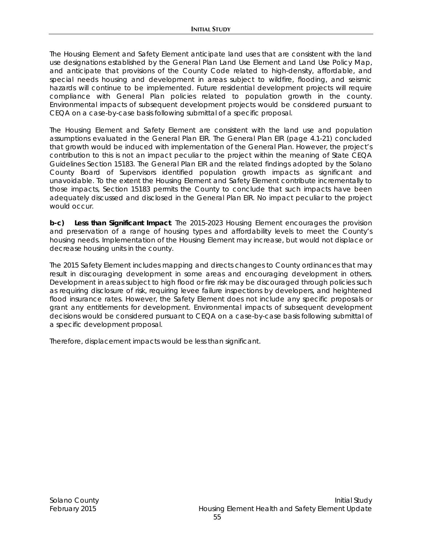The Housing Element and Safety Element anticipate land uses that are consistent with the land use designations established by the General Plan Land Use Element and Land Use Policy Map, and anticipate that provisions of the County Code related to high-density, affordable, and special needs housing and development in areas subject to wildfire, flooding, and seismic hazards will continue to be implemented. Future residential development projects will require compliance with General Plan policies related to population growth in the county. Environmental impacts of subsequent development projects would be considered pursuant to CEQA on a case-by-case basis following submittal of a specific proposal.

The Housing Element and Safety Element are consistent with the land use and population assumptions evaluated in the General Plan EIR. The General Plan EIR (page 4.1-21) concluded that growth would be induced with implementation of the General Plan. However, the project's contribution to this is not an impact peculiar to the project within the meaning of State CEQA Guidelines Section 15183. The General Plan EIR and the related findings adopted by the Solano County Board of Supervisors identified population growth impacts as significant and unavoidable. To the extent the Housing Element and Safety Element contribute incrementally to those impacts, Section 15183 permits the County to conclude that such impacts have been adequately discussed and disclosed in the General Plan EIR. No impact peculiar to the project would occur.

*b-c) Less than Significant Impact*. The 2015-2023 Housing Element encourages the provision and preservation of a range of housing types and affordability levels to meet the County's housing needs. Implementation of the Housing Element may increase, but would not displace or decrease housing units in the county.

The 2015 Safety Element includes mapping and directs changes to County ordinances that may result in discouraging development in some areas and encouraging development in others. Development in areas subject to high flood or fire risk may be discouraged through policies such as requiring disclosure of risk, requiring levee failure inspections by developers, and heightened flood insurance rates. However, the Safety Element does not include any specific proposals or grant any entitlements for development. Environmental impacts of subsequent development decisions would be considered pursuant to CEQA on a case-by-case basis following submittal of a specific development proposal.

Therefore, displacement impacts would be less than significant.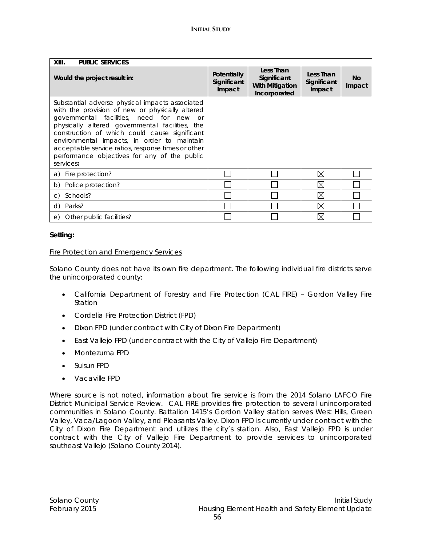| XIII.<br><b>PUBLIC SERVICES</b>                                                                                                                                                                                                                                                                                                                                                                                               |                                      |                                                                    |                                    |                     |  |
|-------------------------------------------------------------------------------------------------------------------------------------------------------------------------------------------------------------------------------------------------------------------------------------------------------------------------------------------------------------------------------------------------------------------------------|--------------------------------------|--------------------------------------------------------------------|------------------------------------|---------------------|--|
| Would the project result in:                                                                                                                                                                                                                                                                                                                                                                                                  | Potentially<br>Significant<br>Impact | Less Than<br>Significant<br><b>With Mitigation</b><br>Incorporated | Less Than<br>Significant<br>Impact | <b>No</b><br>Impact |  |
| Substantial adverse physical impacts associated<br>with the provision of new or physically altered<br>governmental facilities, need for new<br>$\Omega$<br>physically altered governmental facilities, the<br>construction of which could cause significant<br>environmental impacts, in order to maintain<br>acceptable service ratios, response times or other<br>performance objectives for any of the public<br>services: |                                      |                                                                    |                                    |                     |  |
| a) Fire protection?                                                                                                                                                                                                                                                                                                                                                                                                           |                                      |                                                                    | ⊠                                  |                     |  |
| Police protection?<br>b)                                                                                                                                                                                                                                                                                                                                                                                                      |                                      |                                                                    | $\boxtimes$                        |                     |  |
| Schools?<br>$\mathcal{C}$ )                                                                                                                                                                                                                                                                                                                                                                                                   |                                      |                                                                    | $\boxtimes$                        |                     |  |
| Parks?<br>d)                                                                                                                                                                                                                                                                                                                                                                                                                  |                                      |                                                                    | $\boxtimes$                        |                     |  |
| Other public facilities?<br>e)                                                                                                                                                                                                                                                                                                                                                                                                |                                      |                                                                    | $\boxtimes$                        |                     |  |

### Fire Protection and Emergency Services

Solano County does not have its own fire department. The following individual fire districts serve the unincorporated county:

- California Department of Forestry and Fire Protection (CAL FIRE) Gordon Valley Fire Station
- Cordelia Fire Protection District (FPD)
- Dixon FPD (under contract with City of Dixon Fire Department)
- East Vallejo FPD (under contract with the City of Vallejo Fire Department)
- Montezuma FPD
- Suisun FPD
- Vacaville FPD

Where source is not noted, information about fire service is from the 2014 Solano LAFCO Fire District Municipal Service Review. CAL FIRE provides fire protection to several unincorporated communities in Solano County. Battalion 1415's Gordon Valley station serves West Hills, Green Valley, Vaca/Lagoon Valley, and Pleasants Valley. Dixon FPD is currently under contract with the City of Dixon Fire Department and utilizes the city's station. Also, East Vallejo FPD is under contract with the City of Vallejo Fire Department to provide services to unincorporated southeast Vallejo (Solano County 2014).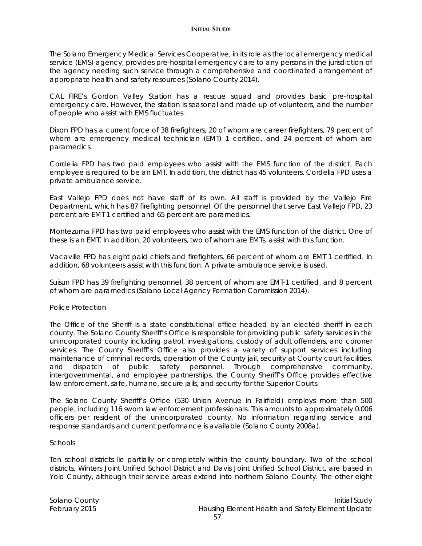The Solano Emergency Medical Services Cooperative, in its role as the local emergency medical service (EMS) agency, provides pre-hospital emergency care to any persons in the jurisdiction of the agency needing such service through a comprehensive and coordinated arrangement of appropriate health and safety resources (Solano County 2014).

CAL FIRE's Gordon Valley Station has a rescue squad and provides basic pre-hospital emergency care. However, the station is seasonal and made up of volunteers, and the number of people who assist with EMS fluctuates.

Dixon FPD has a current force of 38 firefighters, 20 of whom are career firefighters, 79 percent of whom are emergency medical technician (EMT) 1 certified, and 24 percent of whom are paramedics.

Cordelia FPD has two paid employees who assist with the EMS function of the district. Each employee is required to be an EMT. In addition, the district has 45 volunteers. Cordelia FPD uses a private ambulance service.

East Vallejo FPD does not have staff of its own. All staff is provided by the Vallejo Fire Department, which has 87 firefighting personnel. Of the personnel that serve East Vallejo FPD, 23 percent are EMT 1 certified and 65 percent are paramedics.

Montezuma FPD has two paid employees who assist with the EMS function of the district. One of these is an EMT. In addition, 20 volunteers, two of whom are EMTs, assist with this function.

Vacaville FPD has eight paid chiefs and firefighters, 66 percent of whom are EMT 1 certified. In addition, 68 volunteers assist with this function. A private ambulance service is used.

Suisun FPD has 39 firefighting personnel, 38 percent of whom are EMT-1 certified, and 8 percent of whom are paramedics (Solano Local Agency Formation Commission 2014).

## Police Protection

The Office of the Sheriff is a state constitutional office headed by an elected sheriff in each county. The Solano County Sheriff's Office is responsible for providing public safety services in the unincorporated county including patrol, investigations, custody of adult offenders, and coroner services. The County Sheriff's Office also provides a variety of support services including maintenance of criminal records, operation of the County jail, security at County court facilities, and dispatch of public safety personnel. Through comprehensive community, intergovernmental, and employee partnerships, the County Sheriff's Office provides effective law enforcement, safe, humane, secure jails, and security for the Superior Courts.

The Solano County Sheriff's Office (530 Union Avenue in Fairfield) employs more than 500 people, including 116 sworn law enforcement professionals. This amounts to approximately 0.006 officers per resident of the unincorporated county. No information regarding service and response standards and current performance is available (Solano County 2008a).

#### Schools

Ten school districts lie partially or completely within the county boundary. Two of the school districts, Winters Joint Unified School District and Davis Joint Unified School District, are based in Yolo County, although their service areas extend into northern Solano County. The other eight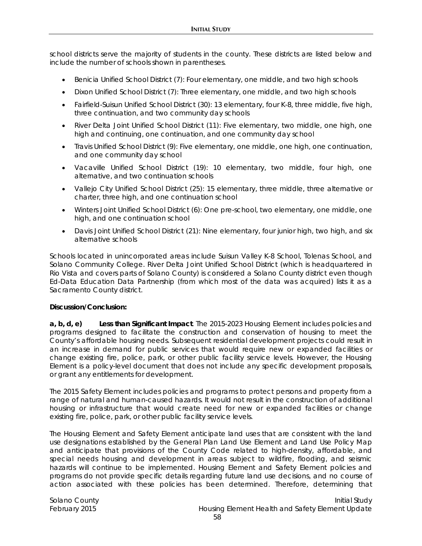school districts serve the majority of students in the county. These districts are listed below and include the number of schools shown in parentheses.

- Benicia Unified School District (7): Four elementary, one middle, and two high schools
- Dixon Unified School District (7): Three elementary, one middle, and two high schools
- Fairfield-Suisun Unified School District (30): 13 elementary, four K-8, three middle, five high, three continuation, and two community day schools
- River Delta Joint Unified School District (11): Five elementary, two middle, one high, one high and continuing, one continuation, and one community day school
- Travis Unified School District (9): Five elementary, one middle, one high, one continuation, and one community day school
- Vacaville Unified School District (19): 10 elementary, two middle, four high, one alternative, and two continuation schools
- Vallejo City Unified School District (25): 15 elementary, three middle, three alternative or charter, three high, and one continuation school
- Winters Joint Unified School District (6): One pre-school, two elementary, one middle, one high, and one continuation school
- Davis Joint Unified School District (21): Nine elementary, four junior high, two high, and six alternative schools

Schools located in unincorporated areas include Suisun Valley K-8 School, Tolenas School, and Solano Community College. River Delta Joint Unified School District (which is headquartered in Rio Vista and covers parts of Solano County) is considered a Solano County district even though Ed-Data Education Data Partnership (from which most of the data was acquired) lists it as a Sacramento County district.

## **Discussion/Conclusion:**

*a, b, d, e) Less than Significant Impact*. The 2015-2023 Housing Element includes policies and programs designed to facilitate the construction and conservation of housing to meet the County's affordable housing needs. Subsequent residential development projects could result in an increase in demand for public services that would require new or expanded facilities or change existing fire, police, park, or other public facility service levels. However, the Housing Element is a policy-level document that does not include any specific development proposals, or grant any entitlements for development.

The 2015 Safety Element includes policies and programs to protect persons and property from a range of natural and human-caused hazards. It would not result in the construction of additional housing or infrastructure that would create need for new or expanded facilities or change existing fire, police, park, or other public facility service levels.

The Housing Element and Safety Element anticipate land uses that are consistent with the land use designations established by the General Plan Land Use Element and Land Use Policy Map and anticipate that provisions of the County Code related to high-density, affordable, and special needs housing and development in areas subject to wildfire, flooding, and seismic hazards will continue to be implemented. Housing Element and Safety Element policies and programs do not provide specific details regarding future land use decisions, and no course of action associated with these policies has been determined. Therefore, determining that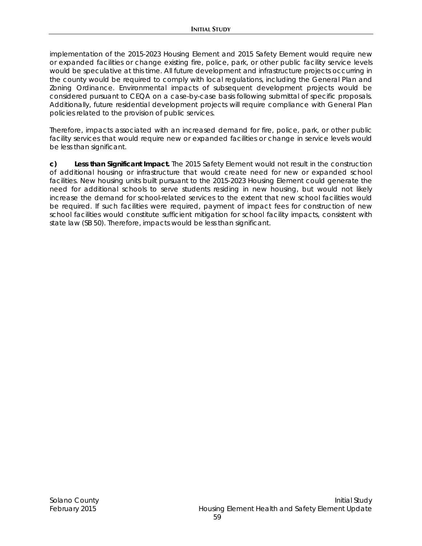implementation of the 2015-2023 Housing Element and 2015 Safety Element would require new or expanded facilities or change existing fire, police, park, or other public facility service levels would be speculative at this time. All future development and infrastructure projects occurring in the county would be required to comply with local regulations, including the General Plan and Zoning Ordinance. Environmental impacts of subsequent development projects would be considered pursuant to CEQA on a case-by-case basis following submittal of specific proposals. Additionally, future residential development projects will require compliance with General Plan policies related to the provision of public services.

Therefore, impacts associated with an increased demand for fire, police, park, or other public facility services that would require new or expanded facilities or change in service levels would be less than significant.

*c) Less than Significant Impact.* The 2015 Safety Element would not result in the construction of additional housing or infrastructure that would create need for new or expanded school facilities. New housing units built pursuant to the 2015-2023 Housing Element could generate the need for additional schools to serve students residing in new housing, but would not likely increase the demand for school-related services to the extent that new school facilities would be required. If such facilities were required, payment of impact fees for construction of new school facilities would constitute sufficient mitigation for school facility impacts, consistent with state law (SB 50). Therefore, impacts would be less than significant.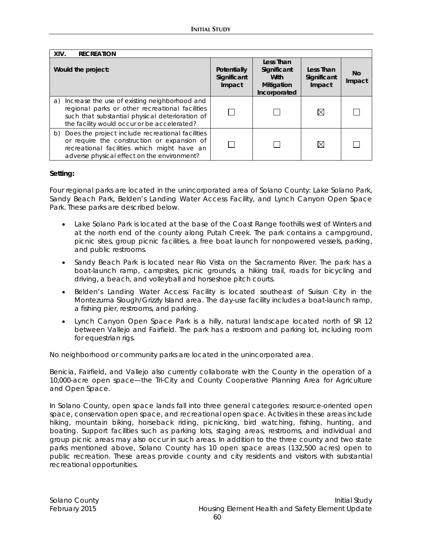| XIV.<br><b>RECREATION</b>                                                                                                                                                                             |                                      |                                                                       |                                    |                     |
|-------------------------------------------------------------------------------------------------------------------------------------------------------------------------------------------------------|--------------------------------------|-----------------------------------------------------------------------|------------------------------------|---------------------|
| Would the project:                                                                                                                                                                                    | Potentially<br>Significant<br>Impact | Less Than<br>Significant<br>With<br><b>Mitigation</b><br>Incorporated | Less Than<br>Significant<br>Impact | <b>No</b><br>Impact |
| a) Increase the use of existing neighborhood and<br>regional parks or other recreational facilities<br>such that substantial physical deterioration of<br>the facility would occur or be accelerated? |                                      |                                                                       | X                                  |                     |
| b) Does the project include recreational facilities<br>or require the construction or expansion of<br>recreational facilities which might have an<br>adverse physical effect on the environment?      |                                      |                                                                       | ⋉                                  |                     |

Four regional parks are located in the unincorporated area of Solano County: Lake Solano Park, Sandy Beach Park, Belden's Landing Water Access Facility, and Lynch Canyon Open Space Park. These parks are described below.

- Lake Solano Park is located at the base of the Coast Range foothills west of Winters and at the north end of the county along Putah Creek. The park contains a campground, picnic sites, group picnic facilities, a free boat launch for nonpowered vessels, parking, and public restrooms.
- Sandy Beach Park is located near Rio Vista on the Sacramento River. The park has a boat-launch ramp, campsites, picnic grounds, a hiking trail, roads for bicycling and driving, a beach, and volleyball and horseshoe pitch courts.
- Belden's Landing Water Access Facility is located southeast of Suisun City in the Montezuma Slough/Grizzly Island area. The day-use facility includes a boat-launch ramp, a fishing pier, restrooms, and parking.
- Lynch Canyon Open Space Park is a hilly, natural landscape located north of SR 12 between Vallejo and Fairfield. The park has a restroom and parking lot, including room for equestrian rigs.

No neighborhood or community parks are located in the unincorporated area.

Benicia, Fairfield, and Vallejo also currently collaborate with the County in the operation of a 10,000-acre open space—the Tri-City and County Cooperative Planning Area for Agriculture and Open Space.

In Solano County, open space lands fall into three general categories: resource-oriented open space, conservation open space, and recreational open space. Activities in these areas include hiking, mountain biking, horseback riding, picnicking, bird watching, fishing, hunting, and boating. Support facilities such as parking lots, staging areas, restrooms, and individual and group picnic areas may also occur in such areas. In addition to the three county and two state parks mentioned above, Solano County has 10 open space areas (132,500 acres) open to public recreation. These areas provide county and city residents and visitors with substantial recreational opportunities.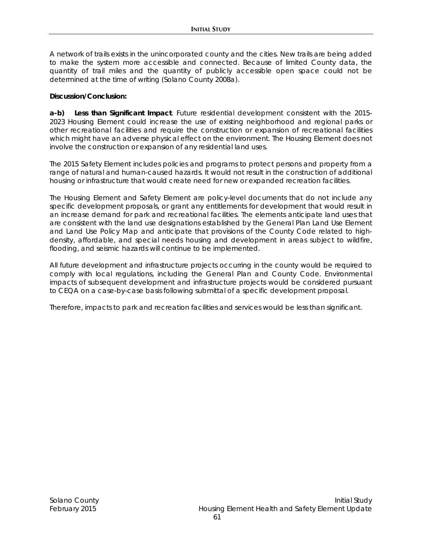A network of trails exists in the unincorporated county and the cities. New trails are being added to make the system more accessible and connected. Because of limited County data, the quantity of trail miles and the quantity of publicly accessible open space could not be determined at the time of writing (Solano County 2008a).

## **Discussion/Conclusion:**

*a-b) Less than Significant Impact*. Future residential development consistent with the 2015- 2023 Housing Element could increase the use of existing neighborhood and regional parks or other recreational facilities and require the construction or expansion of recreational facilities which might have an adverse physical effect on the environment. The Housing Element does not involve the construction or expansion of any residential land uses.

The 2015 Safety Element includes policies and programs to protect persons and property from a range of natural and human-caused hazards. It would not result in the construction of additional housing or infrastructure that would create need for new or expanded recreation facilities.

The Housing Element and Safety Element are policy-level documents that do not include any specific development proposals, or grant any entitlements for development that would result in an increase demand for park and recreational facilities. The elements anticipate land uses that are consistent with the land use designations established by the General Plan Land Use Element and Land Use Policy Map and anticipate that provisions of the County Code related to highdensity, affordable, and special needs housing and development in areas subject to wildfire, flooding, and seismic hazards will continue to be implemented.

All future development and infrastructure projects occurring in the county would be required to comply with local regulations, including the General Plan and County Code. Environmental impacts of subsequent development and infrastructure projects would be considered pursuant to CEQA on a case-by-case basis following submittal of a specific development proposal.

Therefore, impacts to park and recreation facilities and services would be less than significant.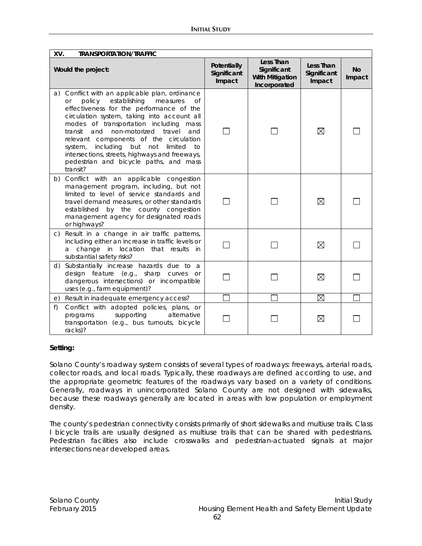| XV.                                                                   | <b>TRANSPORTATION/TRAFFIC</b>                                                                                                                                                                                                                                                                                                                                                                                                   |                                      |                                                                    |                                    |                     |
|-----------------------------------------------------------------------|---------------------------------------------------------------------------------------------------------------------------------------------------------------------------------------------------------------------------------------------------------------------------------------------------------------------------------------------------------------------------------------------------------------------------------|--------------------------------------|--------------------------------------------------------------------|------------------------------------|---------------------|
| Would the project:                                                    |                                                                                                                                                                                                                                                                                                                                                                                                                                 | Potentially<br>Significant<br>Impact | Less Than<br>Significant<br><b>With Mitigation</b><br>Incorporated | Less Than<br>Significant<br>Impact | <b>No</b><br>Impact |
| policy<br>$\alpha$<br>transit<br>and<br>system, including<br>transit? | a) Conflict with an applicable plan, ordinance<br>establishing<br>measures<br>$\Omega$<br>effectiveness for the performance of the<br>circulation system, taking into account all<br>modes of transportation including mass<br>non-motorized<br>travel<br>and<br>relevant components of the circulation<br>but not<br>limited<br>to<br>intersections, streets, highways and freeways,<br>pedestrian and bicycle paths, and mass |                                      |                                                                    | ⊠                                  |                     |
| b)<br>established<br>or highways?                                     | Conflict with an applicable congestion<br>management program, including, but not<br>limited to level of service standards and<br>travel demand measures, or other standards<br>by the county congestion<br>management agency for designated roads                                                                                                                                                                               |                                      |                                                                    | $\boxtimes$                        |                     |
| $\mathsf{C}$<br>а                                                     | Result in a change in air traffic patterns,<br>including either an increase in traffic levels or<br>change in location that results in<br>substantial safety risks?                                                                                                                                                                                                                                                             |                                      |                                                                    | ⊠                                  |                     |
| d)                                                                    | Substantially increase hazards due to a<br>design feature (e.g., sharp curves or<br>dangerous intersections) or incompatible<br>uses (e.g., farm equipment)?                                                                                                                                                                                                                                                                    |                                      |                                                                    | $\boxtimes$                        |                     |
| e)                                                                    | Result in inadequate emergency access?                                                                                                                                                                                                                                                                                                                                                                                          |                                      |                                                                    | $\boxtimes$                        |                     |
| f)<br>programs<br>racks)?                                             | Conflict with adopted policies, plans, or<br>supporting<br>alternative<br>transportation (e.g., bus turnouts, bicycle                                                                                                                                                                                                                                                                                                           |                                      |                                                                    | $\boxtimes$                        |                     |

Solano County's roadway system consists of several types of roadways: freeways, arterial roads, collector roads, and local roads. Typically, these roadways are defined according to use, and the appropriate geometric features of the roadways vary based on a variety of conditions. Generally, roadways in unincorporated Solano County are not designed with sidewalks, because these roadways generally are located in areas with low population or employment density.

The county's pedestrian connectivity consists primarily of short sidewalks and multiuse trails. Class I bicycle trails are usually designed as multiuse trails that can be shared with pedestrians. Pedestrian facilities also include crosswalks and pedestrian-actuated signals at major intersections near developed areas.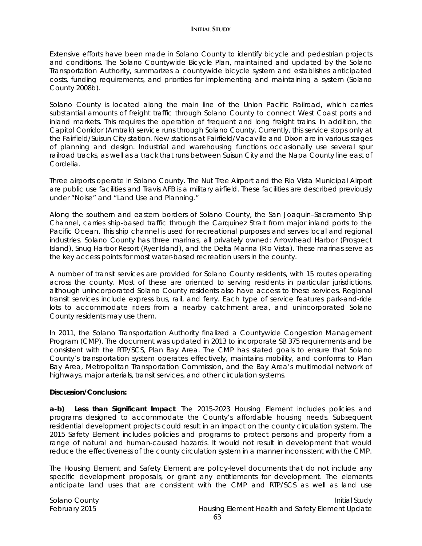Extensive efforts have been made in Solano County to identify bicycle and pedestrian projects and conditions. The *Solano Countywide Bicycle Plan*, maintained and updated by the Solano Transportation Authority, summarizes a countywide bicycle system and establishes anticipated costs, funding requirements, and priorities for implementing and maintaining a system (Solano County 2008b).

Solano County is located along the main line of the Union Pacific Railroad, which carries substantial amounts of freight traffic through Solano County to connect West Coast ports and inland markets. This requires the operation of frequent and long freight trains. In addition, the Capitol Corridor (Amtrak) service runs through Solano County. Currently, this service stops only at the Fairfield/Suisun City station. New stations at Fairfield/Vacaville and Dixon are in various stages of planning and design. Industrial and warehousing functions occasionally use several spur railroad tracks, as well as a track that runs between Suisun City and the Napa County line east of Cordelia.

Three airports operate in Solano County. The Nut Tree Airport and the Rio Vista Municipal Airport are public use facilities and Travis AFB is a military airfield. These facilities are described previously under "Noise" and "Land Use and Planning."

Along the southern and eastern borders of Solano County, the San Joaquin–Sacramento Ship Channel, carries ship-based traffic through the Carquinez Strait from major inland ports to the Pacific Ocean. This ship channel is used for recreational purposes and serves local and regional industries. Solano County has three marinas, all privately owned: Arrowhead Harbor (Prospect Island), Snug Harbor Resort (Ryer Island), and the Delta Marina (Rio Vista). These marinas serve as the key access points for most water-based recreation users in the county.

A number of transit services are provided for Solano County residents, with 15 routes operating across the county. Most of these are oriented to serving residents in particular jurisdictions, although unincorporated Solano County residents also have access to these services. Regional transit services include express bus, rail, and ferry. Each type of service features park-and-ride lots to accommodate riders from a nearby catchment area, and unincorporated Solano County residents may use them.

In 2011, the Solano Transportation Authority finalized a Countywide Congestion Management Program (CMP). The document was updated in 2013 to incorporate SB 375 requirements and be consistent with the RTP/SCS, Plan Bay Area. The CMP has stated goals to ensure that Solano County's transportation system operates effectively, maintains mobility, and conforms to Plan Bay Area, Metropolitan Transportation Commission, and the Bay Area's multimodal network of highways, major arterials, transit services, and other circulation systems.

## **Discussion/Conclusion:**

*a-b) Less than Significant Impact*. The 2015-2023 Housing Element includes policies and programs designed to accommodate the County's affordable housing needs. Subsequent residential development projects could result in an impact on the county circulation system. The 2015 Safety Element includes policies and programs to protect persons and property from a range of natural and human-caused hazards. It would not result in development that would reduce the effectiveness of the county circulation system in a manner inconsistent with the CMP.

The Housing Element and Safety Element are policy-level documents that do not include any specific development proposals, or grant any entitlements for development. The elements anticipate land uses that are consistent with the CMP and RTP/SCS as well as land use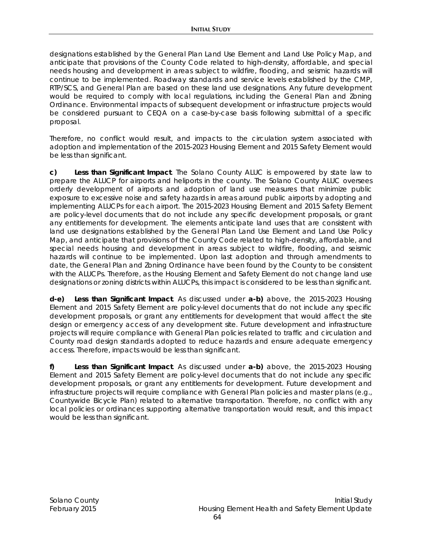designations established by the General Plan Land Use Element and Land Use Policy Map, and anticipate that provisions of the County Code related to high-density, affordable, and special needs housing and development in areas subject to wildfire, flooding, and seismic hazards will continue to be implemented. Roadway standards and service levels established by the CMP, RTP/SCS, and General Plan are based on these land use designations. Any future development would be required to comply with local regulations, including the General Plan and Zoning Ordinance. Environmental impacts of subsequent development or infrastructure projects would be considered pursuant to CEQA on a case-by-case basis following submittal of a specific proposal.

Therefore, no conflict would result, and impacts to the circulation system associated with adoption and implementation of the 2015-2023 Housing Element and 2015 Safety Element would be less than significant.

*c) Less than Significant Impact*. The Solano County ALUC is empowered by state law to prepare the ALUCP for airports and heliports in the county. The Solano County ALUC oversees orderly development of airports and adoption of land use measures that minimize public exposure to excessive noise and safety hazards in areas around public airports by adopting and implementing ALUCPs for each airport. The 2015-2023 Housing Element and 2015 Safety Element are policy-level documents that do not include any specific development proposals, or grant any entitlements for development. The elements anticipate land uses that are consistent with land use designations established by the General Plan Land Use Element and Land Use Policy Map, and anticipate that provisions of the County Code related to high-density, affordable, and special needs housing and development in areas subject to wildfire, flooding, and seismic hazards will continue to be implemented. Upon last adoption and through amendments to date, the General Plan and Zoning Ordinance have been found by the County to be consistent with the ALUCPs. Therefore, as the Housing Element and Safety Element do not change land use designations or zoning districts within ALUCPs, this impact is considered to be less than significant.

*d-e) Less than Significant Impact*. As discussed under **a-b)** above, the 2015-2023 Housing Element and 2015 Safety Element are policy-level documents that do not include any specific development proposals, or grant any entitlements for development that would affect the site design or emergency access of any development site. Future development and infrastructure projects will require compliance with General Plan policies related to traffic and circulation and County road design standards adopted to reduce hazards and ensure adequate emergency access. Therefore, impacts would be less than significant.

*f) Less than Significant Impact*. As discussed under **a-b)** above, the 2015-2023 Housing Element and 2015 Safety Element are policy-level documents that do not include any specific development proposals, or grant any entitlements for development. Future development and infrastructure projects will require compliance with General Plan policies and master plans (e.g., Countywide Bicycle Plan) related to alternative transportation. Therefore, no conflict with any local policies or ordinances supporting alternative transportation would result, and this impact would be less than significant.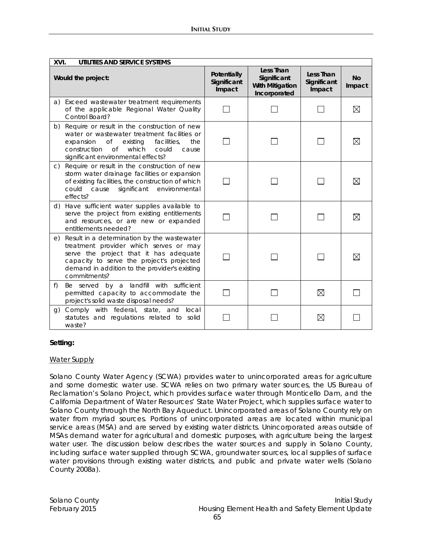| XVI.                                         | UTILITIES AND SERVICE SYSTEMS                                                                                                                                                                                                 |                                      |                                                                    |                                    |                     |
|----------------------------------------------|-------------------------------------------------------------------------------------------------------------------------------------------------------------------------------------------------------------------------------|--------------------------------------|--------------------------------------------------------------------|------------------------------------|---------------------|
| Would the project:                           |                                                                                                                                                                                                                               | Potentially<br>Significant<br>Impact | Less Than<br>Significant<br><b>With Mitigation</b><br>Incorporated | Less Than<br>Significant<br>Impact | <b>No</b><br>Impact |
| a)<br>Control Board?                         | Exceed wastewater treatment requirements<br>of the applicable Regional Water Quality                                                                                                                                          |                                      |                                                                    |                                    | $\boxtimes$         |
| b)<br><b>of</b><br>expansion<br>construction | Require or result in the construction of new<br>water or wastewater treatment facilities or<br>existing<br>facilities,<br>the<br>which<br>of<br>could<br>cause<br>significant environmental effects?                          |                                      |                                                                    |                                    | $\bowtie$           |
| $\mathsf{C}$<br>could<br>cause<br>effects?   | Require or result in the construction of new<br>storm water drainage facilities or expansion<br>of existing facilities, the construction of which<br>significant<br>environmental                                             |                                      |                                                                    |                                    | ⋈                   |
| d)<br>entitlements needed?                   | Have sufficient water supplies available to<br>serve the project from existing entitlements<br>and resources, or are new or expanded                                                                                          |                                      |                                                                    |                                    |                     |
| e)<br>commitments?                           | Result in a determination by the wastewater<br>treatment provider which serves or may<br>serve the project that it has adequate<br>capacity to serve the project's projected<br>demand in addition to the provider's existing |                                      |                                                                    |                                    | $\bowtie$           |
| f)                                           | Be served by a landfill with sufficient<br>permitted capacity to accommodate the<br>project's solid waste disposal needs?                                                                                                     |                                      |                                                                    | ⊠                                  |                     |
| g)<br>waste?                                 | Comply with federal, state, and<br>local<br>statutes and regulations related to solid                                                                                                                                         |                                      |                                                                    | ⊠                                  |                     |

#### Water Supply

Solano County Water Agency (SCWA) provides water to unincorporated areas for agriculture and some domestic water use. SCWA relies on two primary water sources, the US Bureau of Reclamation's Solano Project, which provides surface water through Monticello Dam, and the California Department of Water Resources' State Water Project, which supplies surface water to Solano County through the North Bay Aqueduct. Unincorporated areas of Solano County rely on water from myriad sources. Portions of unincorporated areas are located within municipal service areas (MSA) and are served by existing water districts. Unincorporated areas outside of MSAs demand water for agricultural and domestic purposes, with agriculture being the largest water user. The discussion below describes the water sources and supply in Solano County, including surface water supplied through SCWA, groundwater sources, local supplies of surface water provisions through existing water districts, and public and private water wells (Solano County 2008a).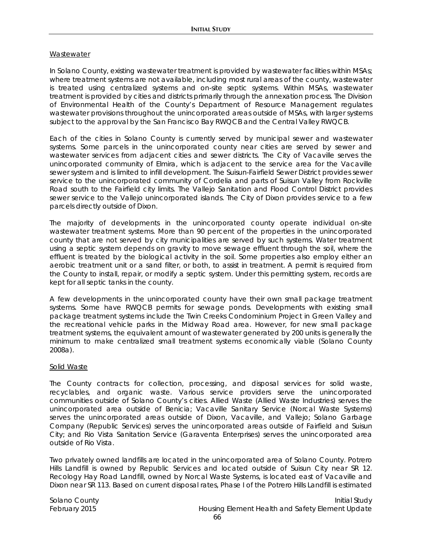## **Wastewater**

In Solano County, existing wastewater treatment is provided by wastewater facilities within MSAs; where treatment systems are not available, including most rural areas of the county, wastewater is treated using centralized systems and on-site septic systems. Within MSAs, wastewater treatment is provided by cities and districts primarily through the annexation process. The Division of Environmental Health of the County's Department of Resource Management regulates wastewater provisions throughout the unincorporated areas outside of MSAs, with larger systems subject to the approval by the San Francisco Bay RWQCB and the Central Valley RWQCB.

Each of the cities in Solano County is currently served by municipal sewer and wastewater systems. Some parcels in the unincorporated county near cities are served by sewer and wastewater services from adjacent cities and sewer districts. The City of Vacaville serves the unincorporated community of Elmira, which is adjacent to the service area for the Vacaville sewer system and is limited to infill development. The Suisun-Fairfield Sewer District provides sewer service to the unincorporated community of Cordelia and parts of Suisun Valley from Rockville Road south to the Fairfield city limits. The Vallejo Sanitation and Flood Control District provides sewer service to the Vallejo unincorporated islands. The City of Dixon provides service to a few parcels directly outside of Dixon.

The majority of developments in the unincorporated county operate individual on-site wastewater treatment systems. More than 90 percent of the properties in the unincorporated county that are not served by city municipalities are served by such systems. Water treatment using a septic system depends on gravity to move sewage effluent through the soil, where the effluent is treated by the biological activity in the soil. Some properties also employ either an aerobic treatment unit or a sand filter, or both, to assist in treatment. A permit is required from the County to install, repair, or modify a septic system. Under this permitting system, records are kept for all septic tanks in the county.

A few developments in the unincorporated county have their own small package treatment systems. Some have RWQCB permits for sewage ponds. Developments with existing small package treatment systems include the Twin Creeks Condominium Project in Green Valley and the recreational vehicle parks in the Midway Road area. However, for new small package treatment systems, the equivalent amount of wastewater generated by 200 units is generally the minimum to make centralized small treatment systems economically viable (Solano County 2008a).

#### Solid Waste

The County contracts for collection, processing, and disposal services for solid waste, recyclables, and organic waste. Various service providers serve the unincorporated communities outside of Solano County's cities. Allied Waste (Allied Waste Industries) serves the unincorporated area outside of Benicia; Vacaville Sanitary Service (Norcal Waste Systems) serves the unincorporated areas outside of Dixon, Vacaville, and Vallejo; Solano Garbage Company (Republic Services) serves the unincorporated areas outside of Fairfield and Suisun City; and Rio Vista Sanitation Service (Garaventa Enterprises) serves the unincorporated area outside of Rio Vista.

Two privately owned landfills are located in the unincorporated area of Solano County. Potrero Hills Landfill is owned by Republic Services and located outside of Suisun City near SR 12. Recology Hay Road Landfill, owned by Norcal Waste Systems, is located east of Vacaville and Dixon near SR 113. Based on current disposal rates, Phase I of the Potrero Hills Landfill is estimated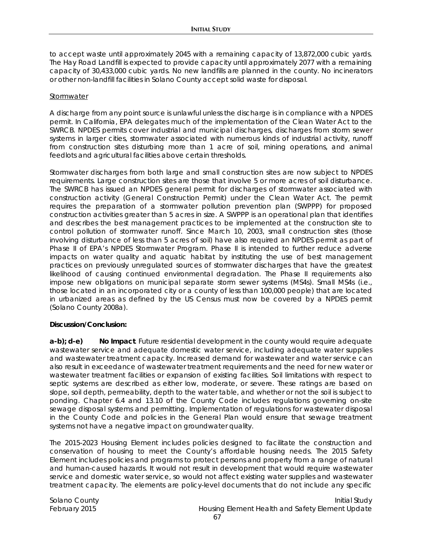to accept waste until approximately 2045 with a remaining capacity of 13,872,000 cubic yards. The Hay Road Landfill is expected to provide capacity until approximately 2077 with a remaining capacity of 30,433,000 cubic yards. No new landfills are planned in the county. No incinerators or other non-landfill facilities in Solano County accept solid waste for disposal.

### **Stormwater**

A discharge from any point source is unlawful unless the discharge is in compliance with a NPDES permit. In California, EPA delegates much of the implementation of the Clean Water Act to the SWRCB. NPDES permits cover industrial and municipal discharges, discharges from storm sewer systems in larger cities, stormwater associated with numerous kinds of industrial activity, runoff from construction sites disturbing more than 1 acre of soil, mining operations, and animal feedlots and agricultural facilities above certain thresholds.

Stormwater discharges from both large and small construction sites are now subject to NPDES requirements. Large construction sites are those that involve 5 or more acres of soil disturbance. The SWRCB has issued an NPDES general permit for discharges of stormwater associated with construction activity (General Construction Permit) under the Clean Water Act. The permit requires the preparation of a stormwater pollution prevention plan (SWPPP) for proposed construction activities greater than 5 acres in size. A SWPPP is an operational plan that identifies and describes the best management practices to be implemented at the construction site to control pollution of stormwater runoff. Since March 10, 2003, small construction sites (those involving disturbance of less than 5 acres of soil) have also required an NPDES permit as part of Phase II of EPA's NPDES Stormwater Program. Phase II is intended to further reduce adverse impacts on water quality and aquatic habitat by instituting the use of best management practices on previously unregulated sources of stormwater discharges that have the greatest likelihood of causing continued environmental degradation. The Phase II requirements also impose new obligations on municipal separate storm sewer systems (MS4s). Small MS4s (i.e., those located in an incorporated city or a county of less than 100,000 people) that are located in urbanized areas as defined by the US Census must now be covered by a NPDES permit (Solano County 2008a).

## **Discussion/Conclusion:**

*a-b); d-e)* No *Impact*. Future residential development in the county would require adequate wastewater service and adequate domestic water service, including adequate water supplies and wastewater treatment capacity. Increased demand for wastewater and water service can also result in exceedance of wastewater treatment requirements and the need for new water or wastewater treatment facilities or expansion of existing facilities. Soil limitations with respect to septic systems are described as either low, moderate, or severe. These ratings are based on slope, soil depth, permeability, depth to the water table, and whether or not the soil is subject to ponding. Chapter 6.4 and 13.10 of the County Code includes regulations governing on-site sewage disposal systems and permitting. Implementation of regulations for wastewater disposal in the County Code and policies in the General Plan would ensure that sewage treatment systems not have a negative impact on groundwater quality.

The 2015-2023 Housing Element includes policies designed to facilitate the construction and conservation of housing to meet the County's affordable housing needs. The 2015 Safety Element includes policies and programs to protect persons and property from a range of natural and human-caused hazards. It would not result in development that would require wastewater service and domestic water service, so would not affect existing water supplies and wastewater treatment capacity. The elements are policy-level documents that do not include any specific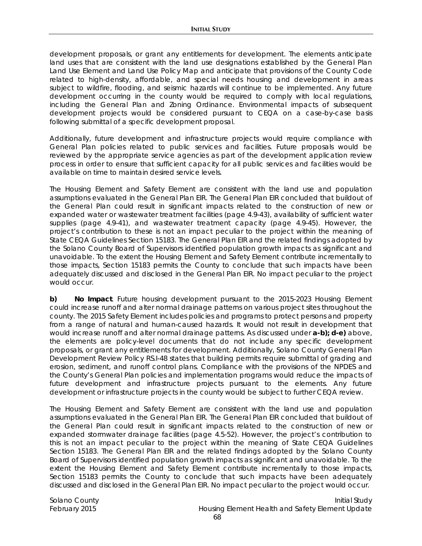development proposals, or grant any entitlements for development. The elements anticipate land uses that are consistent with the land use designations established by the General Plan Land Use Element and Land Use Policy Map and anticipate that provisions of the County Code related to high-density, affordable, and special needs housing and development in areas subject to wildfire, flooding, and seismic hazards will continue to be implemented. Any future development occurring in the county would be required to comply with local regulations, including the General Plan and Zoning Ordinance. Environmental impacts of subsequent development projects would be considered pursuant to CEQA on a case-by-case basis following submittal of a specific development proposal.

Additionally, future development and infrastructure projects would require compliance with General Plan policies related to public services and facilities. Future proposals would be reviewed by the appropriate service agencies as part of the development application review process in order to ensure that sufficient capacity for all public services and facilities would be available on time to maintain desired service levels.

The Housing Element and Safety Element are consistent with the land use and population assumptions evaluated in the General Plan EIR. The General Plan EIR concluded that buildout of the General Plan could result in significant impacts related to the construction of new or expanded water or wastewater treatment facilities (page 4.9-43), availability of sufficient water supplies (page 4.9-41), and wastewater treatment capacity (page 4.9-45). However, the project's contribution to these is not an impact peculiar to the project within the meaning of State CEQA Guidelines Section 15183. The General Plan EIR and the related findings adopted by the Solano County Board of Supervisors identified population growth impacts as significant and unavoidable. To the extent the Housing Element and Safety Element contribute incrementally to those impacts, Section 15183 permits the County to conclude that such impacts have been adequately discussed and disclosed in the General Plan EIR. No impact peculiar to the project would occur.

*b) No Impact*. Future housing development pursuant to the 2015-2023 Housing Element could increase runoff and alter normal drainage patterns on various project sites throughout the county. The 2015 Safety Element includes policies and programs to protect persons and property from a range of natural and human-caused hazards. It would not result in development that would increase runoff and alter normal drainage patterns. As discussed under **a-b); d-e)** above, the elements are policy-level documents that do not include any specific development proposals, or grant any entitlements for development. Additionally, Solano County General Plan Development Review Policy RS.I-48 states that building permits require submittal of grading and erosion, sediment, and runoff control plans. Compliance with the provisions of the NPDES and the County's General Plan policies and implementation programs would reduce the impacts of future development and infrastructure projects pursuant to the elements. Any future development or infrastructure projects in the county would be subject to further CEQA review.

The Housing Element and Safety Element are consistent with the land use and population assumptions evaluated in the General Plan EIR. The General Plan EIR concluded that buildout of the General Plan could result in significant impacts related to the construction of new or expanded stormwater drainage facilities (page 4.5-52). However, the project's contribution to this is not an impact peculiar to the project within the meaning of State CEQA Guidelines Section 15183. The General Plan EIR and the related findings adopted by the Solano County Board of Supervisors identified population growth impacts as significant and unavoidable. To the extent the Housing Element and Safety Element contribute incrementally to those impacts, Section 15183 permits the County to conclude that such impacts have been adequately discussed and disclosed in the General Plan EIR. No impact peculiar to the project would occur.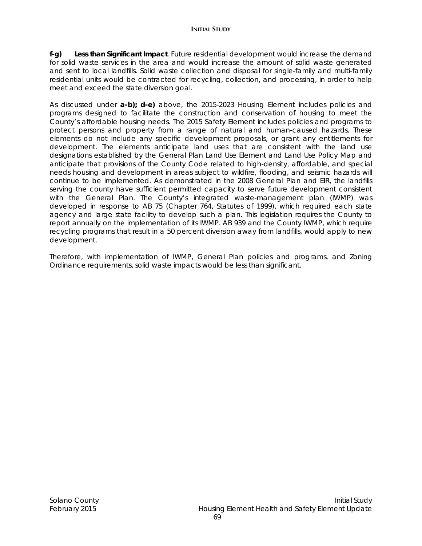*f-g) Less than Significant Impact*. Future residential development would increase the demand for solid waste services in the area and would increase the amount of solid waste generated and sent to local landfills. Solid waste collection and disposal for single-family and multi-family residential units would be contracted for recycling, collection, and processing, in order to help meet and exceed the state diversion goal.

As discussed under **a-b); d-e)** above, the 2015-2023 Housing Element includes policies and programs designed to facilitate the construction and conservation of housing to meet the County's affordable housing needs. The 2015 Safety Element includes policies and programs to protect persons and property from a range of natural and human-caused hazards. These elements do not include any specific development proposals, or grant any entitlements for development. The elements anticipate land uses that are consistent with the land use designations established by the General Plan Land Use Element and Land Use Policy Map and anticipate that provisions of the County Code related to high-density, affordable, and special needs housing and development in areas subject to wildfire, flooding, and seismic hazards will continue to be implemented. As demonstrated in the 2008 General Plan and EIR, the landfills serving the county have sufficient permitted capacity to serve future development consistent with the General Plan. The County's integrated waste-management plan (IWMP) was developed in response to AB 75 (Chapter 764, Statutes of 1999), which required each state agency and large state facility to develop such a plan. This legislation requires the County to report annually on the implementation of its IWMP. AB 939 and the County IWMP, which require recycling programs that result in a 50 percent diversion away from landfills, would apply to new development.

Therefore, with implementation of IWMP, General Plan policies and programs, and Zoning Ordinance requirements, solid waste impacts would be less than significant.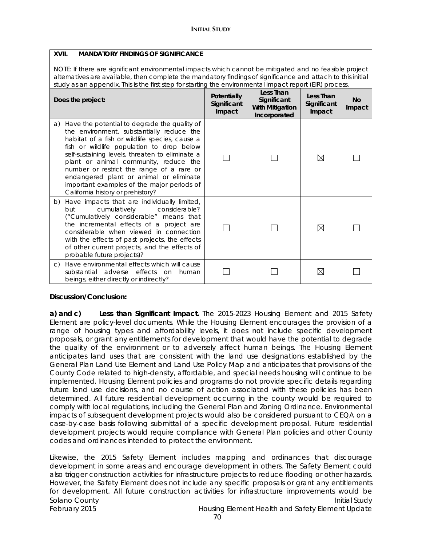## **XVII. MANDATORY FINDINGS OF SIGNIFICANCE**

NOTE: If there are significant environmental impacts which cannot be mitigated and no feasible project alternatives are available, then complete the mandatory findings of significance and attach to this initial study as an appendix. This is the first step for starting the environmental impact report (EIR) process.

|    | Does the project:                                                                                                                                                                                                                                                                                                                                                                                                                                                  | Potentially<br>Significant<br>Impact | Less Than<br>Significant<br><b>With Mitigation</b><br>Incorporated | Less Than<br>Significant<br>Impact | N <sub>O</sub><br>Impact |
|----|--------------------------------------------------------------------------------------------------------------------------------------------------------------------------------------------------------------------------------------------------------------------------------------------------------------------------------------------------------------------------------------------------------------------------------------------------------------------|--------------------------------------|--------------------------------------------------------------------|------------------------------------|--------------------------|
|    | a) Have the potential to degrade the quality of<br>the environment, substantially reduce the<br>habitat of a fish or wildlife species, cause a<br>fish or wildlife population to drop below<br>self-sustaining levels, threaten to eliminate a<br>plant or animal community, reduce the<br>number or restrict the range of a rare or<br>endangered plant or animal or eliminate<br>important examples of the major periods of<br>California history or prehistory? |                                      |                                                                    | $\boxtimes$                        |                          |
|    | b) Have impacts that are individually limited,<br>cumulatively considerable?<br>but<br>("Cumulatively considerable" means that<br>the incremental effects of a project are<br>considerable when viewed in connection<br>with the effects of past projects, the effects<br>of other current projects, and the effects of<br>probable future projects)?                                                                                                              |                                      |                                                                    | ⊠                                  |                          |
| C) | Have environmental effects which will cause<br>substantial adverse effects on<br>human<br>beings, either directly or indirectly?                                                                                                                                                                                                                                                                                                                                   |                                      |                                                                    | $\boxtimes$                        |                          |

## **Discussion/Conclusion:**

*a) and c) Less than Significant Impact.* The 2015-2023 Housing Element and 2015 Safety Element are policy-level documents. While the Housing Element encourages the provision of a range of housing types and affordability levels, it does not include specific development proposals, or grant any entitlements for development that would have the potential to degrade the quality of the environment or to adversely affect human beings. The Housing Element anticipates land uses that are consistent with the land use designations established by the General Plan Land Use Element and Land Use Policy Map and anticipates that provisions of the County Code related to high-density, affordable, and special needs housing will continue to be implemented. Housing Element policies and programs do not provide specific details regarding future land use decisions, and no course of action associated with these policies has been determined. All future residential development occurring in the county would be required to comply with local regulations, including the General Plan and Zoning Ordinance. Environmental impacts of subsequent development projects would also be considered pursuant to CEQA on a case-by-case basis following submittal of a specific development proposal. Future residential development projects would require compliance with General Plan policies and other County codes and ordinances intended to protect the environment.

Solano County **Initial Study** Initial Study **Initial Study** Initial Study **Initial Study** February 2015 **Housing Element Health and Safety Element Update** Likewise, the 2015 Safety Element includes mapping and ordinances that discourage development in some areas and encourage development in others. The Safety Element could also trigger construction activities for infrastructure projects to reduce flooding or other hazards. However, the Safety Element does not include any specific proposals or grant any entitlements for development. All future construction activities for infrastructure improvements would be

70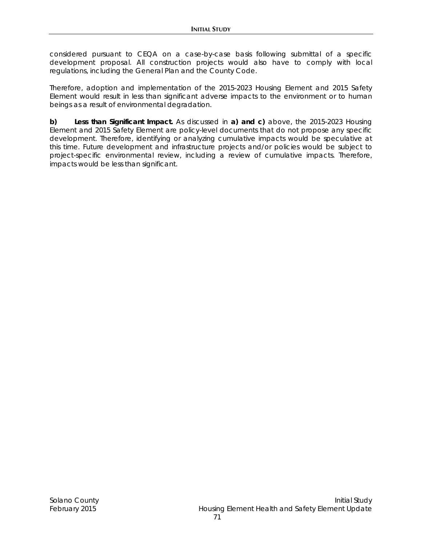considered pursuant to CEQA on a case-by-case basis following submittal of a specific development proposal. All construction projects would also have to comply with local regulations, including the General Plan and the County Code.

Therefore, adoption and implementation of the 2015-2023 Housing Element and 2015 Safety Element would result in less than significant adverse impacts to the environment or to human beings as a result of environmental degradation.

*b) Less than Significant Impact.* As discussed in **a) and c)** above, the 2015-2023 Housing Element and 2015 Safety Element are policy-level documents that do not propose any specific development. Therefore, identifying or analyzing cumulative impacts would be speculative at this time. Future development and infrastructure projects and/or policies would be subject to project-specific environmental review, including a review of cumulative impacts. Therefore, impacts would be less than significant.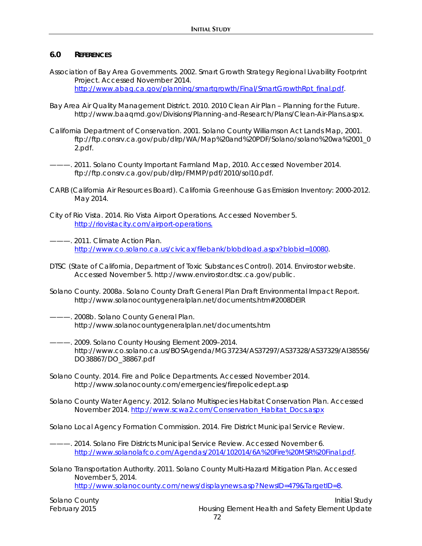# **6.0 REFERENCES**

- Association of Bay Area Governments. 2002. Smart Growth Strategy Regional Livability Footprint Project. Accessed November 2014. http://www.abag.ca.gov/planning/smartgrowth/Final/SmartGrowthRpt\_final.pdf*.*
- Bay Area Air Quality Management District. 2010. 2010 *Clean Air Plan Planning for the Future.* http://www.baaqmd.gov/Divisions/Planning-and-Research/Plans/Clean-Air-Plans.aspx.
- California Department of Conservation. 2001. *Solano County Williamson Act Lands Map, 2001.* ftp://ftp.consrv.ca.gov/pub/dlrp/WA/Map%20and%20PDF/Solano/solano%20wa%2001\_0 2.pdf.
- ———. 2011. *Solano County Important Farmland Map, 2010.* Accessed November 2014. ftp://ftp.consrv.ca.gov/pub/dlrp/FMMP/pdf/2010/sol10.pdf*.*
- CARB (California Air Resources Board). California Greenhouse Gas Emission Inventory: 2000-2012. May 2014.
- City of Rio Vista. 2014. Rio Vista Airport Operations. Accessed November 5. http://riovistacity.com/airport-operations.
- ———. 2011. Climate Action Plan. http://www.co.solano.ca.us/civicax/filebank/blobdload.aspx?blobid=10080*.*
- DTSC (State of California, Department of Toxic Substances Control). 2014. Envirostor website. Accessed November 5. http://www.envirostor.dtsc.ca.gov/public.
- Solano County. 2008a. *Solano County Draft General Plan Draft Environmental Impact Report.*  http://www.solanocountygeneralplan.net/documents.htm#2008DEIR
- -. 2008b. Solano County General Plan. http://www.solanocountygeneralplan.net/documents.htm
- ———. 2009. Solano *County Housing Element 2009–2014.* http://www.co.solano.ca.us/BOSAgenda/MG37234/AS37297/AS37328/AS37329/AI38556/ DO38867/DO\_38867.pdf
- Solano County. 2014. Fire and Police Departments. Accessed November 2014*. http://www.solanocounty.com/emergencies/firepolicedept.asp*
- Solano County Water Agency. 2012. *Solano Multispecies Habitat Conservation Plan.* Accessed November 2014*.* http://www.scwa2.com/Conservation\_Habitat\_Docs.aspx

Solano Local Agency Formation Commission. 2014. Fire District Municipal Service Review.

- ———. 2014. Solano Fire Districts Municipal Service Review. Accessed November 6. http://www.solanolafco.com/Agendas/2014/102014/6A%20Fire%20MSR%20Final.pdf.
- Solano Transportation Authority. 2011. Solano County Multi-Hazard Mitigation Plan. Accessed November 5, 2014.

http://www.solanocounty.com/news/displaynews.asp?NewsID=479&TargetID=8.